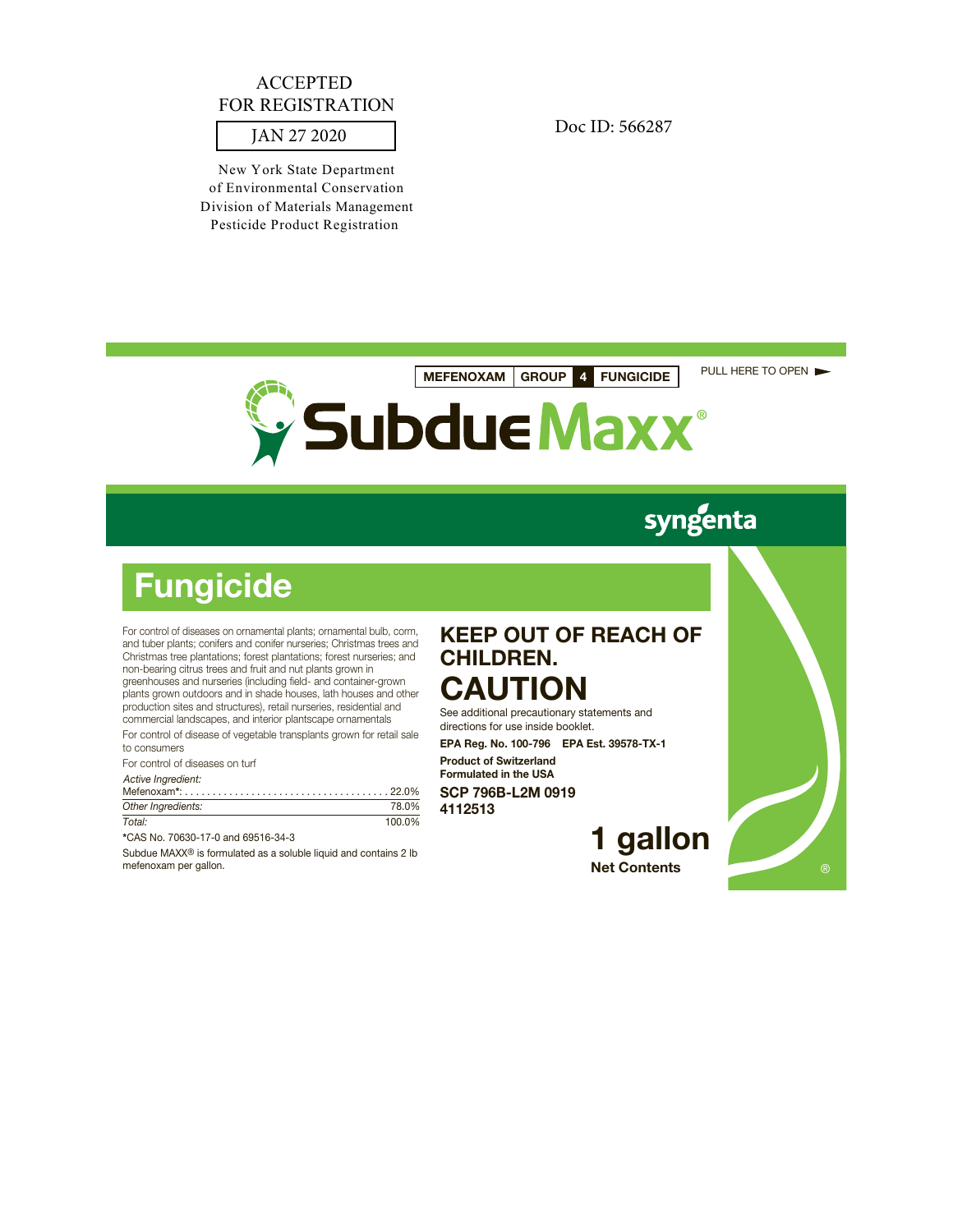# ACCEPTED<br>
REGISTRATION<br>JAN 27 2020 Doc ID: 566287 FOR REGISTRATION

New York State Department of Environmental Conservation Division of Materials Management Pesticide Product Registration

**MEFENOXAM GROUP 4 FUNGICIDE** PULL HERE TO OPEN



# syngenta

# **Fungicide**

For control of diseases on ornamental plants; ornamental bulb, corm, and tuber plants; conifers and conifer nurseries; Christmas trees and Christmas tree plantations; forest plantations; forest nurseries; and non-bearing citrus trees and fruit and nut plants grown in greenhouses and nurseries (including field- and container-grown plants grown outdoors and in shade houses, lath houses and other production sites and structures), retail nurseries, residential and commercial landscapes, and interior plantscape ornamentals

For control of disease of vegetable transplants grown for retail sale to consumers

For control of diseases on turf

Active Ingredient:

| Other Ingredients: | 78.0%  |
|--------------------|--------|
| Total:             | 100.0% |

**\***CAS No. 70630-17-0 and 69516-34-3

Subdue MAXX® is formulated as a soluble liquid and contains 2 lb mefenoxam per gallon.

## **KEEP OUT OF REACH OF CHILDREN. CAUTION**

See additional precautionary statements and

directions for use inside booklet. **EPA Reg. No. 100-796 EPA Est. 39578-TX-1**

**Product of Switzerland Formulated in the USA SCP 796B-L2M 0919**

**4112513**

## **1 gallon Net Contents**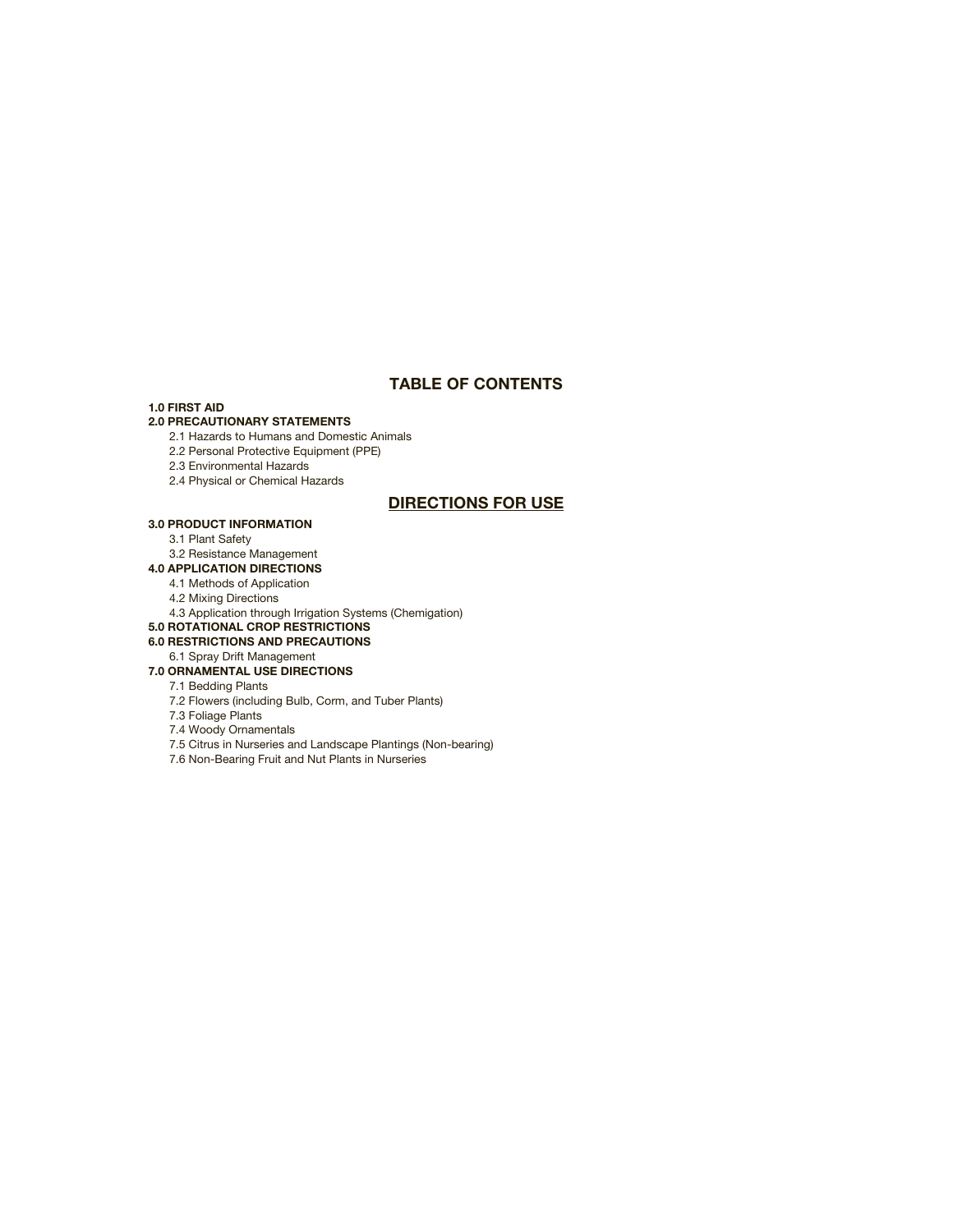## **TABLE OF CONTENTS**

#### **1.0 FIRST AID**

#### **2.0 PRECAUTIONARY STATEMENTS**

2.1 Hazards to Humans and Domestic Animals

2.2 Personal Protective Equipment (PPE)

2.3 Environmental Hazards

2.4 Physical or Chemical Hazards

## **DIRECTIONS FOR USE**

### **3.0 PRODUCT INFORMATION**

3.1 Plant Safety

3.2 Resistance Management

## **4.0 APPLICATION DIRECTIONS**

4.1 Methods of Application

4.2 Mixing Directions

4.3 Application through Irrigation Systems (Chemigation)

#### **5.0 ROTATIONAL CROP RESTRICTIONS**

## **6.0 RESTRICTIONS AND PRECAUTIONS**

6.1 Spray Drift Management

## **7.0 ORNAMENTAL USE DIRECTIONS**

## 7.1 Bedding Plants

7.2 Flowers (including Bulb, Corm, and Tuber Plants)

7.3 Foliage Plants

7.4 Woody Ornamentals

- 7.5 Citrus in Nurseries and Landscape Plantings (Non-bearing)
- 7.6 Non-Bearing Fruit and Nut Plants in Nurseries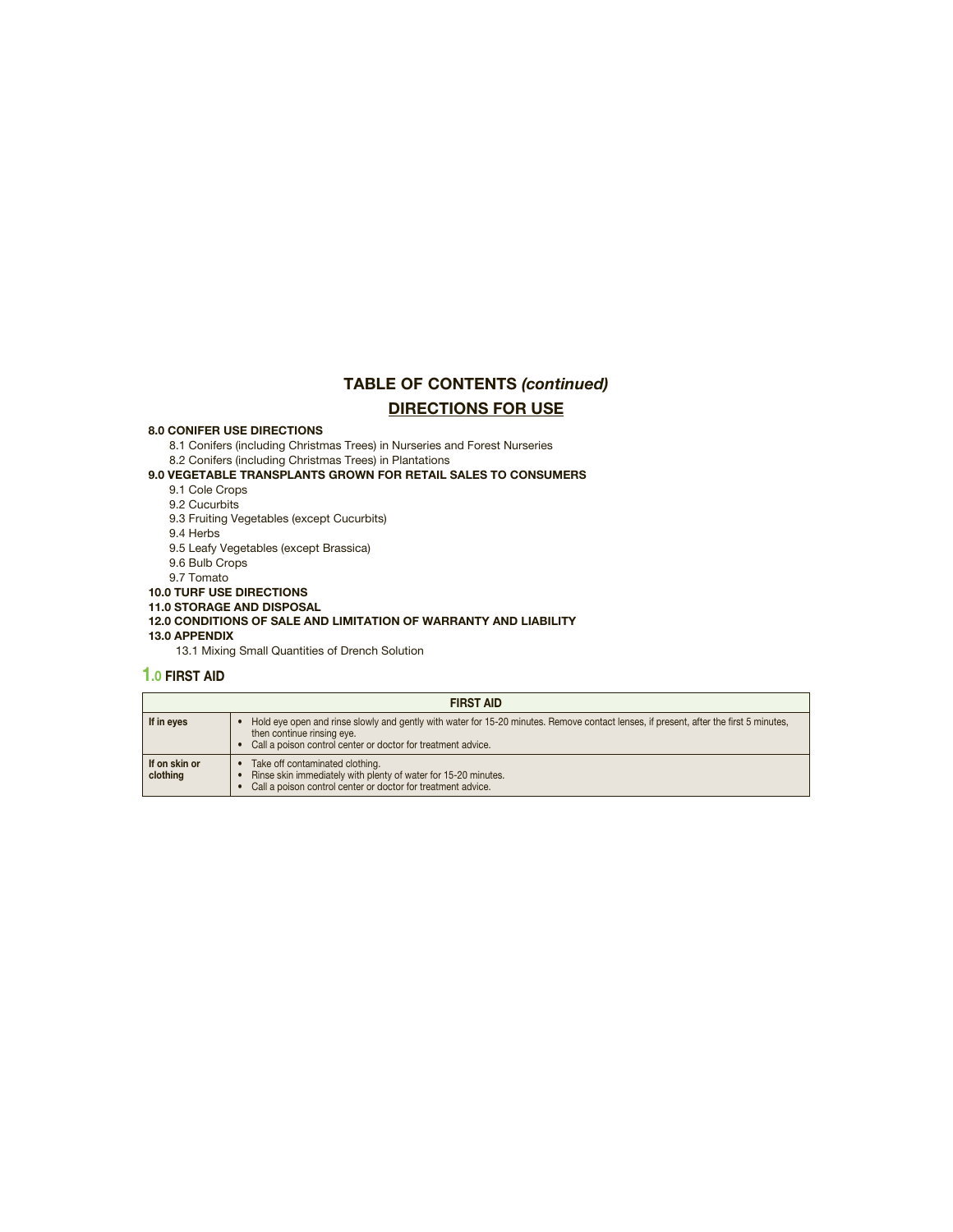## **TABLE OF CONTENTS** *(continued)* **DIRECTIONS FOR USE**

#### **8.0 CONIFER USE DIRECTIONS**

8.1 Conifers (including Christmas Trees) in Nurseries and Forest Nurseries 8.2 Conifers (including Christmas Trees) in Plantations

#### **9.0 VEGETABLE TRANSPLANTS GROWN FOR RETAIL SALES TO CONSUMERS**

9.1 Cole Crops

9.2 Cucurbits

9.3 Fruiting Vegetables (except Cucurbits)

9.4 Herbs

9.5 Leafy Vegetables (except Brassica)

9.6 Bulb Crops

9.7 Tomato

**10.0 TURF USE DIRECTIONS**

**11.0 STORAGE AND DISPOSAL**

#### **12.0 CONDITIONS OF SALE AND LIMITATION OF WARRANTY AND LIABILITY 13.0 APPENDIX**

13.1 Mixing Small Quantities of Drench Solution

## **1.0 FIRST AID**

| <b>FIRST AID</b>          |                                                                                                                                                                                                                                     |  |  |
|---------------------------|-------------------------------------------------------------------------------------------------------------------------------------------------------------------------------------------------------------------------------------|--|--|
| If in eyes                | Hold eye open and rinse slowly and gently with water for 15-20 minutes. Remove contact lenses, if present, after the first 5 minutes,<br>then continue rinsing eye.<br>Call a poison control center or doctor for treatment advice. |  |  |
| If on skin or<br>clothing | Take off contaminated clothing.<br>Rinse skin immediately with plenty of water for 15-20 minutes.<br>Call a poison control center or doctor for treatment advice.                                                                   |  |  |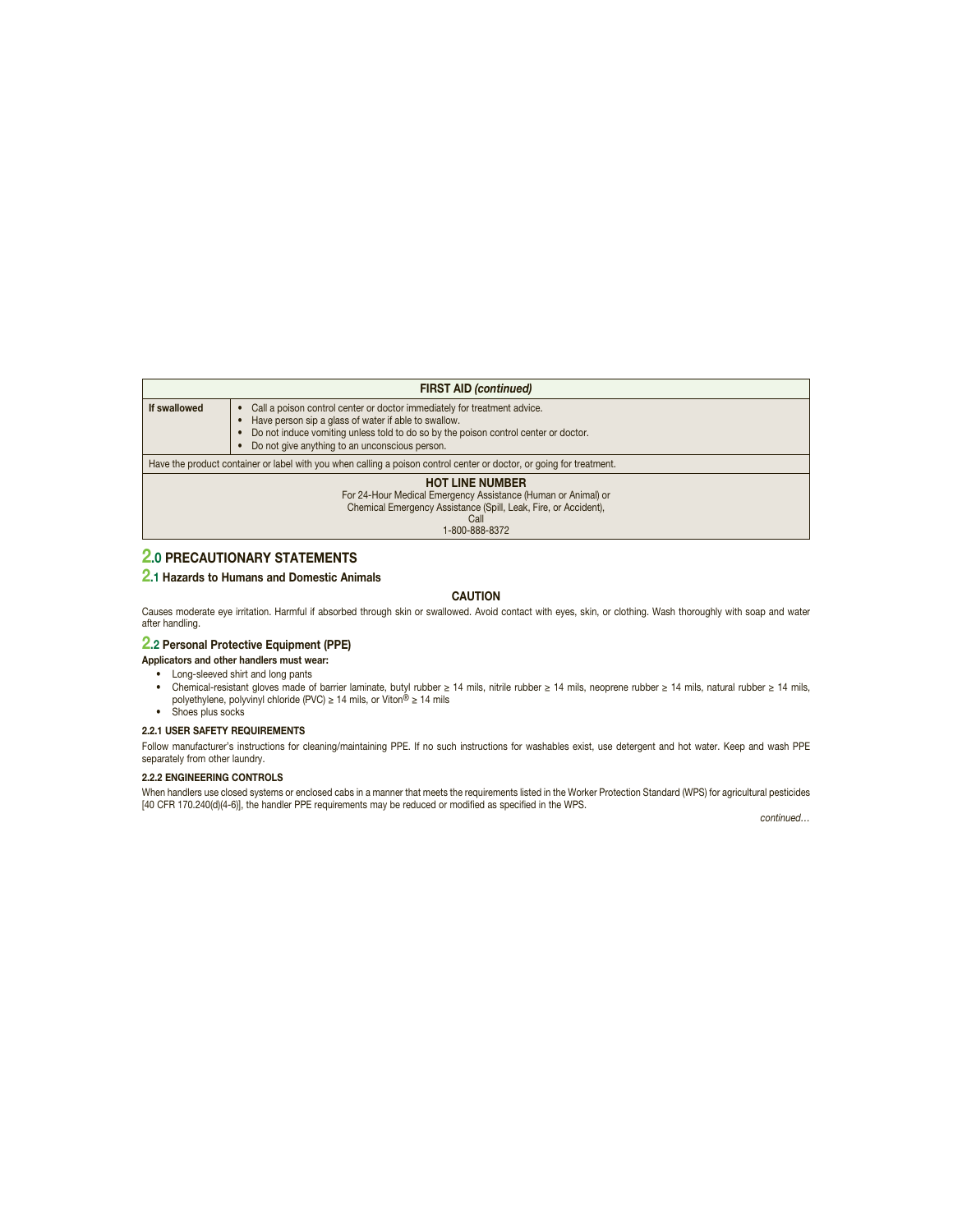|                                                                                                                                                                                      | <b>FIRST AID (continued)</b>                                                                                                                                                                                                                                              |  |  |  |
|--------------------------------------------------------------------------------------------------------------------------------------------------------------------------------------|---------------------------------------------------------------------------------------------------------------------------------------------------------------------------------------------------------------------------------------------------------------------------|--|--|--|
| If swallowed                                                                                                                                                                         | Call a poison control center or doctor immediately for treatment advice.<br>Have person sip a glass of water if able to swallow.<br>Do not induce vomiting unless told to do so by the poison control center or doctor.<br>Do not give anything to an unconscious person. |  |  |  |
|                                                                                                                                                                                      | Have the product container or label with you when calling a poison control center or doctor, or going for treatment.                                                                                                                                                      |  |  |  |
| <b>HOT LINE NUMBER</b><br>For 24-Hour Medical Emergency Assistance (Human or Animal) or<br>Chemical Emergency Assistance (Spill, Leak, Fire, or Accident),<br>Call<br>1-800-888-8372 |                                                                                                                                                                                                                                                                           |  |  |  |

## **2.0 PRECAUTIONARY STATEMENTS**

#### **2.1 Hazards to Humans and Domestic Animals**

#### **CAUTION**

Causes moderate eye irritation. Harmful if absorbed through skin or swallowed. Avoid contact with eyes, skin, or clothing. Wash thoroughly with soap and water after handling.

## **2.2 Personal Protective Equipment (PPE)**

**Applicators and other handlers must wear:**

- Long-sleeved shirt and long pants
- Chemical-resistant gloves made of barrier laminate, butyl rubber ≥ 14 mils, nitrile rubber ≥ 14 mils, neoprene rubber ≥ 14 mils, natural rubber ≥ 14 mils, polyethylene, polyvinyl chloride (PVC) ≥ 14 mils, or Viton® ≥ 14 mils • Shoes plus socks

### **2.2.1 USER SAFETY REQUIREMENTS**

Follow manufacturer's instructions for cleaning/maintaining PPE. If no such instructions for washables exist, use detergent and hot water. Keep and wash PPE separately from other laundry.

#### **2.2.2 ENGINEERING CONTROLS**

When handlers use closed systems or enclosed cabs in a manner that meets the requirements listed in the Worker Protection Standard (WPS) for agricultural pesticides [40 CFR 170.240(d)(4-6)], the handler PPE requirements may be reduced or modified as specified in the WPS.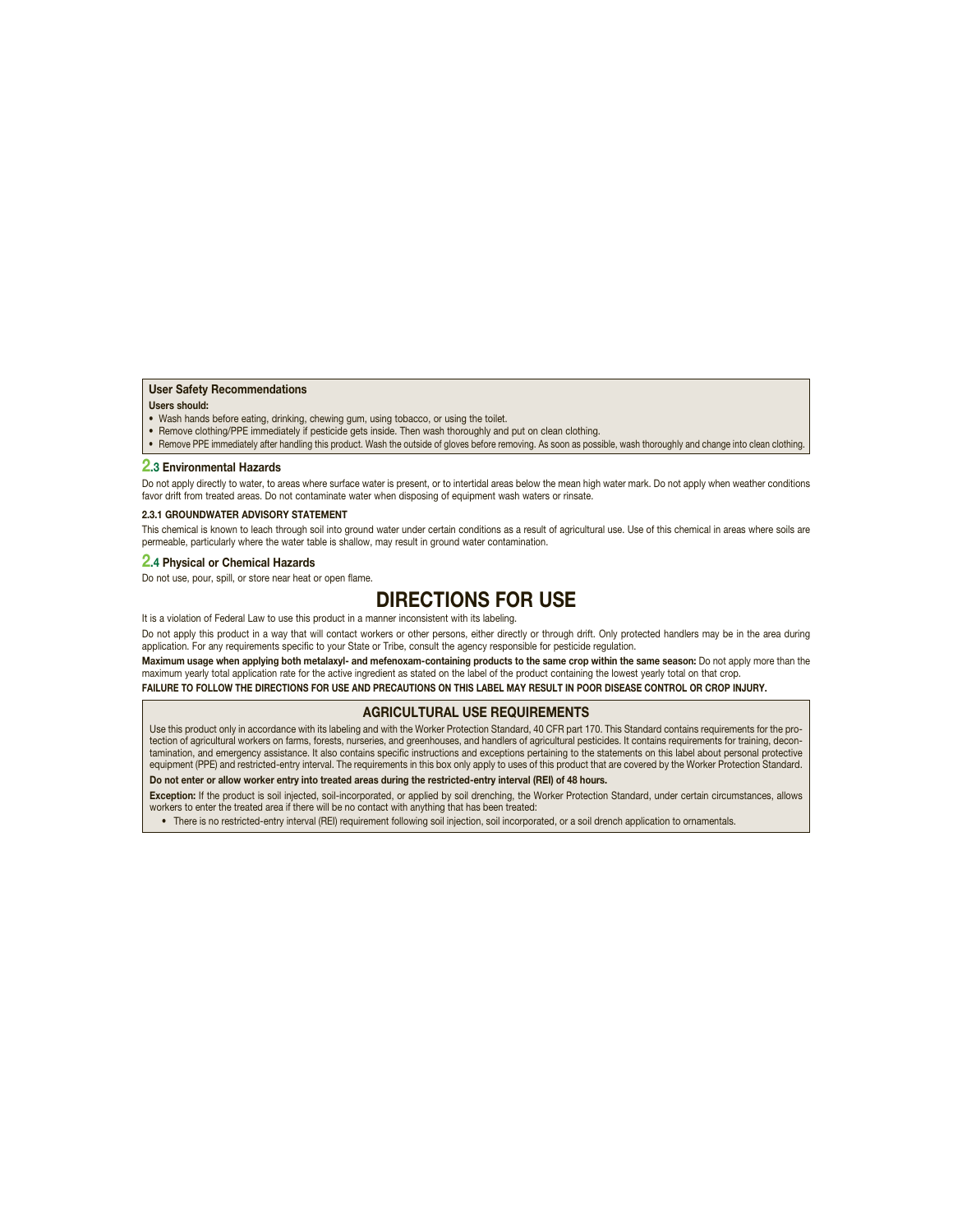#### **User Safety Recommendations**

#### **Users should:**

- Wash hands before eating, drinking, chewing gum, using tobacco, or using the toilet.
- Remove clothing/PPE immediately if pesticide gets inside. Then wash thoroughly and put on clean clothing.

• Remove PPE immediately after handling this product. Wash the outside of gloves before removing. As soon as possible, wash thoroughly and change into clean clothing.

#### **2.3 Environmental Hazards**

Do not apply directly to water, to areas where surface water is present, or to intertidal areas below the mean high water mark. Do not apply when weather conditions favor drift from treated areas. Do not contaminate water when disposing of equipment wash waters or rinsate.

#### **2.3.1 GROUNDWATER ADVISORY STATEMENT**

This chemical is known to leach through soil into ground water under certain conditions as a result of agricultural use. Use of this chemical in areas where soils are permeable, particularly where the water table is shallow, may result in ground water contamination.

#### **2.4 Physical or Chemical Hazards**

Do not use, pour, spill, or store near heat or open flame.

## **DIRECTIONS FOR USE**

It is a violation of Federal Law to use this product in a manner inconsistent with its labeling.

Do not apply this product in a way that will contact workers or other persons, either directly or through drift. Only protected handlers may be in the area during application. For any requirements specific to your State or Tribe, consult the agency responsible for pesticide regulation.

**Maximum usage when applying both metalaxyl- and mefenoxam-containing products to the same crop within the same season:** Do not apply more than the maximum yearly total application rate for the active ingredient as stated on the label of the product containing the lowest yearly total on that crop. **FAILURE TO FOLLOW THE DIRECTIONS FOR USE AND PRECAUTIONS ON THIS LABEL MAY RESULT IN POOR DISEASE CONTROL OR CROP INJURY.**

#### **AGRICULTURAL USE REQUIREMENTS**

Use this product only in accordance with its labeling and with the Worker Protection Standard, 40 CFR part 170. This Standard contains requirements for the protection of agricultural workers on farms, forests, nurseries, and greenhouses, and handlers of agricultural pesticides. It contains requirements for training, decontamination, and emergency assistance. It also contains specific instructions and exceptions pertaining to the statements on this label about personal protective<br>equipment (PPE) and restricted-entry interval. The requiremen

### **Do not enter or allow worker entry into treated areas during the restricted-entry interval (REI) of 48 hours.**

**Exception:** If the product is soil injected, soil-incorporated, or applied by soil drenching, the Worker Protection Standard, under certain circumstances, allows workers to enter the treated area if there will be no contact with anything that has been treated:

• There is no restricted-entry interval (REI) requirement following soil injection, soil incorporated, or a soil drench application to ornamentals.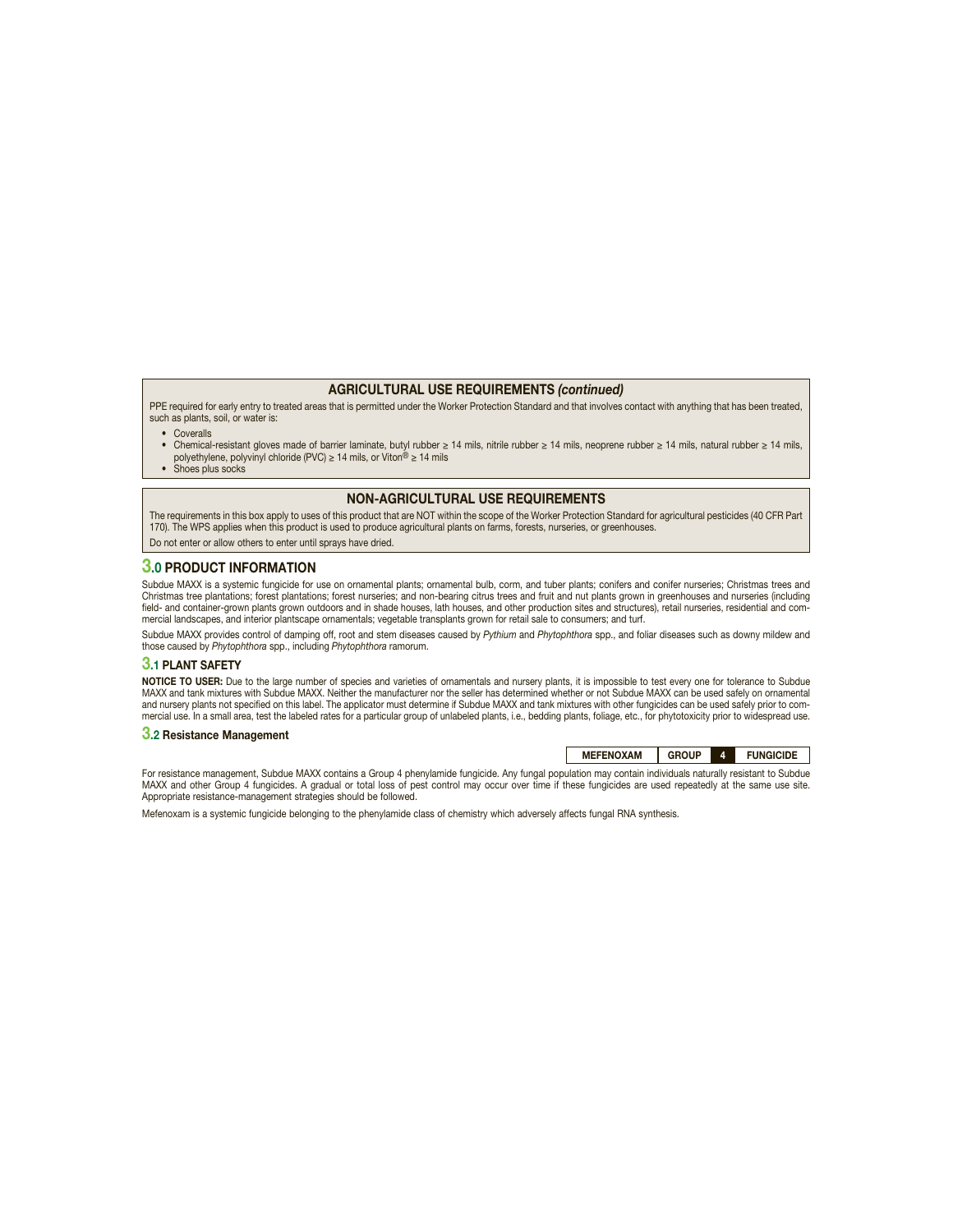#### **AGRICULTURAL USE REQUIREMENTS** *(continued)*

PPE required for early entry to treated areas that is permitted under the Worker Protection Standard and that involves contact with anything that has been treated, such as plants, soil, or water is:

- Coveralls
- Chemical-resistant gloves made of barrier laminate, butyl rubber ≥ 14 mils, nitrile rubber ≥ 14 mils, neoprene rubber ≥ 14 mils, natural rubber ≥ 14 mils, polyethylene, polyvinyl chloride (PVC) ≥ 14 mils, or Viton® ≥ 14 mils
- Shoes plus socks

#### **NON-AGRICULTURAL USE REQUIREMENTS**

The requirements in this box apply to uses of this product that are NOT within the scope of the Worker Protection Standard for agricultural pesticides (40 CFR Part 170). The WPS applies when this product is used to produce agricultural plants on farms, forests, nurseries, or greenhouses.

Do not enter or allow others to enter until sprays have dried.

#### **3.0 PRODUCT INFORMATION**

Subdue MAXX is a systemic fungicide for use on ornamental plants; ornamental bulb, corm, and tuber plants; conifers and conifer nurseries; Christmas trees and Christmas tree plantations; forest plantations; forest nurseries; and non-bearing citrus trees and fruit and nut plants grown in greenhouses and nurseries (including field- and container-grown plants grown outdoors and in shade houses, lath houses, and other production sites and structures), retail nurseries, residential and commercial landscapes, and interior plantscape ornamentals; vegetable transplants grown for retail sale to consumers; and turf.

Subdue MAXX provides control of damping off, root and stem diseases caused by Pythium and Phytophthora spp., and foliar diseases such as downy mildew and those caused by Phytophthora spp., including Phytophthora ramorum.

#### **3.1 PLANT SAFETY**

**NOTICE TO USER:** Due to the large number of species and varieties of ornamentals and nursery plants, it is impossible to test every one for tolerance to Subdue MAXX and tank mixtures with Subdue MAXX. Neither the manufacturer nor the seller has determined whether or not Subdue MAXX can be used safely on ornamental and nursery plants not specified on this label. The applicator must determine if Subdue MAXX and tank mixtures with other fungicides can be used safely prior to com-<br>mercial use. In a small area, test the labeled rates for

#### **3.2 Resistance Management**

**MEFENOXAM GROUP 4 FUNGICIDE**

For resistance management, Subdue MAXX contains a Group 4 phenylamide fungicide. Any fungal population may contain individuals naturally resistant to Subdue MAXX and other Group 4 fungicides. A gradual or total loss of pest control may occur over time if these fungicides are used repeatedly at the same use site. Appropriate resistance-management strategies should be followed.

Mefenoxam is a systemic fungicide belonging to the phenylamide class of chemistry which adversely affects fungal RNA synthesis.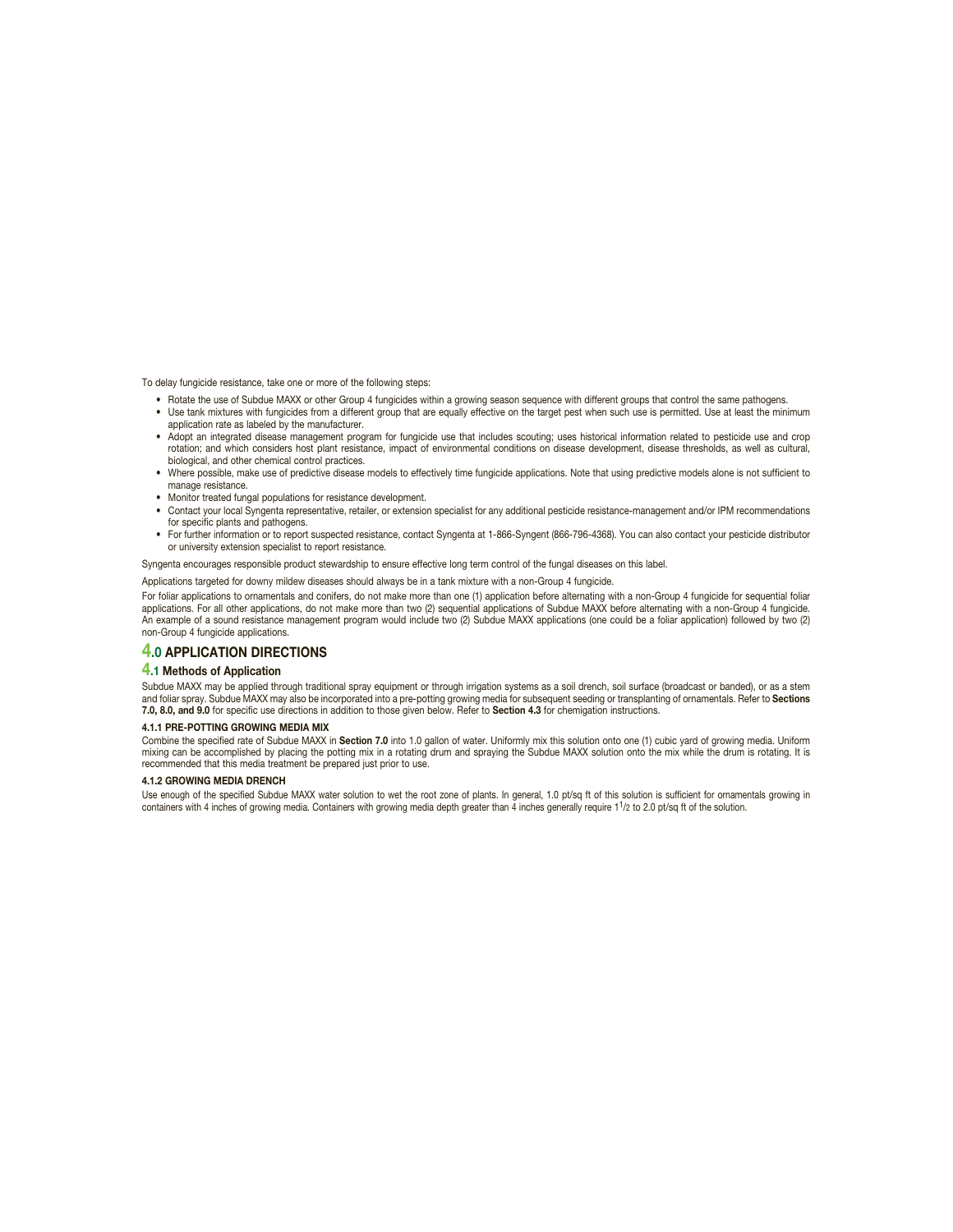To delay fungicide resistance, take one or more of the following steps:

- Rotate the use of Subdue MAXX or other Group 4 fungicides within a growing season sequence with different groups that control the same pathogens.
- Use tank mixtures with fungicides from a different group that are equally effective on the target pest when such use is permitted. Use at least the minimum application rate as labeled by the manufacturer.
- Adopt an integrated disease management program for fungicide use that includes scouting; uses historical information related to pesticide use and crop rotation; and which considers host plant resistance, impact of environmental conditions on disease development, disease thresholds, as well as cultural, biological, and other chemical control practices.
- Where possible, make use of predictive disease models to effectively time fungicide applications. Note that using predictive models alone is not sufficient to manage resistance.
- Monitor treated fungal populations for resistance development.
- Contact your local Syngenta representative, retailer, or extension specialist for any additional pesticide resistance-management and/or IPM recommendations for specific plants and pathogens.
- For further information or to report suspected resistance, contact Syngenta at 1-866-Syngent (866-796-4368). You can also contact your pesticide distributor or university extension specialist to report resistance.

Syngenta encourages responsible product stewardship to ensure effective long term control of the fungal diseases on this label.

Applications targeted for downy mildew diseases should always be in a tank mixture with a non-Group 4 fungicide.

For foliar applications to ornamentals and conifers, do not make more than one (1) application before alternating with a non-Group 4 fungicide for sequential foliar applications. For all other applications, do not make more than two (2) sequential applications of Subdue MAXX before alternating with a non-Group 4 fungicide. An example of a sound resistance management program would include two (2) Subdue MAXX applications (one could be a foliar application) followed by two (2) non-Group 4 fungicide applications.

#### **4.0 APPLICATION DIRECTIONS**

#### **4.1 Methods of Application**

Subdue MAXX may be applied through traditional spray equipment or through irrigation systems as a soil drench, soil surface (broadcast or banded), or as a stem and foliar spray. Subdue MAXX may also be incorporated into a pre-potting growing media for subsequent seeding or transplanting of ornamentals. Refer to **Sections 7.0, 8.0, and 9.0** for specific use directions in addition to those given below. Refer to **Section 4.3** for chemigation instructions.

#### **4.1.1 PRE-POTTING GROWING MEDIA MIX**

Combine the specified rate of Subdue MAXX in **Section 7.0** into 1.0 gallon of water. Uniformly mix this solution onto one (1) cubic yard of growing media. Uniform mixing can be accomplished by placing the potting mix in a rotating drum and spraying the Subdue MAXX solution onto the mix while the drum is rotating. It is recommended that this media treatment be prepared just prior to use.

#### **4.1.2 GROWING MEDIA DRENCH**

Use enough of the specified Subdue MAXX water solution to wet the root zone of plants. In general, 1.0 pt/sq ft of this solution is sufficient for ornamentals growing in containers with 4 inches of growing media. Containers with growing media depth greater than 4 inches generally require 1<sup>1</sup>/2 to 2.0 pt/sq ft of the solution.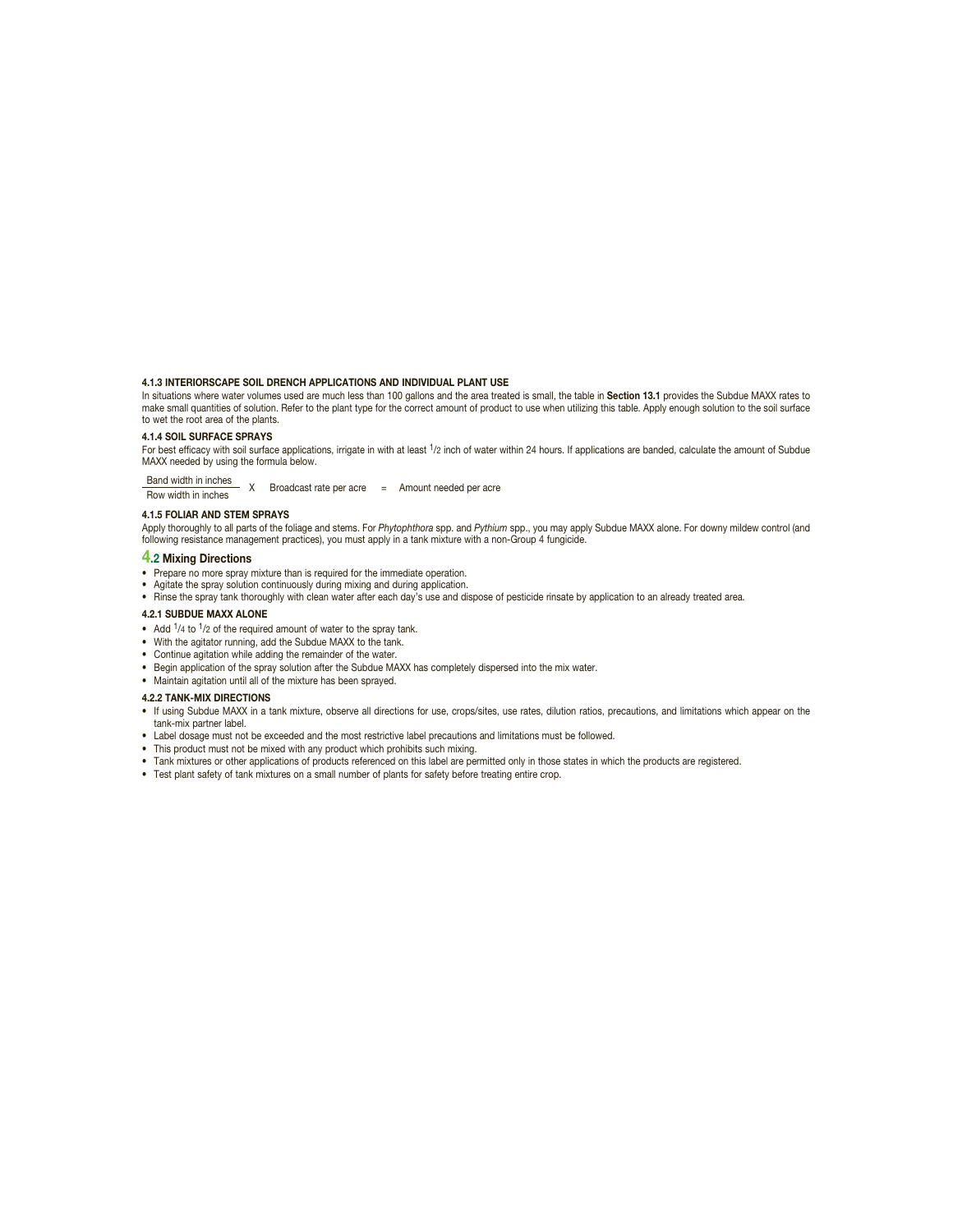#### **4.1.3 INTERIORSCAPE SOIL DRENCH APPLICATIONS AND INDIVIDUAL PLANT USE**

In situations where water volumes used are much less than 100 gallons and the area treated is small, the table in **Section 13.1** provides the Subdue MAXX rates to make small quantities of solution. Refer to the plant type for the correct amount of product to use when utilizing this table. Apply enough solution to the soil surface to wet the root area of the plants.

#### **4.1.4 SOIL SURFACE SPRAYS**

For best efficacy with soil surface applications, irrigate in with at least 1/2 inch of water within 24 hours. If applications are banded, calculate the amount of Subdue MAXX needed by using the formula below.

Band width in inches X Broadcast rate per acre = Amount needed per acre<br>Row width in inches

#### **4.1.5 FOLIAR AND STEM SPRAYS**

Apply thoroughly to all parts of the foliage and stems. For Phytophthora spp. and Pythium spp., you may apply Subdue MAXX alone. For downy mildew control (and following resistance management practices), you must apply in a tank mixture with a non-Group 4 fungicide.

#### **4.2 Mixing Directions**

- Prepare no more spray mixture than is required for the immediate operation.
- 
- Agitate the spray solution continuously during mixing and during application.<br>● Rinse the spray tank thoroughly with clean water after each day's use and dispose of pesticide rinsate by application to an already treated

#### **4.2.1 SUBDUE MAXX ALONE**

- Add  $1/4$  to  $1/2$  of the required amount of water to the spray tank.
- With the agitator running, add the Subdue MAXX to the tank.
- Continue agitation while adding the remainder of the water.
- Begin application of the spray solution after the Subdue MAXX has completely dispersed into the mix water.
- Maintain agitation until all of the mixture has been sprayed.

#### **4.2.2 TANK-MIX DIRECTIONS**

- If using Subdue MAXX in a tank mixture, observe all directions for use, crops/sites, use rates, dilution ratios, precautions, and limitations which appear on the tank-mix partner label.
- Label dosage must not be exceeded and the most restrictive label precautions and limitations must be followed.
- This product must not be mixed with any product which prohibits such mixing.
- Tank mixtures or other applications of products referenced on this label are permitted only in those states in which the products are registered.
- Test plant safety of tank mixtures on a small number of plants for safety before treating entire crop.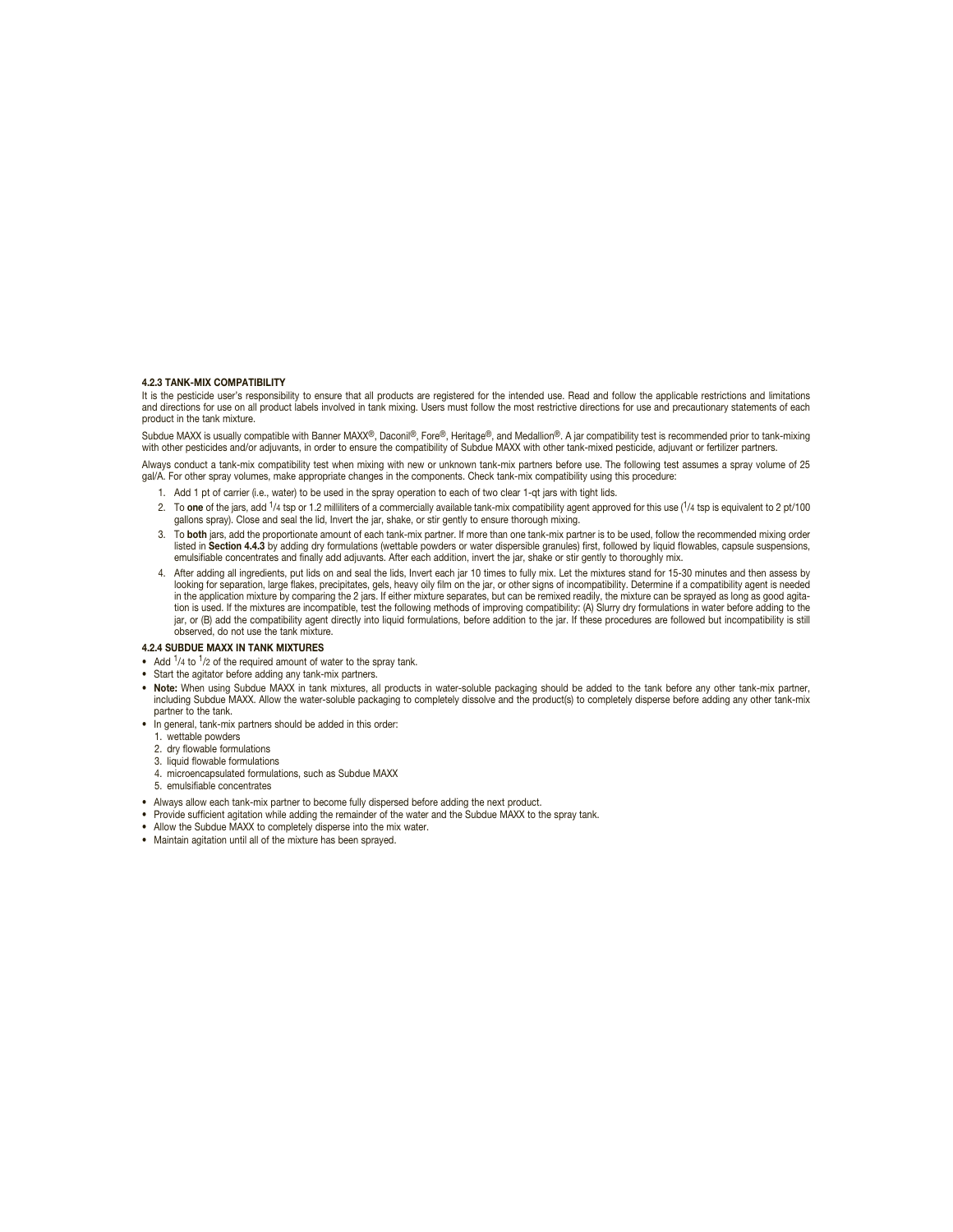#### **4.2.3 TANK-MIX COMPATIBILITY**

It is the pesticide user's responsibility to ensure that all products are registered for the intended use. Read and follow the applicable restrictions and limitations<br>and directions for use on all product labels involved i product in the tank mixture.

Subdue MAXX is usually compatible with Banner MAXX®, Daconil®, Fore®, Heritage®, and Medallion®. A jar compatibility test is recommended prior to tank-mixing with other pesticides and/or adjuvants, in order to ensure the compatibility of Subdue MAXX with other tank-mixed pesticide, adjuvant or fertilizer partners.

Always conduct a tank-mix compatibility test when mixing with new or unknown tank-mix partners before use. The following test assumes a spray volume of 25 gal/A. For other spray volumes, make appropriate changes in the components. Check tank-mix compatibility using this procedure:

- 1. Add 1 pt of carrier (i.e., water) to be used in the spray operation to each of two clear 1-qt jars with tight lids.
- 2. To **one** of the jars, add 1/4 tsp or 1.2 milliliters of a commercially available tank-mix compatibility agent approved for this use (1/4 tsp is equivalent to 2 pt/100 gallons spray). Close and seal the lid, Invert the jar, shake, or stir gently to ensure thorough mixing.
- 3. To **both** jars, add the proportionate amount of each tank-mix partner. If more than one tank-mix partner is to be used, follow the recommended mixing order listed in **Section 4.4.3** by adding dry formulations (wettable powders or water dispersible granules) first, followed by liquid flowables, capsule suspensions, emulsifiable concentrates and finally add adjuvants. After each addition, invert the jar, shake or stir gently to thoroughly mix.
- 4. After adding all ingredients, put lids on and seal the lids, Invert each jar 10 times to fully mix. Let the mixtures stand for 15-30 minutes and then assess by<br>looking for separation, large flakes, precipitates, gels, h tion is used. If the mixtures are incompatible, test the following methods of improving compatibility: (A) Slurry dry formulations in water before adding to the jar, or (B) add the compatibility agent directly into liquid formulations, before addition to the jar. If these procedures are followed but incompatibility is still observed, do not use the tank mixture.

#### **4.2.4 SUBDUE MAXX IN TANK MIXTURES**

- Add  $1/4$  to  $1/2$  of the required amount of water to the spray tank.
- Start the agitator before adding any tank-mix partners.
- **Note:** When using Subdue MAXX in tank mixtures, all products in water-soluble packaging should be added to the tank before any other tank-mix partner, including Subdue MAXX. Allow the water-soluble packaging to completely dissolve and the product(s) to completely disperse before adding any other tank-mix partner to the tank.
- In general, tank-mix partners should be added in this order:
	- 1. wettable powders
	- 2. dry flowable formulations
	- 3. liquid flowable formulations
	- 4. microencapsulated formulations, such as Subdue MAXX
	- 5. emulsifiable concentrates
- Always allow each tank-mix partner to become fully dispersed before adding the next product.
- Provide sufficient agitation while adding the remainder of the water and the Subdue MAXX to the spray tank.
- Allow the Subdue MAXX to completely disperse into the mix water.
- Maintain agitation until all of the mixture has been sprayed.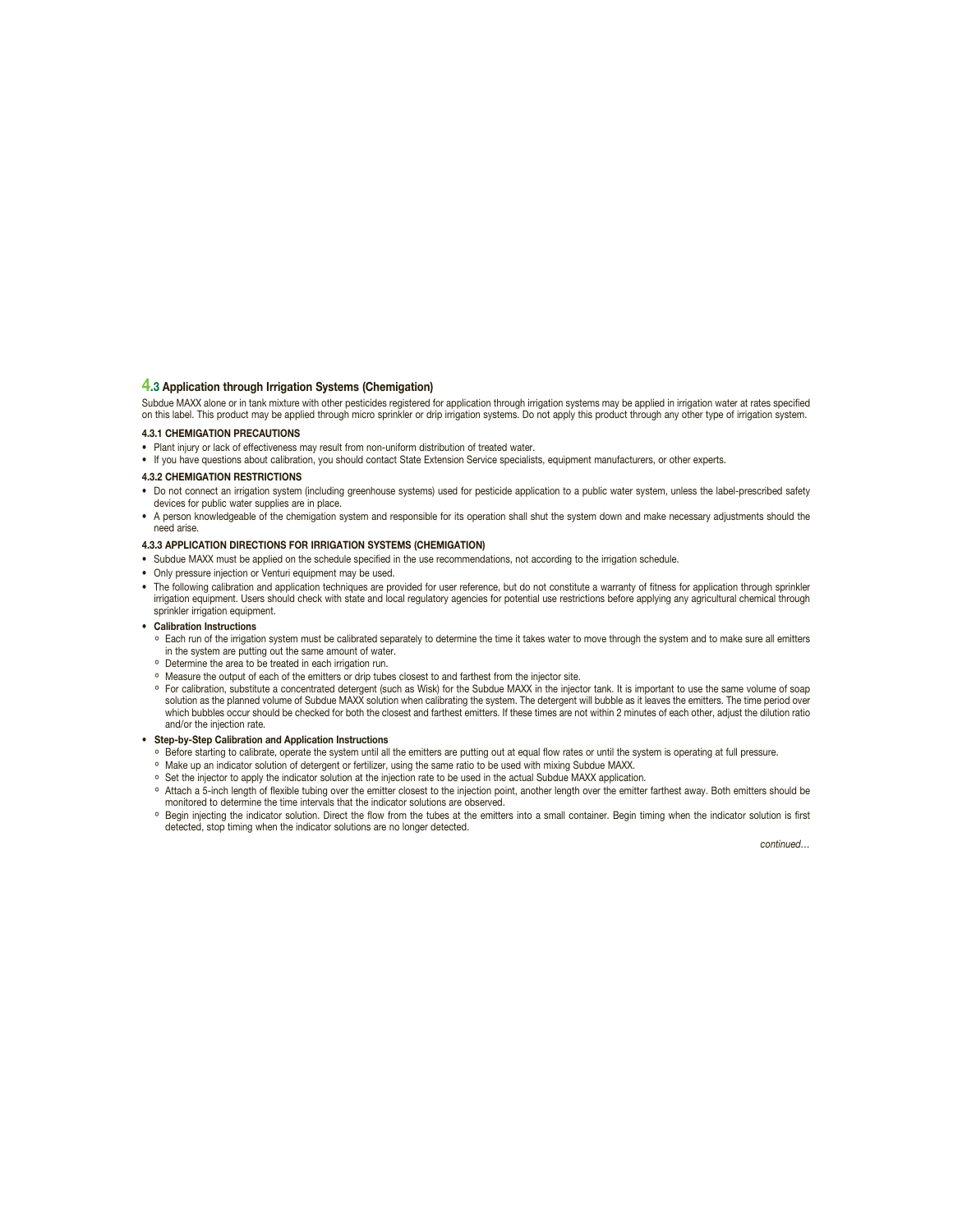#### **4.3 Application through Irrigation Systems (Chemigation)**

Subdue MAXX alone or in tank mixture with other pesticides registered for application through irrigation systems may be applied in irrigation water at rates specified on this label. This product may be applied through micro sprinkler or drip irrigation systems. Do not apply this product through any other type of irrigation system.

#### **4.3.1 CHEMIGATION PRECAUTIONS**

• Plant injury or lack of effectiveness may result from non-uniform distribution of treated water.

• If you have questions about calibration, you should contact State Extension Service specialists, equipment manufacturers, or other experts.

#### **4.3.2 CHEMIGATION RESTRICTIONS**

- Do not connect an irrigation system (including greenhouse systems) used for pesticide application to a public water system, unless the label-prescribed safety devices for public water supplies are in place.
- A person knowledgeable of the chemigation system and responsible for its operation shall shut the system down and make necessary adjustments should the need arise.

#### **4.3.3 APPLICATION DIRECTIONS FOR IRRIGATION SYSTEMS (CHEMIGATION)**

- Subdue MAXX must be applied on the schedule specified in the use recommendations, not according to the irrigation schedule.
- Only pressure injection or Venturi equipment may be used.
- The following calibration and application techniques are provided for user reference, but do not constitute a warranty of fitness for application through sprinkler irrigation equipment. Users should check with state and local regulatory agencies for potential use restrictions before applying any agricultural chemical through sprinkler irrigation equipment.
- **Calibration Instructions**
	- ° Each run of the irrigation system must be calibrated separately to determine the time it takes water to move through the system and to make sure all emitters in the system are putting out the same amount of water.
	- ° Determine the area to be treated in each irrigation run.
	- ° Measure the output of each of the emitters or drip tubes closest to and farthest from the injector site.
	- ° For calibration, substitute a concentrated detergent (such as Wisk) for the Subdue MAXX in the injector tank. It is important to use the same volume of soap solution as the planned volume of Subdue MAXX solution when calibrating the system. The detergent will bubble as it leaves the emitters. The time period over which bubbles occur should be checked for both the closest and farthest emitters. If these times are not within 2 minutes of each other, adjust the dilution ratio and/or the injection rate.

#### **• Step-by-Step Calibration and Application Instructions**

- ° Before starting to calibrate, operate the system until all the emitters are putting out at equal flow rates or until the system is operating at full pressure.
- ° Make up an indicator solution of detergent or fertilizer, using the same ratio to be used with mixing Subdue MAXX.
- ° Set the injector to apply the indicator solution at the injection rate to be used in the actual Subdue MAXX application.
- ° Attach a 5-inch length of flexible tubing over the emitter closest to the injection point, another length over the emitter farthest away. Both emitters should be monitored to determine the time intervals that the indicator solutions are observed.
- ° Begin injecting the indicator solution. Direct the flow from the tubes at the emitters into a small container. Begin timing when the indicator solution is first detected, stop timing when the indicator solutions are no longer detected.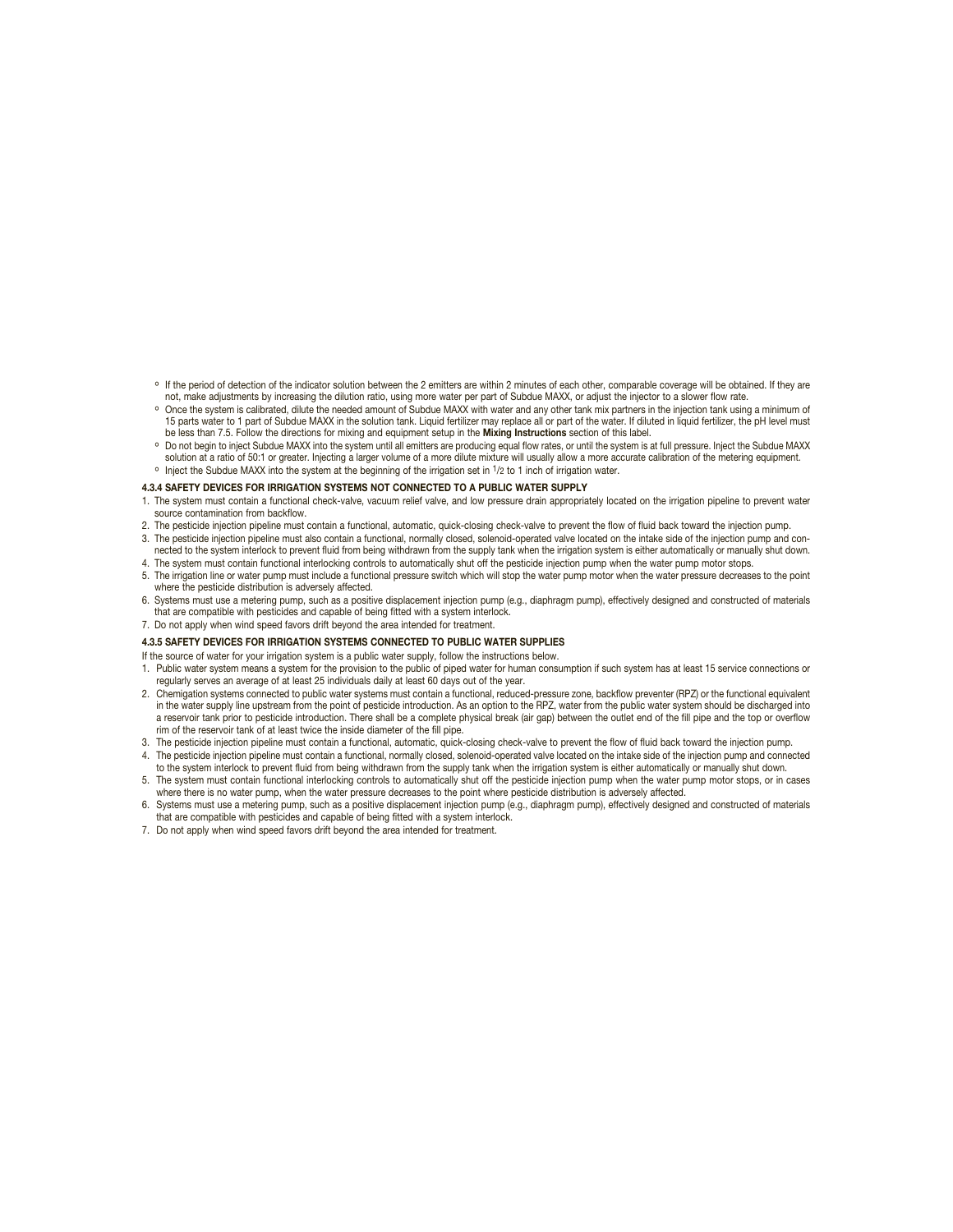- ° If the period of detection of the indicator solution between the 2 emitters are within 2 minutes of each other, comparable coverage will be obtained. If they are not, make adjustments by increasing the dilution ratio, using more water per part of Subdue MAXX, or adjust the injector to a slower flow rate.
- ° Once the system is calibrated, dilute the needed amount of Subdue MAXX with water and any other tank mix partners in the injection tank using a minimum of 15 parts water to 1 part of Subdue MAXX in the solution tank. Liquid fertilizer may replace all or part of the water. If diluted in liquid fertilizer, the pH level must be less than 7.5. Follow the directions for mixing and equipment setup in the **Mixing Instructions** section of this label.
- ° Do not begin to inject Subdue MAXX into the system until all emitters are producing equal flow rates, or until the system is at full pressure. Inject the Subdue MAXX solution at a ratio of 50:1 or greater. Injecting a larger volume of a more dilute mixture will usually allow a more accurate calibration of the metering equipment. ° Inject the Subdue MAXX into the system at the beginning of the irrigation set in 1/2 to 1 inch of irrigation water.

#### **4.3.4 SAFETY DEVICES FOR IRRIGATION SYSTEMS NOT CONNECTED TO A PUBLIC WATER SUPPLY**

- 1. The system must contain a functional check-valve, vacuum relief valve, and low pressure drain appropriately located on the irrigation pipeline to prevent water source contamination from backflow.
- 2. The pesticide injection pipeline must contain a functional, automatic, quick-closing check-valve to prevent the flow of fluid back toward the injection pump.
- 3. The pesticide injection pipeline must also contain a functional, normally closed, solenoid-operated valve located on the intake side of the injection pump and connected to the system interlock to prevent fluid from being withdrawn from the supply tank when the irrigation system is either automatically or manually shut down.
- 4. The system must contain functional interlocking controls to automatically shut off the pesticide injection pump when the water pump motor stops. 5. The irrigation line or water pump must include a functional pressure switch which will stop the water pump motor when the water pressure decreases to the point where the pesticide distribution is adversely affected.
- 6. Systems must use a metering pump, such as a positive displacement injection pump (e.g., diaphragm pump), effectively designed and constructed of materials that are compatible with pesticides and capable of being fitted with a system interlock.
- 7. Do not apply when wind speed favors drift beyond the area intended for treatment.

#### **4.3.5 SAFETY DEVICES FOR IRRIGATION SYSTEMS CONNECTED TO PUBLIC WATER SUPPLIES**

If the source of water for your irrigation system is a public water supply, follow the instructions below.

- 1. Public water system means a system for the provision to the public of piped water for human consumption if such system has at least 15 service connections or regularly serves an average of at least 25 individuals daily at least 60 days out of the year.
- 2. Chemigation systems connected to public water systems must contain a functional, reduced-pressure zone, backflow preventer (RPZ) or the functional equivalent in the water supply line upstream from the point of pesticide introduction. As an option to the RPZ, water from the public water system should be discharged into a reservoir tank prior to pesticide introduction. There shall be a complete physical break (air gap) between the outlet end of the fill pipe and the top or overflow rim of the reservoir tank of at least twice the inside diameter of the fill pipe.
- 3. The pesticide injection pipeline must contain a functional, automatic, quick-closing check-valve to prevent the flow of fluid back toward the injection pump.
- 4. The pesticide injection pipeline must contain a functional, normally closed, solenoid-operated valve located on the intake side of the injection pump and connected to the system interlock to prevent fluid from being withdrawn from the supply tank when the irrigation system is either automatically or manually shut down.
- 5. The system must contain functional interlocking controls to automatically shut off the pesticide injection pump when the water pump motor stops, or in cases where there is no water pump, when the water pressure decreases to the point where pesticide distribution is adversely affected.
- 6. Systems must use a metering pump, such as a positive displacement injection pump (e.g., diaphragm pump), effectively designed and constructed of materials that are compatible with pesticides and capable of being fitted with a system interlock.
- 7. Do not apply when wind speed favors drift beyond the area intended for treatment.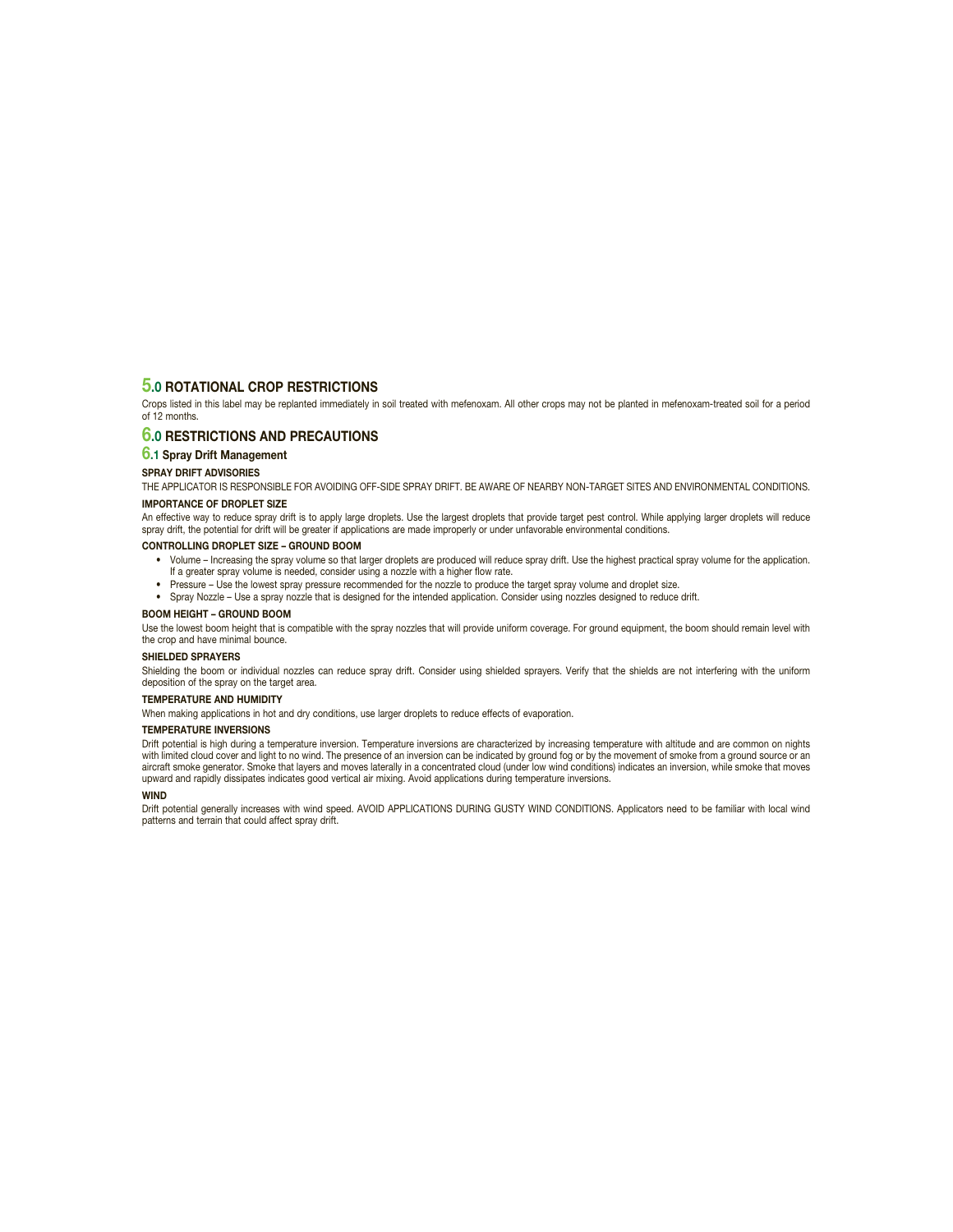### **5.0 ROTATIONAL CROP RESTRICTIONS**

Crops listed in this label may be replanted immediately in soil treated with mefenoxam. All other crops may not be planted in mefenoxam-treated soil for a period of 12 months.

## **6.0 RESTRICTIONS AND PRECAUTIONS**

#### **6.1 Spray Drift Management**

#### **SPRAY DRIFT ADVISORIES**

THE APPLICATOR IS RESPONSIBLE FOR AVOIDING OFF-SIDE SPRAY DRIFT. BE AWARE OF NEARBY NON-TARGET SITES AND ENVIRONMENTAL CONDITIONS. **IMPORTANCE OF DROPLET SIZE**

An effective way to reduce spray drift is to apply large droplets. Use the largest droplets that provide target pest control. While applying larger droplets will reduce spray drift, the potential for drift will be greater if applications are made improperly or under unfavorable environmental conditions.

#### **CONTROLLING DROPLET SIZE – GROUND BOOM**

- Volume Increasing the spray volume so that larger droplets are produced will reduce spray drift. Use the highest practical spray volume for the application. If a greater spray volume is needed, consider using a nozzle with a higher flow rate.
- Pressure Use the lowest spray pressure recommended for the nozzle to produce the target spray volume and droplet size.
- Spray Nozzle Use a spray nozzle that is designed for the intended application. Consider using nozzles designed to reduce drift.

#### **BOOM HEIGHT – GROUND BOOM**

Use the lowest boom height that is compatible with the spray nozzles that will provide uniform coverage. For ground equipment, the boom should remain level with the crop and have minimal bounce.

#### **SHIELDED SPRAYERS**

Shielding the boom or individual nozzles can reduce spray drift. Consider using shielded sprayers. Verify that the shields are not interfering with the uniform deposition of the spray on the target area.

#### **TEMPERATURE AND HUMIDITY**

When making applications in hot and dry conditions, use larger droplets to reduce effects of evaporation.

#### **TEMPERATURE INVERSIONS**

Drift potential is high during a temperature inversion. Temperature inversions are characterized by increasing temperature with altitude and are common on nights with limited cloud cover and light to no wind. The presence of an inversion can be indicated by ground fog or by the movement of smoke from a ground source or an aircraft smoke generator. Smoke that layers and moves laterally in a concentrated cloud (under low wind conditions) indicates an inversion, while smoke that moves upward and rapidly dissipates indicates good vertical air mixing. Avoid applications during temperature inversions.

#### **WIND**

Drift potential generally increases with wind speed. AVOID APPLICATIONS DURING GUSTY WIND CONDITIONS. Applicators need to be familiar with local wind patterns and terrain that could affect spray drift.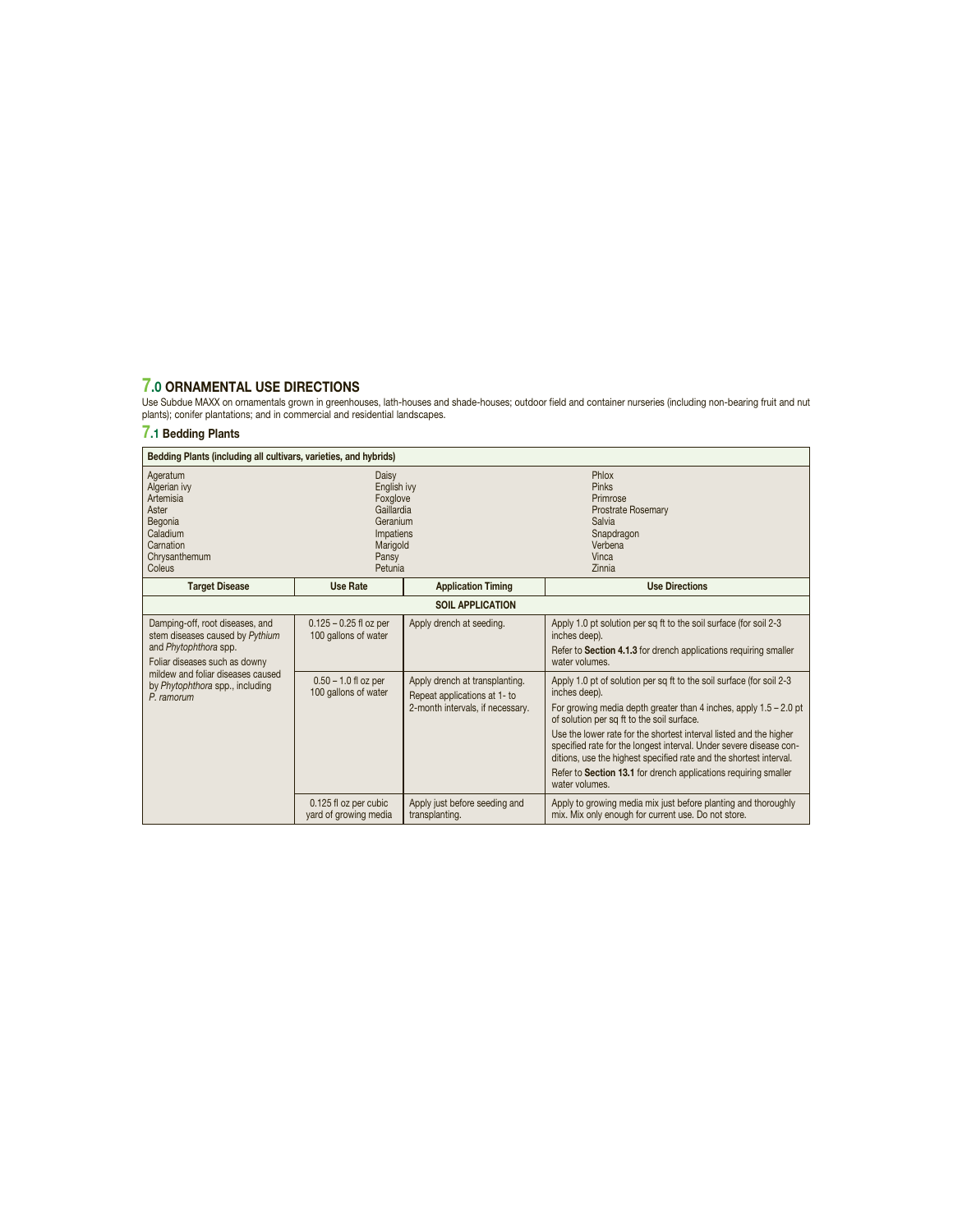7.0 ORNAMENTAL USE DIRECTIONS<br>Use Subdue MAXX on ornamentals grown in greenhouses, lath-houses and shade-houses; outdoor field and container nurseries (including non-bearing fruit and nut<br>plants); conifer plantations; and

## **7.1 Bedding Plants**

| Bedding Plants (including all cultivars, varieties, and hybrids)                                                             |                                                                                                         |                                                                                                    |                                                                                                                                                                                                                                                                                                                                                                                                                                                                                                                   |  |
|------------------------------------------------------------------------------------------------------------------------------|---------------------------------------------------------------------------------------------------------|----------------------------------------------------------------------------------------------------|-------------------------------------------------------------------------------------------------------------------------------------------------------------------------------------------------------------------------------------------------------------------------------------------------------------------------------------------------------------------------------------------------------------------------------------------------------------------------------------------------------------------|--|
| Ageratum<br>Algerian ivy<br>Artemisia<br>Aster<br>Begonia<br>Caladium<br>Carnation<br>Chrysanthemum<br>Coleus                | Daisy<br>English ivy<br>Foxglove<br>Gaillardia<br>Geranium<br>Impatiens<br>Marigold<br>Pansy<br>Petunia |                                                                                                    | Phlox<br>Pinks<br>Primrose<br>Prostrate Rosemary<br>Salvia<br>Snapdragon<br>Verbena<br>Vinca<br>Zinnia                                                                                                                                                                                                                                                                                                                                                                                                            |  |
| <b>Target Disease</b>                                                                                                        | <b>Use Rate</b>                                                                                         | <b>Application Timing</b>                                                                          | <b>Use Directions</b>                                                                                                                                                                                                                                                                                                                                                                                                                                                                                             |  |
| <b>SOIL APPLICATION</b>                                                                                                      |                                                                                                         |                                                                                                    |                                                                                                                                                                                                                                                                                                                                                                                                                                                                                                                   |  |
| Damping-off, root diseases, and<br>stem diseases caused by Pythium<br>and Phytophthora spp.<br>Foliar diseases such as downy | $0.125 - 0.25$ fl oz per<br>100 gallons of water                                                        | Apply drench at seeding.                                                                           | Apply 1.0 pt solution per sq ft to the soil surface (for soil 2-3<br>inches deep).<br>Refer to Section 4.1.3 for drench applications requiring smaller<br>water volumes.                                                                                                                                                                                                                                                                                                                                          |  |
| mildew and foliar diseases caused<br>by Phytophthora spp., including<br>P. ramorum                                           | $0.50 - 1.0$ fl oz per<br>100 gallons of water                                                          | Apply drench at transplanting.<br>Repeat applications at 1- to<br>2-month intervals, if necessary. | Apply 1.0 pt of solution per sq ft to the soil surface (for soil 2-3<br>inches deep).<br>For growing media depth greater than 4 inches, apply $1.5 - 2.0$ pt<br>of solution per sq ft to the soil surface.<br>Use the lower rate for the shortest interval listed and the higher<br>specified rate for the longest interval. Under severe disease con-<br>ditions, use the highest specified rate and the shortest interval.<br>Refer to Section 13.1 for drench applications requiring smaller<br>water volumes. |  |
|                                                                                                                              | 0.125 fl oz per cubic<br>yard of growing media                                                          | Apply just before seeding and<br>transplanting.                                                    | Apply to growing media mix just before planting and thoroughly<br>mix. Mix only enough for current use. Do not store.                                                                                                                                                                                                                                                                                                                                                                                             |  |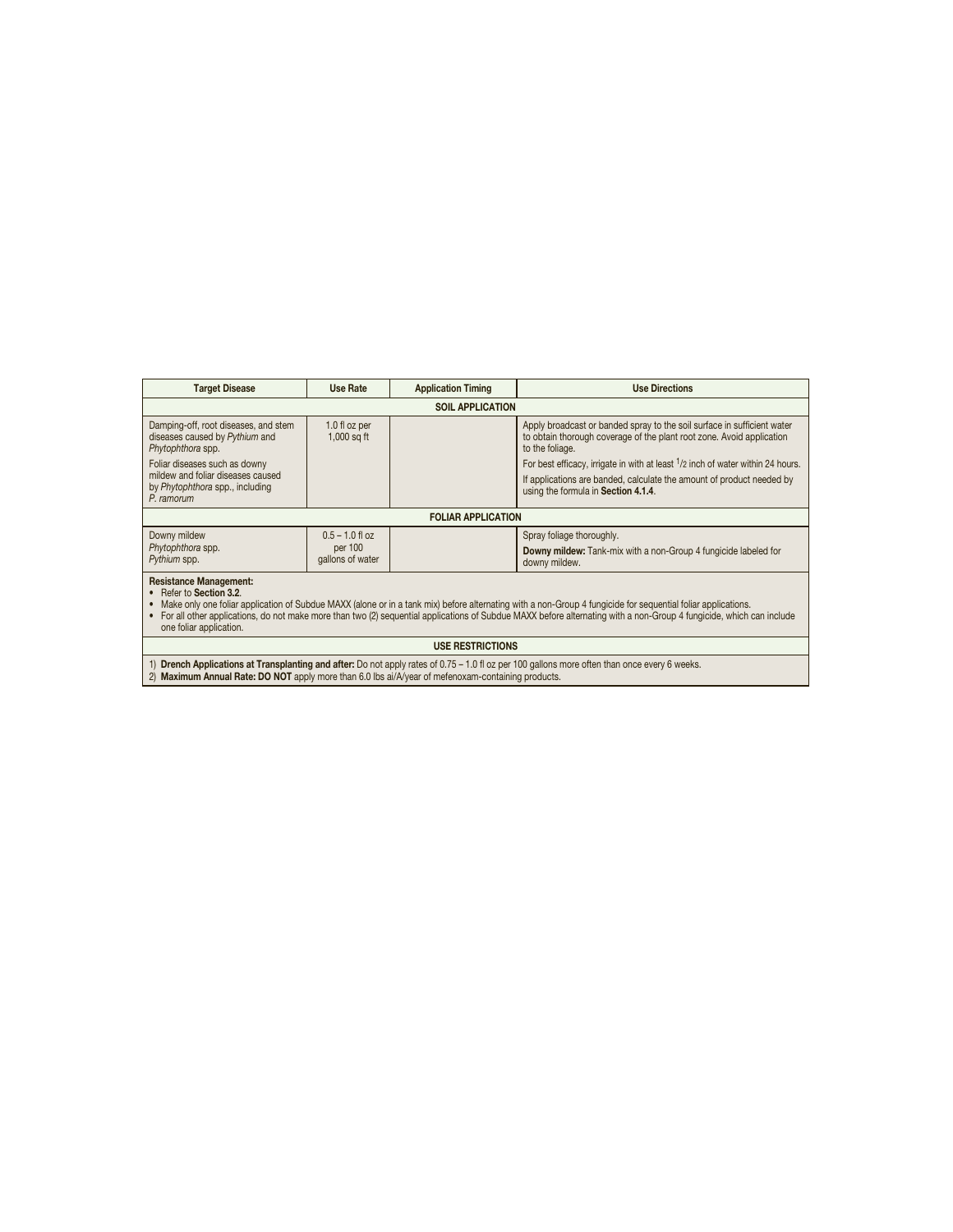| <b>Target Disease</b>                                                                                                                                                                                                                                                                                                                                                                                                    | Use Rate                       | <b>Application Timing</b> | <b>Use Directions</b>                                                                                                                                               |  |
|--------------------------------------------------------------------------------------------------------------------------------------------------------------------------------------------------------------------------------------------------------------------------------------------------------------------------------------------------------------------------------------------------------------------------|--------------------------------|---------------------------|---------------------------------------------------------------------------------------------------------------------------------------------------------------------|--|
|                                                                                                                                                                                                                                                                                                                                                                                                                          | <b>SOIL APPLICATION</b>        |                           |                                                                                                                                                                     |  |
| Damping-off, root diseases, and stem<br>diseases caused by Pythium and<br>Phytophthora spp.                                                                                                                                                                                                                                                                                                                              | 1.0 fl oz per<br>$1,000$ sq ft |                           | Apply broadcast or banded spray to the soil surface in sufficient water<br>to obtain thorough coverage of the plant root zone. Avoid application<br>to the foliage. |  |
| Foliar diseases such as downy                                                                                                                                                                                                                                                                                                                                                                                            |                                |                           | For best efficacy, irrigate in with at least <sup>1</sup> /2 inch of water within 24 hours.                                                                         |  |
| mildew and foliar diseases caused<br>by Phytophthora spp., including<br>$P$ ramorum                                                                                                                                                                                                                                                                                                                                      |                                |                           | If applications are banded, calculate the amount of product needed by<br>using the formula in Section 4.1.4.                                                        |  |
|                                                                                                                                                                                                                                                                                                                                                                                                                          | <b>FOLIAR APPLICATION</b>      |                           |                                                                                                                                                                     |  |
| Downy mildew<br>$0.5 - 1.0$ fl oz<br>Spray foliage thoroughly.<br>Phytophthora spp.<br>per 100<br>Downy mildew: Tank-mix with a non-Group 4 fungicide labeled for<br>gallons of water<br>Pythium spp.<br>downy mildew.                                                                                                                                                                                                   |                                |                           |                                                                                                                                                                     |  |
| <b>Resistance Management:</b><br>Refer to Section 3.2.<br>Make only one foliar application of Subdue MAXX (alone or in a tank mix) before alternating with a non-Group 4 fungicide for sequential foliar applications.<br>For all other applications, do not make more than two (2) sequential applications of Subdue MAXX before alternating with a non-Group 4 fungicide, which can include<br>one foliar application. |                                |                           |                                                                                                                                                                     |  |
| <b>USE RESTRICTIONS</b>                                                                                                                                                                                                                                                                                                                                                                                                  |                                |                           |                                                                                                                                                                     |  |
| <b>Drench Applications at Transplanting and after:</b> Do not apply rates of 0.75 – 1.0 fl oz per 100 gallons more often than once every 6 weeks.<br>2) Maximum Annual Rate: DO NOT apply more than 6.0 lbs ai/A/year of mefenoxam-containing products.                                                                                                                                                                  |                                |                           |                                                                                                                                                                     |  |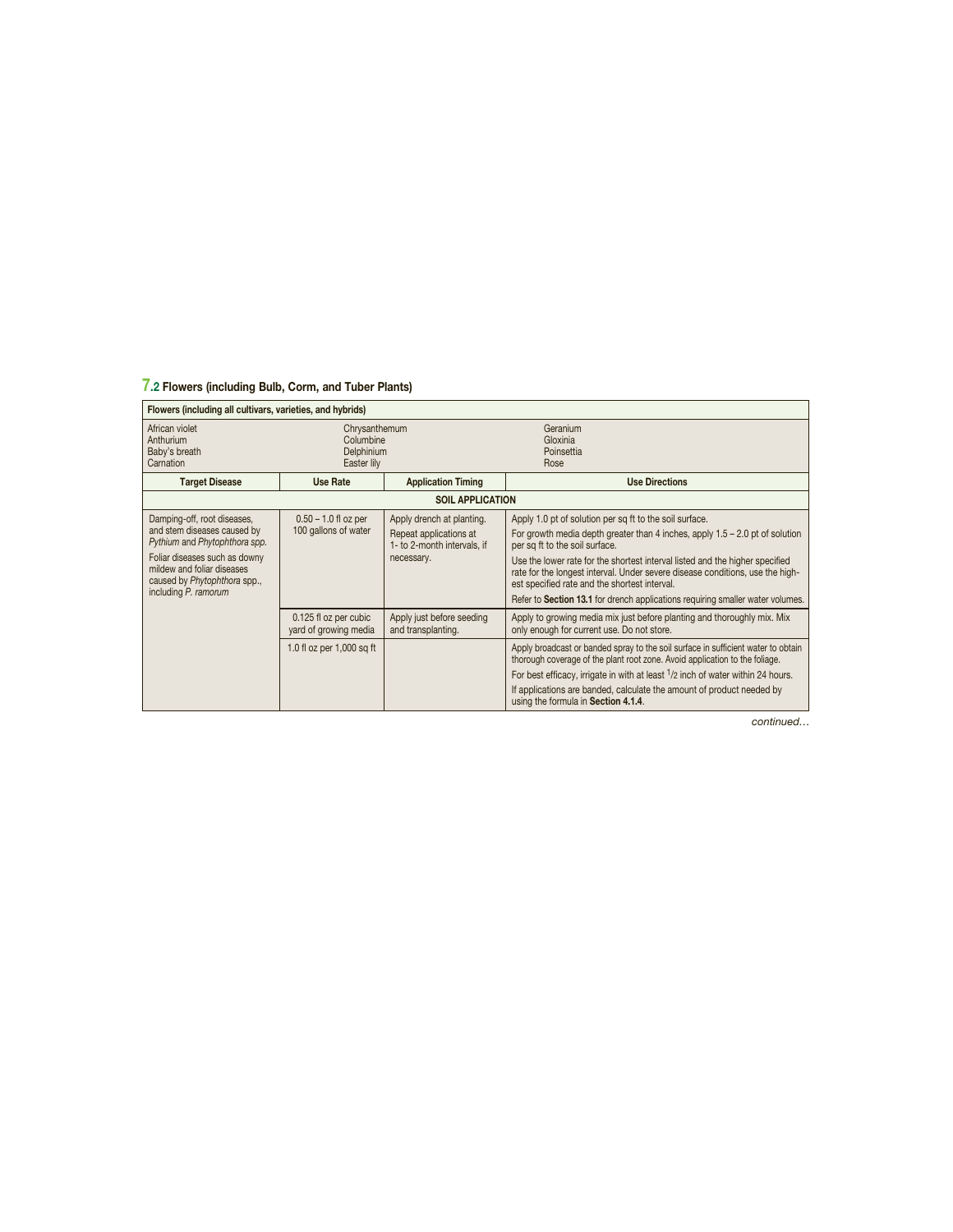## **7.2 Flowers (including Bulb, Corm, and Tuber Plants)**

| Flowers (including all cultivars, varieties, and hybrids)                                                                                                                                                          |                                                         |                                                                                                  |                                                                                                                                                                                                                                                                                                                                                                                                                                                                                 |  |
|--------------------------------------------------------------------------------------------------------------------------------------------------------------------------------------------------------------------|---------------------------------------------------------|--------------------------------------------------------------------------------------------------|---------------------------------------------------------------------------------------------------------------------------------------------------------------------------------------------------------------------------------------------------------------------------------------------------------------------------------------------------------------------------------------------------------------------------------------------------------------------------------|--|
| African violet<br>Anthurium<br>Baby's breath<br>Carnation                                                                                                                                                          | Chrysanthemum<br>Columbine<br>Delphinium<br>Easter lily |                                                                                                  | Geranium<br>Gloxinia<br>Poinsettia<br>Rose                                                                                                                                                                                                                                                                                                                                                                                                                                      |  |
| <b>Target Disease</b>                                                                                                                                                                                              | Use Rate                                                | <b>Application Timing</b>                                                                        | <b>Use Directions</b>                                                                                                                                                                                                                                                                                                                                                                                                                                                           |  |
|                                                                                                                                                                                                                    |                                                         | <b>SOIL APPLICATION</b>                                                                          |                                                                                                                                                                                                                                                                                                                                                                                                                                                                                 |  |
| Damping-off, root diseases,<br>and stem diseases caused by<br>Pythium and Phytophthora spp.<br>Foliar diseases such as downy<br>mildew and foliar diseases<br>caused by Phytophthora spp.,<br>including P. ramorum | $0.50 - 1.0$ fl oz per<br>100 gallons of water          | Apply drench at planting.<br>Repeat applications at<br>1- to 2-month intervals. if<br>necessary. | Apply 1.0 pt of solution per sq ft to the soil surface.<br>For growth media depth greater than 4 inches, apply $1.5 - 2.0$ pt of solution<br>per sq ft to the soil surface.<br>Use the lower rate for the shortest interval listed and the higher specified<br>rate for the longest interval. Under severe disease conditions, use the high-<br>est specified rate and the shortest interval.<br>Refer to Section 13.1 for drench applications requiring smaller water volumes. |  |
|                                                                                                                                                                                                                    | 0.125 fl oz per cubic<br>yard of growing media          | Apply just before seeding<br>and transplanting.                                                  | Apply to growing media mix just before planting and thoroughly mix. Mix<br>only enough for current use. Do not store.                                                                                                                                                                                                                                                                                                                                                           |  |
|                                                                                                                                                                                                                    | 1.0 fl oz per $1,000$ sq ft                             |                                                                                                  | Apply broadcast or banded spray to the soil surface in sufficient water to obtain<br>thorough coverage of the plant root zone. Avoid application to the foliage.<br>For best efficacy, irrigate in with at least <sup>1</sup> /2 inch of water within 24 hours.<br>If applications are banded, calculate the amount of product needed by<br>using the formula in Section 4.1.4.                                                                                                 |  |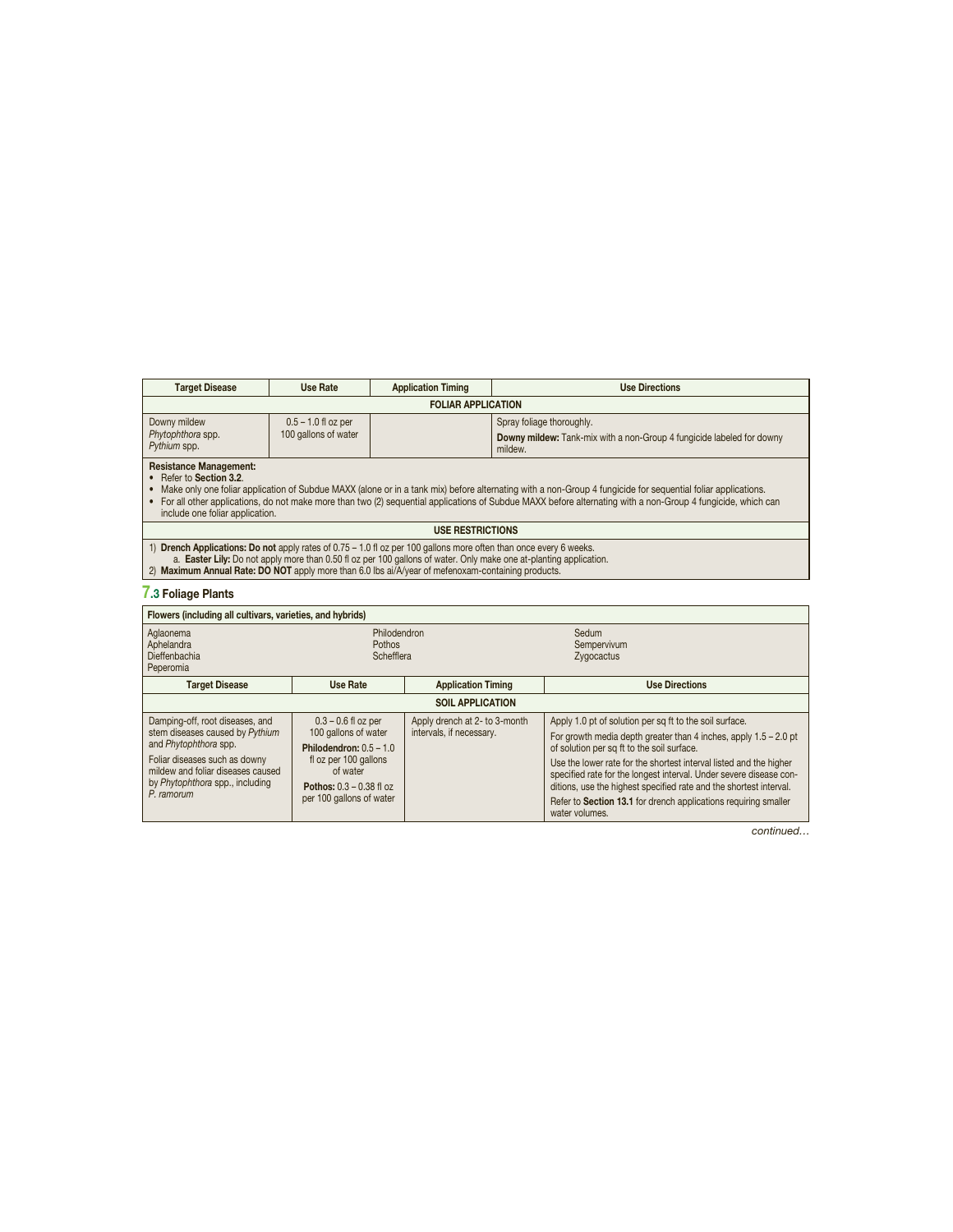| <b>Target Disease</b>                             | Use Rate                                      | <b>Application Timing</b> | <b>Use Directions</b>                                                                                         |
|---------------------------------------------------|-----------------------------------------------|---------------------------|---------------------------------------------------------------------------------------------------------------|
| <b>FOLIAR APPLICATION</b>                         |                                               |                           |                                                                                                               |
| Downy mildew<br>Phytophthora spp.<br>Pythium spp. | $0.5 - 1.0$ fl oz per<br>100 gallons of water |                           | Spray foliage thoroughly.<br>Downy mildew: Tank-mix with a non-Group 4 fungicide labeled for downy<br>mildew. |
| <b>Resistance Management:</b>                     |                                               |                           |                                                                                                               |

Resistance Management:<br>• Refer to Section 3.2.<br>« Make only one foliar application of Subdue MAXX (alone or in a tank mix) before alternating with a non-Group 4 fungicide for sequential foliar applications.<br>• For all other

#### **USE RESTRICTIONS**

1) Drench Applications: Do not apply rates of 0.75 – 1.0 fl oz per 100 gallons more often than once every 6 weeks.<br>a. Easter Lily: Do not apply more than 0.50 fl oz per 100 gallons of water. Only make one at-planting app

#### **7.3 Foliage Plants**

| Flowers (including all cultivars, varieties, and hybrids)                                                                                                                                                          |                                                                                                                                                                                  |                                                           |                                                                                                                                                                                                                                                                                                                                                                                                                                                                                    |  |
|--------------------------------------------------------------------------------------------------------------------------------------------------------------------------------------------------------------------|----------------------------------------------------------------------------------------------------------------------------------------------------------------------------------|-----------------------------------------------------------|------------------------------------------------------------------------------------------------------------------------------------------------------------------------------------------------------------------------------------------------------------------------------------------------------------------------------------------------------------------------------------------------------------------------------------------------------------------------------------|--|
| Aglaonema<br>Aphelandra<br>Dieffenbachia<br>Peperomia                                                                                                                                                              | Philodendron<br><b>Pothos</b><br>Schefflera                                                                                                                                      |                                                           | Sedum<br>Sempervivum<br>Zygocactus                                                                                                                                                                                                                                                                                                                                                                                                                                                 |  |
| <b>Target Disease</b>                                                                                                                                                                                              | Use Rate                                                                                                                                                                         | <b>Application Timing</b>                                 | <b>Use Directions</b>                                                                                                                                                                                                                                                                                                                                                                                                                                                              |  |
| <b>SOIL APPLICATION</b>                                                                                                                                                                                            |                                                                                                                                                                                  |                                                           |                                                                                                                                                                                                                                                                                                                                                                                                                                                                                    |  |
| Damping-off, root diseases, and<br>stem diseases caused by Pythium<br>and Phytophthora spp.<br>Foliar diseases such as downy<br>mildew and foliar diseases caused<br>by Phytophthora spp., including<br>P. ramorum | $0.3 - 0.6$ fl oz per<br>100 gallons of water<br>Philodendron: $0.5 - 1.0$<br>fl oz per 100 gallons<br>of water<br><b>Pothos:</b> $0.3 - 0.38$ fl oz<br>per 100 gallons of water | Apply drench at 2- to 3-month<br>intervals, if necessary. | Apply 1.0 pt of solution per sq ft to the soil surface.<br>For growth media depth greater than 4 inches, apply $1.5 - 2.0$ pt<br>of solution per sq ft to the soil surface.<br>Use the lower rate for the shortest interval listed and the higher<br>specified rate for the longest interval. Under severe disease con-<br>ditions, use the highest specified rate and the shortest interval.<br>Refer to Section 13.1 for drench applications requiring smaller<br>water volumes. |  |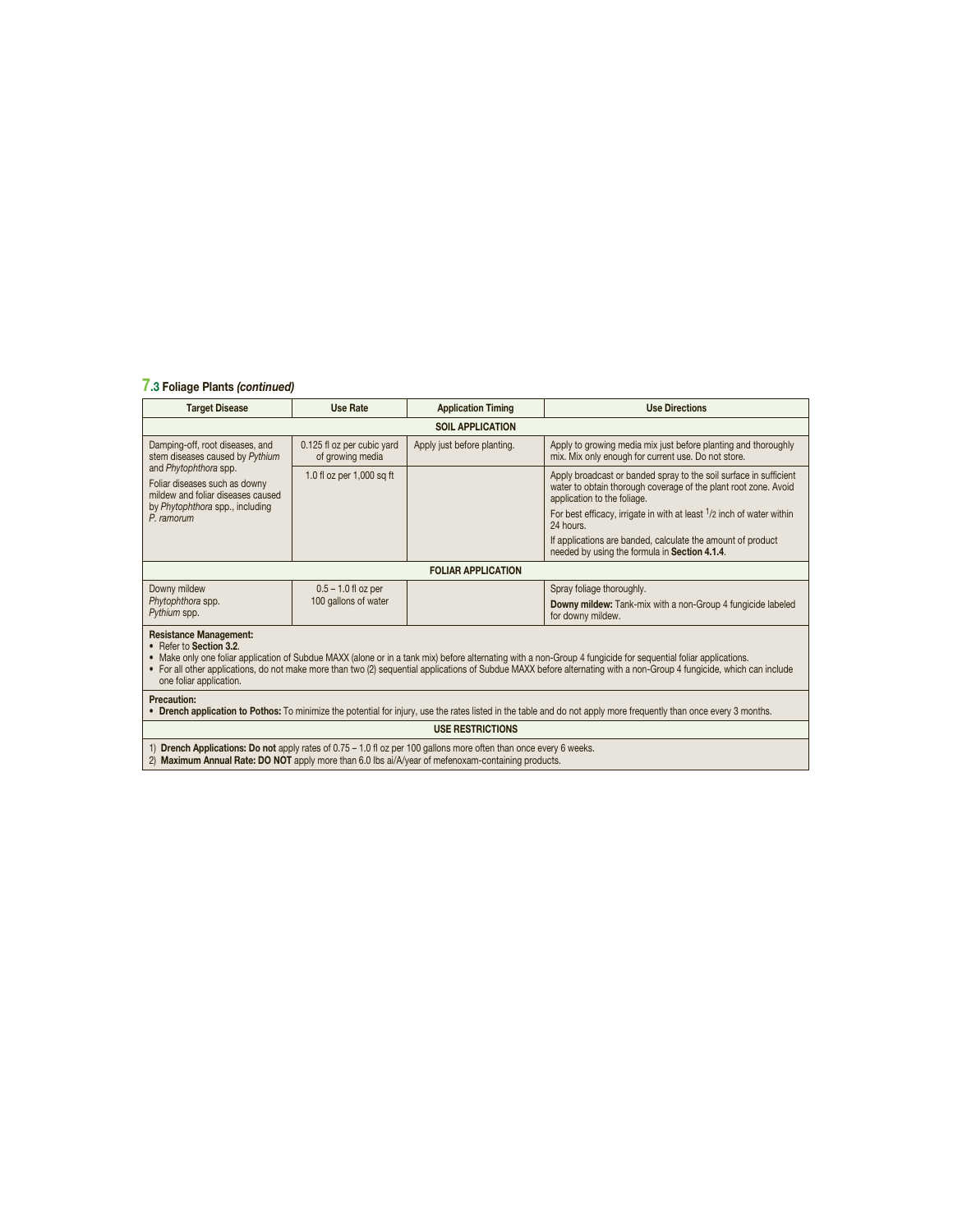## **7.3 Foliage Plants** *(continued)*

| <b>Target Disease</b>                                                                                                                                                                                                                                                                                                                                                                                                          | <b>Use Rate</b>                                    | <b>Application Timing</b>   | <b>Use Directions</b>                                                                                                                                               |  |
|--------------------------------------------------------------------------------------------------------------------------------------------------------------------------------------------------------------------------------------------------------------------------------------------------------------------------------------------------------------------------------------------------------------------------------|----------------------------------------------------|-----------------------------|---------------------------------------------------------------------------------------------------------------------------------------------------------------------|--|
|                                                                                                                                                                                                                                                                                                                                                                                                                                |                                                    | <b>SOIL APPLICATION</b>     |                                                                                                                                                                     |  |
| Damping-off, root diseases, and<br>stem diseases caused by Pythium                                                                                                                                                                                                                                                                                                                                                             | 0.125 fl oz per cubic yard<br>of growing media     | Apply just before planting. | Apply to growing media mix just before planting and thoroughly<br>mix. Mix only enough for current use. Do not store.                                               |  |
| Foliar diseases such as downy<br>mildew and foliar diseases caused                                                                                                                                                                                                                                                                                                                                                             | and Phytophthora spp.<br>1.0 fl oz per 1,000 sq ft |                             | Apply broadcast or banded spray to the soil surface in sufficient<br>water to obtain thorough coverage of the plant root zone. Avoid<br>application to the foliage. |  |
| by Phytophthora spp., including<br>P. ramorum                                                                                                                                                                                                                                                                                                                                                                                  |                                                    |                             | For best efficacy, irrigate in with at least $1/2$ inch of water within<br>24 hours.                                                                                |  |
|                                                                                                                                                                                                                                                                                                                                                                                                                                |                                                    |                             | If applications are banded, calculate the amount of product<br>needed by using the formula in Section 4.1.4.                                                        |  |
|                                                                                                                                                                                                                                                                                                                                                                                                                                | <b>FOLIAR APPLICATION</b>                          |                             |                                                                                                                                                                     |  |
| Downy mildew                                                                                                                                                                                                                                                                                                                                                                                                                   | $0.5 - 1.0$ fl oz per                              |                             | Spray foliage thoroughly.                                                                                                                                           |  |
| Phytophthora spp.<br>Pythium spp.                                                                                                                                                                                                                                                                                                                                                                                              | 100 gallons of water                               |                             | <b>Downy mildew:</b> Tank-mix with a non-Group 4 fungicide labeled<br>for downy mildew.                                                                             |  |
| <b>Resistance Management:</b><br>• Refer to Section 3.2.<br>• Make only one foliar application of Subdue MAXX (alone or in a tank mix) before alternating with a non-Group 4 fungicide for sequential foliar applications.<br>• For all other applications, do not make more than two (2) sequential applications of Subdue MAXX before alternating with a non-Group 4 fungicide, which can include<br>one foliar application. |                                                    |                             |                                                                                                                                                                     |  |
| Precaution:<br>• Drench application to Pothos: To minimize the potential for injury, use the rates listed in the table and do not apply more frequently than once every 3 months.                                                                                                                                                                                                                                              |                                                    |                             |                                                                                                                                                                     |  |
| <b>USE RESTRICTIONS</b>                                                                                                                                                                                                                                                                                                                                                                                                        |                                                    |                             |                                                                                                                                                                     |  |
|                                                                                                                                                                                                                                                                                                                                                                                                                                |                                                    |                             |                                                                                                                                                                     |  |

1) **Drench Applications: Do not** apply rates of 0.75 – 1.0 fl oz per 100 gallons more often than once every 6 weeks.<br>2) **Maximum Annual Rate: DO NOT** apply more than 6.0 lbs ai/A/year of mefenoxam-containing products.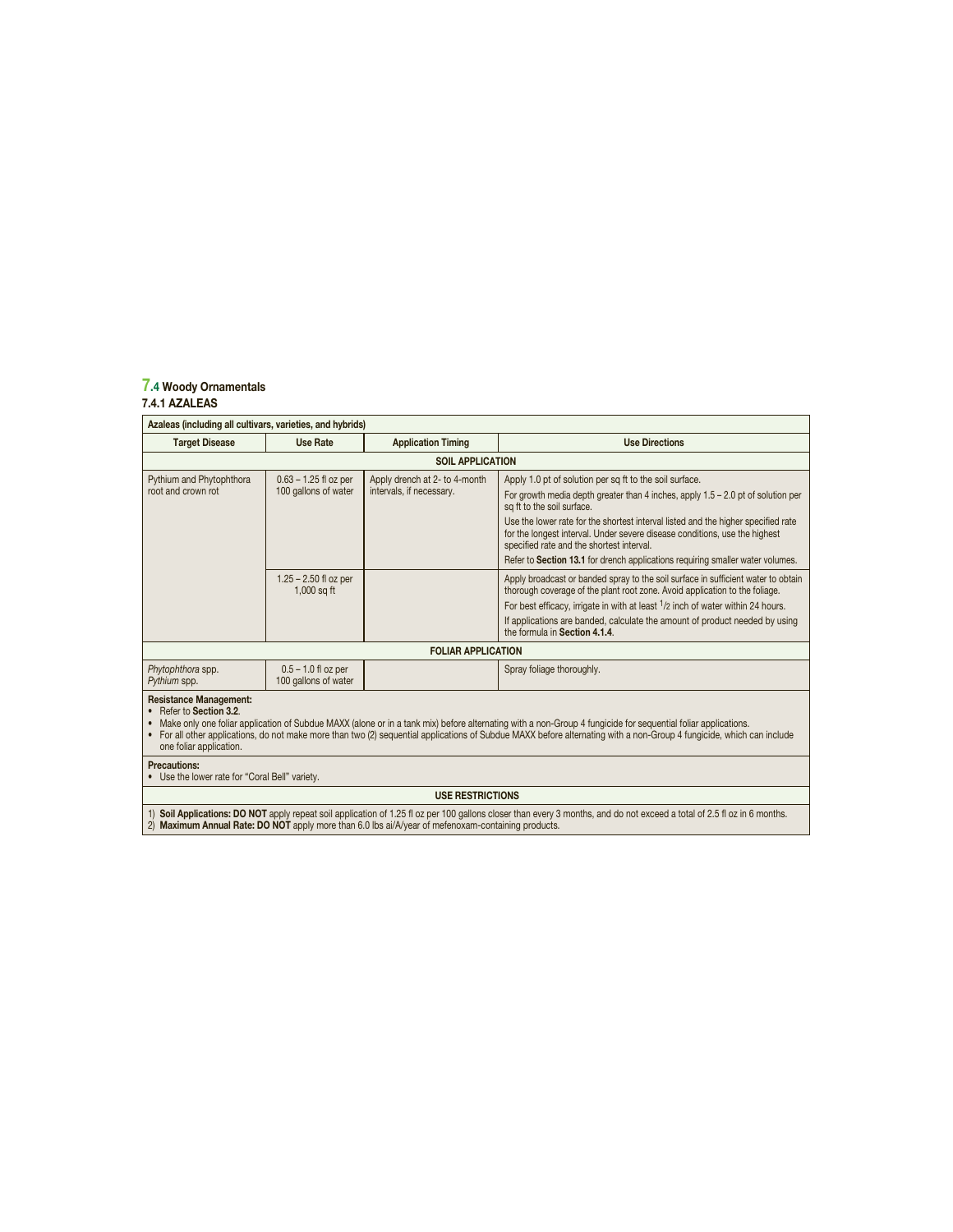#### **7.4 Woody Ornamentals 7.4.1 AZALEAS**

| Azaleas (including all cultivars, varieties, and hybrids) |                                                 |                                                           |                                                                                                                                                                                                                                                                                                                                                                                             |  |
|-----------------------------------------------------------|-------------------------------------------------|-----------------------------------------------------------|---------------------------------------------------------------------------------------------------------------------------------------------------------------------------------------------------------------------------------------------------------------------------------------------------------------------------------------------------------------------------------------------|--|
| <b>Target Disease</b>                                     | <b>Use Rate</b>                                 | <b>Application Timing</b>                                 | <b>Use Directions</b>                                                                                                                                                                                                                                                                                                                                                                       |  |
|                                                           |                                                 | <b>SOIL APPLICATION</b>                                   |                                                                                                                                                                                                                                                                                                                                                                                             |  |
| Pythium and Phytophthora<br>root and crown rot            | $0.63 - 1.25$ fl oz per<br>100 gallons of water | Apply drench at 2- to 4-month<br>intervals, if necessary. | Apply 1.0 pt of solution per sq ft to the soil surface.<br>For growth media depth greater than 4 inches, apply $1.5 - 2.0$ pt of solution per<br>sq ft to the soil surface.<br>Use the lower rate for the shortest interval listed and the higher specified rate<br>for the longest interval. Under severe disease conditions, use the highest<br>specified rate and the shortest interval. |  |
|                                                           |                                                 |                                                           | Refer to Section 13.1 for drench applications requiring smaller water volumes.                                                                                                                                                                                                                                                                                                              |  |
|                                                           | $1.25 - 2.50$ fl oz per<br>$1,000$ sq ft        |                                                           | Apply broadcast or banded spray to the soil surface in sufficient water to obtain<br>thorough coverage of the plant root zone. Avoid application to the foliage.<br>For best efficacy, irrigate in with at least 1/2 inch of water within 24 hours.                                                                                                                                         |  |
|                                                           |                                                 |                                                           | If applications are banded, calculate the amount of product needed by using<br>the formula in Section 4.1.4.                                                                                                                                                                                                                                                                                |  |
|                                                           | <b>FOLIAR APPLICATION</b>                       |                                                           |                                                                                                                                                                                                                                                                                                                                                                                             |  |
| Phytophthora spp.<br>Pythium spp.                         | $0.5 - 1.0$ fl oz per<br>100 gallons of water   |                                                           | Spray foliage thoroughly.                                                                                                                                                                                                                                                                                                                                                                   |  |
| <b>Resistance Management:</b>                             |                                                 |                                                           |                                                                                                                                                                                                                                                                                                                                                                                             |  |

**Resistance Management:** • Refer to **Section 3.2**.

• Make only one toliar application of Subdue MAXX (alone or in a tank mix) before alternating with a non-Group 4 fungicide for sequential foliar applications.<br>• For all other applications, do not make more than two (2) seq one foliar application.

**Precautions:** • Use the lower rate for "Coral Bell" variety.

#### **USE RESTRICTIONS**

1) Soil Applications: DO NOT apply repeat soil application of 1.25 fl oz per 100 gallons closer than every 3 months, and do not exceed a total of 2.5 fl oz in 6 months.<br>2) Maximum Annual Rate: DO NOT apply more than 6.0 lb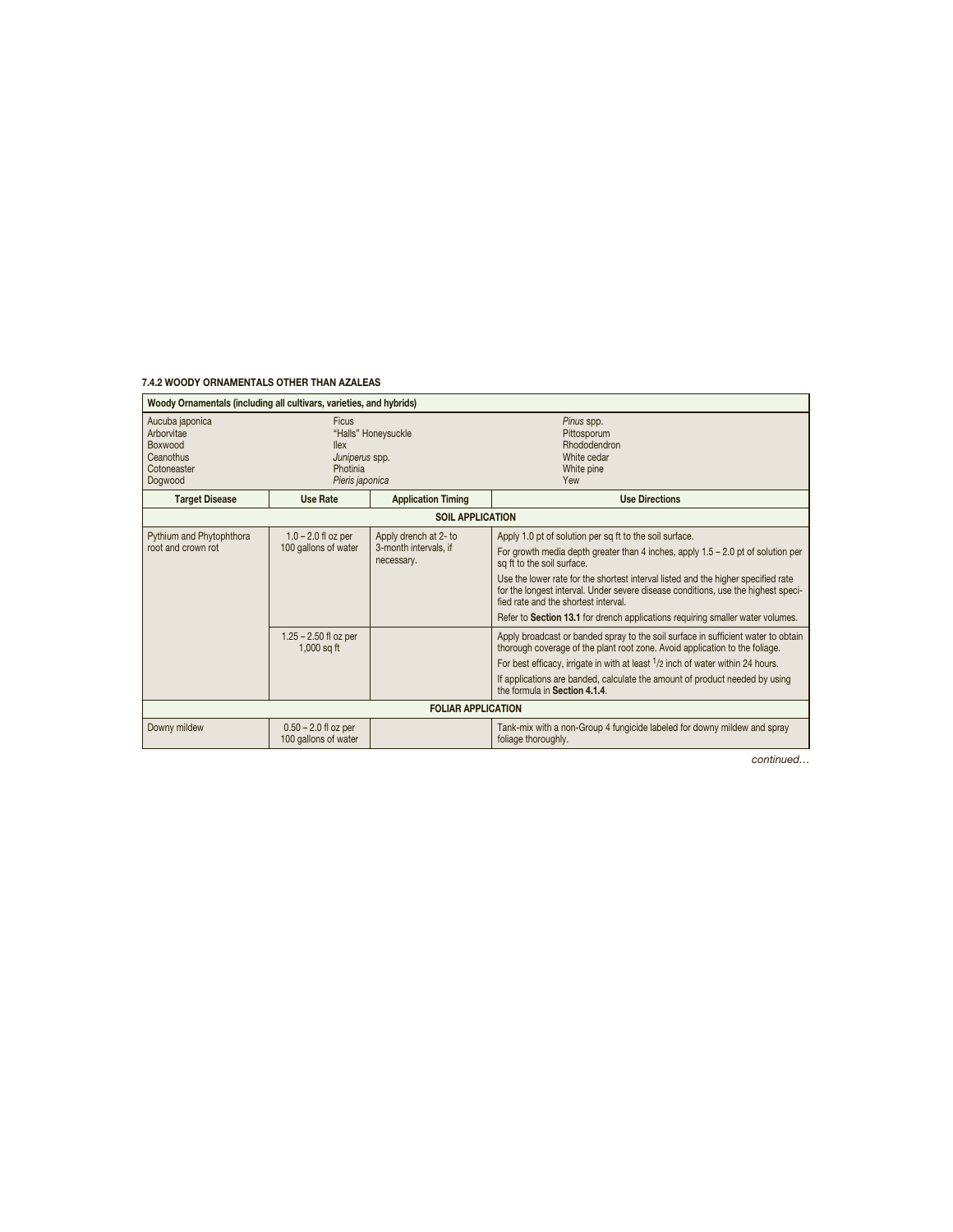#### **7.4.2 WOODY ORNAMENTALS OTHER THAN AZALEAS**

Ï

| Woody Ornamentals (including all cultivars, varieties, and hybrids)             |                                                                                                               |                                                                                                                                                                                                                                                                                                                                                                                                                                                                                |                                                                                                                                                                                                                                                                                                                                                                                 |
|---------------------------------------------------------------------------------|---------------------------------------------------------------------------------------------------------------|--------------------------------------------------------------------------------------------------------------------------------------------------------------------------------------------------------------------------------------------------------------------------------------------------------------------------------------------------------------------------------------------------------------------------------------------------------------------------------|---------------------------------------------------------------------------------------------------------------------------------------------------------------------------------------------------------------------------------------------------------------------------------------------------------------------------------------------------------------------------------|
| Aucuba japonica<br>Arborvitae<br>Boxwood<br>Ceanothus<br>Cotoneaster<br>Dogwood | Ficus<br>"Halls" Honeysuckle<br><b>llex</b><br>Juniperus spp.<br>Photinia<br>Pieris japonica                  |                                                                                                                                                                                                                                                                                                                                                                                                                                                                                | Pinus spp.<br>Pittosporum<br>Rhododendron<br>White cedar<br>White pine<br>Yew                                                                                                                                                                                                                                                                                                   |
| <b>Target Disease</b>                                                           | <b>Use Rate</b>                                                                                               | <b>Application Timing</b>                                                                                                                                                                                                                                                                                                                                                                                                                                                      | <b>Use Directions</b>                                                                                                                                                                                                                                                                                                                                                           |
|                                                                                 |                                                                                                               | <b>SOIL APPLICATION</b>                                                                                                                                                                                                                                                                                                                                                                                                                                                        |                                                                                                                                                                                                                                                                                                                                                                                 |
| Pythium and Phytophthora<br>root and crown rot                                  | Apply drench at 2- to<br>$1.0 - 2.0$ fl oz per<br>100 gallons of water<br>3-month intervals, if<br>necessary. | Apply 1.0 pt of solution per sq ft to the soil surface.<br>For growth media depth greater than 4 inches, apply $1.5 - 2.0$ pt of solution per<br>sq ft to the soil surface.<br>Use the lower rate for the shortest interval listed and the higher specified rate<br>for the longest interval. Under severe disease conditions, use the highest speci-<br>fied rate and the shortest interval<br>Refer to Section 13.1 for drench applications requiring smaller water volumes. |                                                                                                                                                                                                                                                                                                                                                                                 |
|                                                                                 | $1.25 - 2.50$ fl oz per<br>$1,000$ sq ft                                                                      |                                                                                                                                                                                                                                                                                                                                                                                                                                                                                | Apply broadcast or banded spray to the soil surface in sufficient water to obtain<br>thorough coverage of the plant root zone. Avoid application to the foliage.<br>For best efficacy, irrigate in with at least <sup>1</sup> /2 inch of water within 24 hours.<br>If applications are banded, calculate the amount of product needed by using<br>the formula in Section 4.1.4. |
|                                                                                 |                                                                                                               | <b>FOLIAR APPLICATION</b>                                                                                                                                                                                                                                                                                                                                                                                                                                                      |                                                                                                                                                                                                                                                                                                                                                                                 |
| Downy mildew                                                                    | $0.50 - 2.0$ fl oz per<br>100 gallons of water                                                                |                                                                                                                                                                                                                                                                                                                                                                                                                                                                                | Tank-mix with a non-Group 4 fungicide labeled for downy mildew and spray<br>foliage thoroughly.                                                                                                                                                                                                                                                                                 |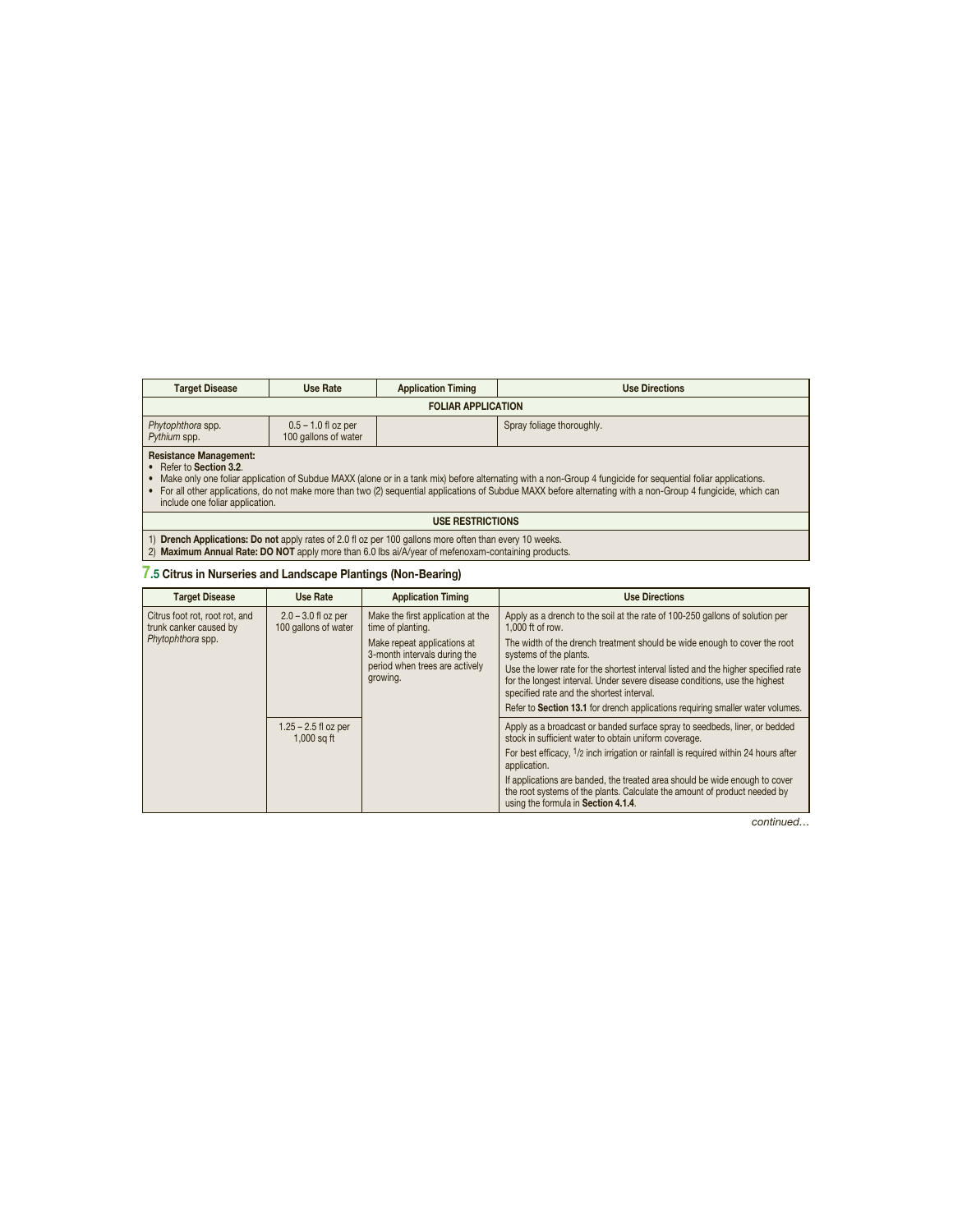| <b>Target Disease</b>                                                                                                                                                                                                                                                                                                                                                                                                          | Use Rate                  | <b>Application Timing</b> | <b>Use Directions</b> |  |
|--------------------------------------------------------------------------------------------------------------------------------------------------------------------------------------------------------------------------------------------------------------------------------------------------------------------------------------------------------------------------------------------------------------------------------|---------------------------|---------------------------|-----------------------|--|
|                                                                                                                                                                                                                                                                                                                                                                                                                                | <b>FOLIAR APPLICATION</b> |                           |                       |  |
| Spray foliage thoroughly.<br>Phytophthora spp.<br>$0.5 - 1.0$ fl oz per<br>100 gallons of water<br>Pythium spp.                                                                                                                                                                                                                                                                                                                |                           |                           |                       |  |
| <b>Resistance Management:</b><br>• Refer to Section 3.2.<br>• Make only one foliar application of Subdue MAXX (alone or in a tank mix) before alternating with a non-Group 4 fungicide for sequential foliar applications.<br>• For all other applications, do not make more than two (2) sequential applications of Subdue MAXX before alternating with a non-Group 4 fungicide, which can<br>include one foliar application. |                           |                           |                       |  |

#### **USE RESTRICTIONS**

1) **Drench Applications: Do not** apply rates of 2.0 fl oz per 100 gallons more often than every 10 weeks. 2) **Maximum Annual Rate: DO NOT** apply more than 6.0 lbs ai/A/year of mefenoxam-containing products.

## **7.5 Citrus in Nurseries and Landscape Plantings (Non-Bearing)**

| <b>Target Disease</b>                                                         | Use Rate                                                                                             | <b>Application Timing</b>                                                                                                                               | <b>Use Directions</b>                                                                                                                                                                                        |
|-------------------------------------------------------------------------------|------------------------------------------------------------------------------------------------------|---------------------------------------------------------------------------------------------------------------------------------------------------------|--------------------------------------------------------------------------------------------------------------------------------------------------------------------------------------------------------------|
| Citrus foot rot, root rot, and<br>trunk canker caused by<br>Phytophthora spp. | $2.0 - 3.0$ fl oz per<br>100 gallons of water<br>growing.<br>$1.25 - 2.5$ fl oz per<br>$1,000$ sq ft | Make the first application at the<br>time of planting.<br>Make repeat applications at<br>3-month intervals during the<br>period when trees are actively | Apply as a drench to the soil at the rate of 100-250 gallons of solution per<br>1.000 ft of row.                                                                                                             |
|                                                                               |                                                                                                      |                                                                                                                                                         | The width of the drench treatment should be wide enough to cover the root<br>systems of the plants.                                                                                                          |
|                                                                               |                                                                                                      |                                                                                                                                                         | Use the lower rate for the shortest interval listed and the higher specified rate<br>for the longest interval. Under severe disease conditions, use the highest<br>specified rate and the shortest interval. |
|                                                                               |                                                                                                      |                                                                                                                                                         | Refer to Section 13.1 for drench applications requiring smaller water volumes.                                                                                                                               |
|                                                                               |                                                                                                      |                                                                                                                                                         | Apply as a broadcast or banded surface spray to seedbeds, liner, or bedded<br>stock in sufficient water to obtain uniform coverage.                                                                          |
|                                                                               |                                                                                                      |                                                                                                                                                         | For best efficacy, <sup>1</sup> /2 inch irrigation or rainfall is required within 24 hours after<br>application.                                                                                             |
|                                                                               |                                                                                                      |                                                                                                                                                         | If applications are banded, the treated area should be wide enough to cover<br>the root systems of the plants. Calculate the amount of product needed by<br>using the formula in Section 4.1.4.              |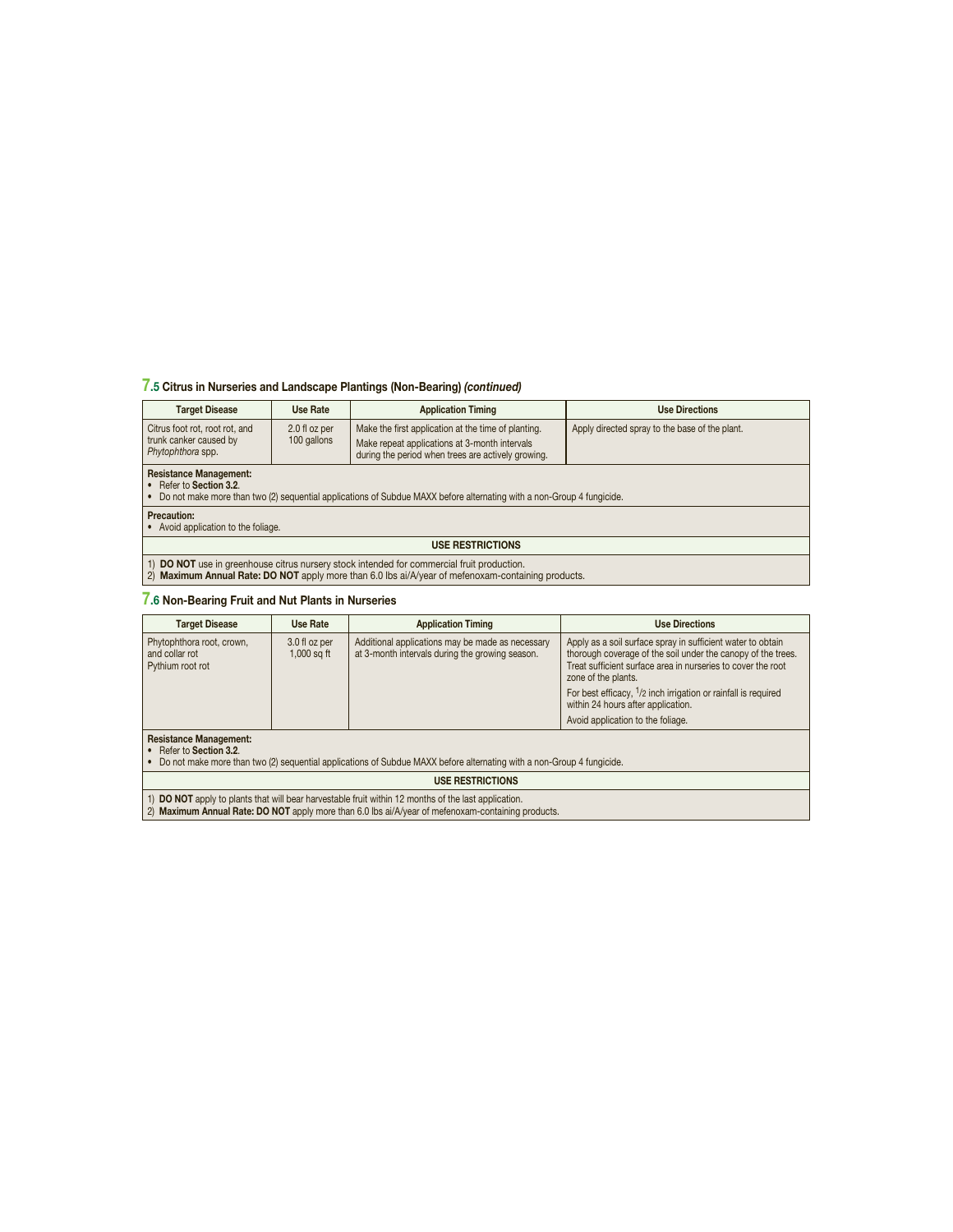## **7.5 Citrus in Nurseries and Landscape Plantings (Non-Bearing)** *(continued)*

| <b>Target Disease</b>                                                                                                                                                                            | <b>Use Rate</b>              | <b>Application Timing</b>                                                                                                                                  | <b>Use Directions</b>                          |  |  |
|--------------------------------------------------------------------------------------------------------------------------------------------------------------------------------------------------|------------------------------|------------------------------------------------------------------------------------------------------------------------------------------------------------|------------------------------------------------|--|--|
| Citrus foot rot, root rot, and<br>trunk canker caused by<br>Phytophthora spp.                                                                                                                    | 2.0 fl oz per<br>100 gallons | Make the first application at the time of planting.<br>Make repeat applications at 3-month intervals<br>during the period when trees are actively growing. | Apply directed spray to the base of the plant. |  |  |
| <b>Resistance Management:</b><br>• Refer to Section 3.2.<br>• Do not make more than two (2) sequential applications of Subdue MAXX before alternating with a non-Group 4 fungicide.              |                              |                                                                                                                                                            |                                                |  |  |
| <b>Precaution:</b><br>• Avoid application to the foliage.                                                                                                                                        |                              |                                                                                                                                                            |                                                |  |  |
| <b>USE RESTRICTIONS</b>                                                                                                                                                                          |                              |                                                                                                                                                            |                                                |  |  |
| 1) DO NOT use in greenhouse citrus nursery stock intended for commercial fruit production.<br>2) Maximum Annual Rate: DO NOT apply more than 6.0 lbs ai/A/year of mefenoxam-containing products. |                              |                                                                                                                                                            |                                                |  |  |

## **7.6 Non-Bearing Fruit and Nut Plants in Nurseries**

| <b>Target Disease</b>                                           | Use Rate                       | <b>Application Timing</b>                                                                           | <b>Use Directions</b>                                                                                                                                                                                                                                                                                                                                             |
|-----------------------------------------------------------------|--------------------------------|-----------------------------------------------------------------------------------------------------|-------------------------------------------------------------------------------------------------------------------------------------------------------------------------------------------------------------------------------------------------------------------------------------------------------------------------------------------------------------------|
| Phytophthora root, crown,<br>and collar rot<br>Pythium root rot | 3.0 fl oz per<br>$1,000$ sq ft | Additional applications may be made as necessary<br>at 3-month intervals during the growing season. | Apply as a soil surface spray in sufficient water to obtain<br>thorough coverage of the soil under the canopy of the trees.<br>Treat sufficient surface area in nurseries to cover the root<br>zone of the plants.<br>For best efficacy, $1/2$ inch irrigation or rainfall is required<br>within 24 hours after application.<br>Avoid application to the foliage. |
| $\sim$                                                          |                                |                                                                                                     |                                                                                                                                                                                                                                                                                                                                                                   |

**Resistance Management:**

• Refer to **Section 3.2**. • Do not make more than two (2) sequential applications of Subdue MAXX before alternating with a non-Group 4 fungicide.

#### **USE RESTRICTIONS**

1) **DO NOT** apply to plants that will bear harvestable fruit within 12 months of the last application. 2) **Maximum Annual Rate: DO NOT** apply more than 6.0 lbs ai/A/year of mefenoxam-containing products.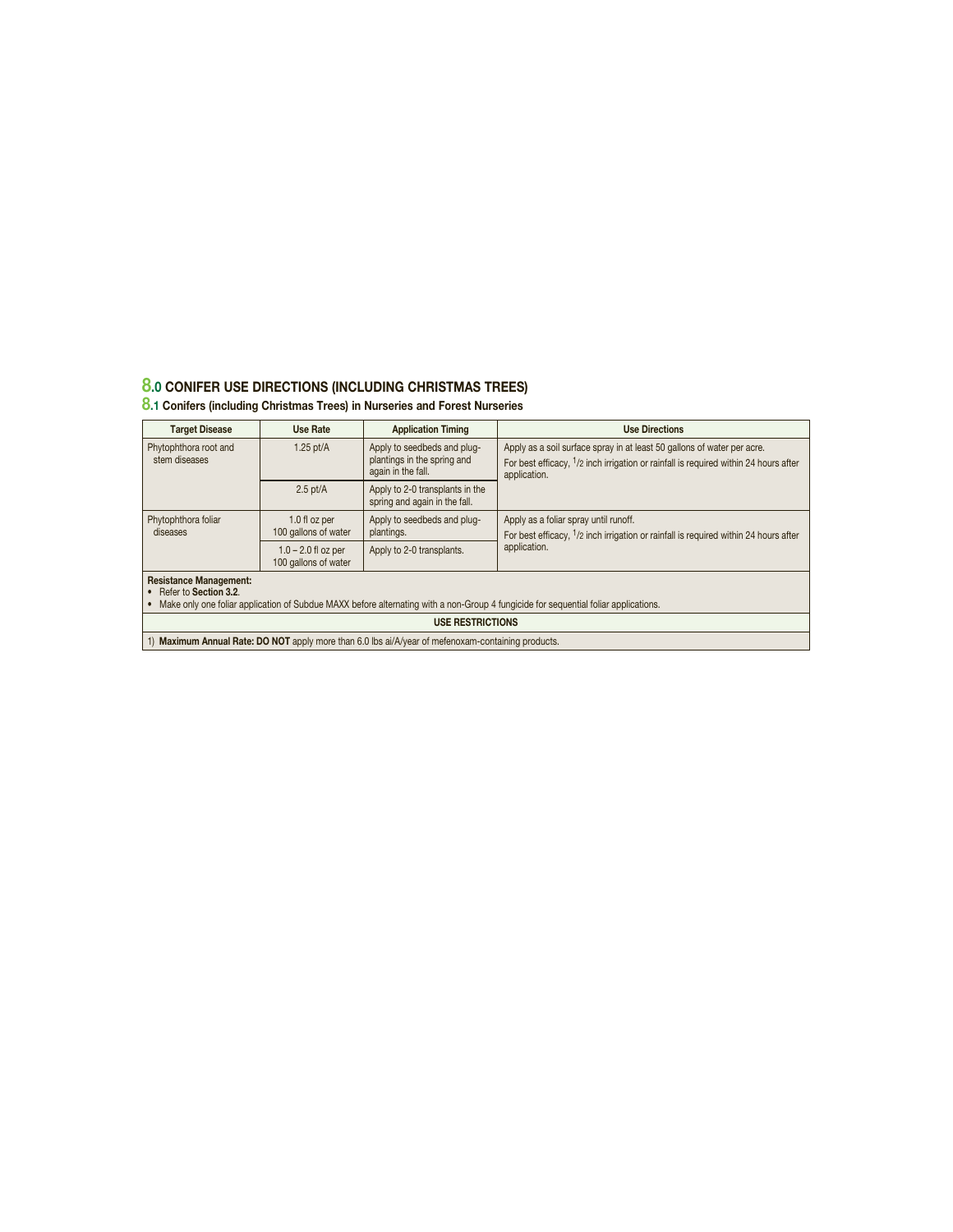## **8.0 CONIFER USE DIRECTIONS (INCLUDING CHRISTMAS TREES)**

## **8.1 Conifers (including Christmas Trees) in Nurseries and Forest Nurseries**

| <b>Target Disease</b>                                                                                                                                                                             | Use Rate                                      | <b>Application Timing</b>                                                        | <b>Use Directions</b>                                                                                                                                                                       |  |
|---------------------------------------------------------------------------------------------------------------------------------------------------------------------------------------------------|-----------------------------------------------|----------------------------------------------------------------------------------|---------------------------------------------------------------------------------------------------------------------------------------------------------------------------------------------|--|
| Phytophthora root and<br>stem diseases                                                                                                                                                            | 1.25 $pt/A$                                   | Apply to seedbeds and plug-<br>plantings in the spring and<br>again in the fall. | Apply as a soil surface spray in at least 50 gallons of water per acre.<br>For best efficacy, <sup>1</sup> /2 inch irrigation or rainfall is required within 24 hours after<br>application. |  |
|                                                                                                                                                                                                   | $2.5$ pt/A                                    | Apply to 2-0 transplants in the<br>spring and again in the fall.                 |                                                                                                                                                                                             |  |
| Phytophthora foliar<br>diseases                                                                                                                                                                   | 1.0 fl oz per<br>100 gallons of water         | Apply to seedbeds and plug-<br>plantings.                                        | Apply as a foliar spray until runoff.<br>For best efficacy, <sup>1</sup> /2 inch irrigation or rainfall is required within 24 hours after                                                   |  |
|                                                                                                                                                                                                   | $1.0 - 2.0$ fl oz per<br>100 gallons of water | Apply to 2-0 transplants.                                                        | application.                                                                                                                                                                                |  |
| <b>Resistance Management:</b><br>• Refer to Section 3.2.<br>• Make only one foliar application of Subdue MAXX before alternating with a non-Group 4 fungicide for sequential foliar applications. |                                               |                                                                                  |                                                                                                                                                                                             |  |
| <b>USE RESTRICTIONS</b>                                                                                                                                                                           |                                               |                                                                                  |                                                                                                                                                                                             |  |
| 1) Maximum Annual Rate: DO NOT apply more than 6.0 lbs ai/A/year of mefenoxam-containing products.                                                                                                |                                               |                                                                                  |                                                                                                                                                                                             |  |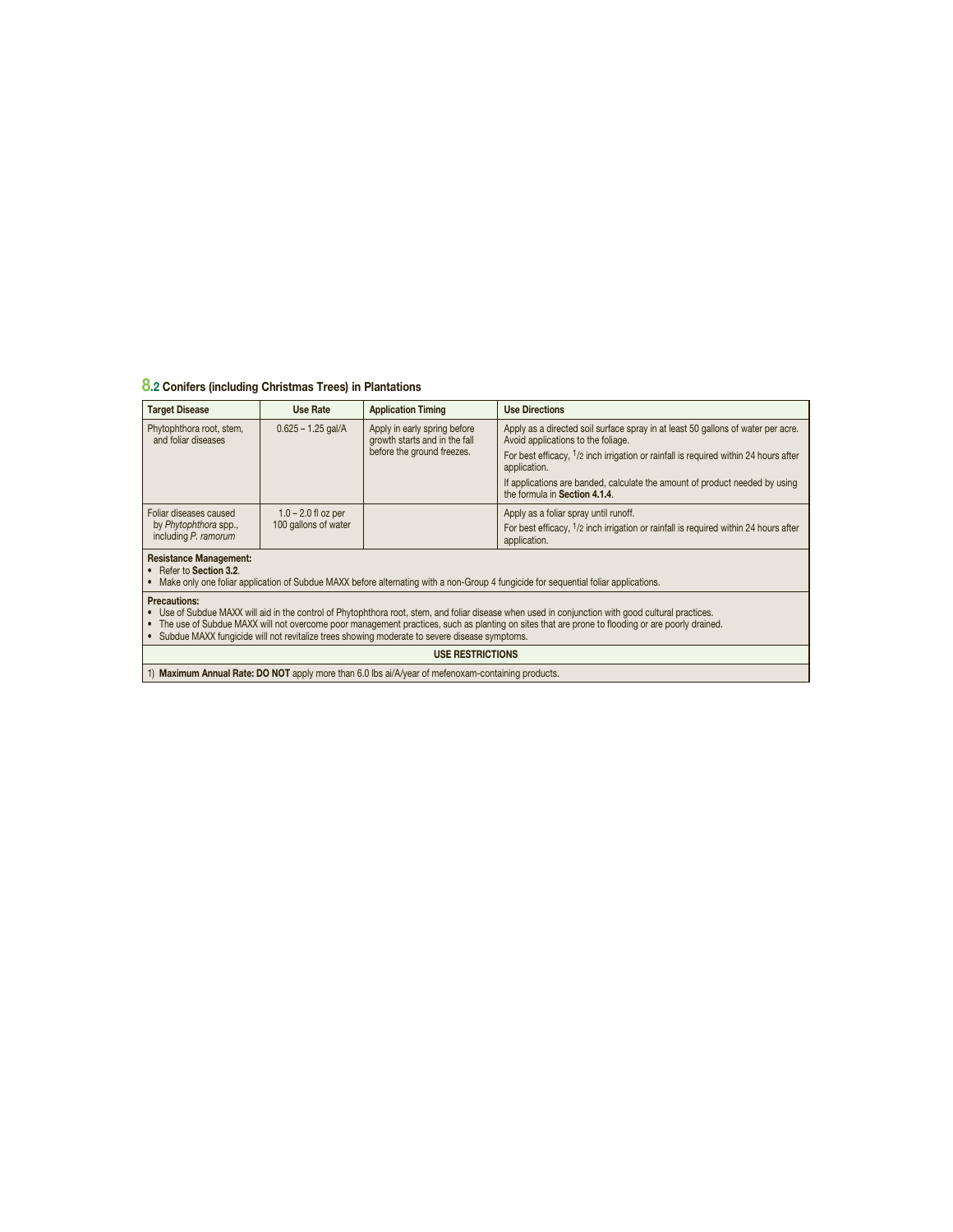## **8.2 Conifers (including Christmas Trees) in Plantations**

| <b>Target Disease</b>                                                                                                                                                                                                                                                                                   | Use Rate                                                                                                                                                       | <b>Application Timing</b>                                     | <b>Use Directions</b>                                                                                                  |  |  |
|---------------------------------------------------------------------------------------------------------------------------------------------------------------------------------------------------------------------------------------------------------------------------------------------------------|----------------------------------------------------------------------------------------------------------------------------------------------------------------|---------------------------------------------------------------|------------------------------------------------------------------------------------------------------------------------|--|--|
| Phytophthora root, stem,<br>and foliar diseases                                                                                                                                                                                                                                                         | $0.625 - 1.25$ gal/A                                                                                                                                           | Apply in early spring before<br>growth starts and in the fall | Apply as a directed soil surface spray in at least 50 gallons of water per acre.<br>Avoid applications to the foliage. |  |  |
|                                                                                                                                                                                                                                                                                                         |                                                                                                                                                                | before the ground freezes.                                    | For best efficacy, <sup>1</sup> /2 inch irrigation or rainfall is required within 24 hours after<br>application.       |  |  |
|                                                                                                                                                                                                                                                                                                         |                                                                                                                                                                |                                                               | If applications are banded, calculate the amount of product needed by using<br>the formula in Section 4.1.4.           |  |  |
| Foliar diseases caused                                                                                                                                                                                                                                                                                  | $1.0 - 2.0$ fl oz per                                                                                                                                          |                                                               | Apply as a foliar spray until runoff.                                                                                  |  |  |
| including P. ramorum                                                                                                                                                                                                                                                                                    | 100 gallons of water<br>by Phytophthora spp.,                                                                                                                  |                                                               | For best efficacy, <sup>1</sup> /2 inch irrigation or rainfall is required within 24 hours after<br>application.       |  |  |
| <b>Resistance Management:</b>                                                                                                                                                                                                                                                                           |                                                                                                                                                                |                                                               |                                                                                                                        |  |  |
|                                                                                                                                                                                                                                                                                                         | • Refer to Section 3.2.<br>Make only one foliar application of Subdue MAXX before alternating with a non-Group 4 fungicide for sequential foliar applications. |                                                               |                                                                                                                        |  |  |
| <b>Precautions:</b>                                                                                                                                                                                                                                                                                     |                                                                                                                                                                |                                                               |                                                                                                                        |  |  |
| • Use of Subdue MAXX will aid in the control of Phytophthora root, stem, and foliar disease when used in conjunction with good cultural practices.<br>• The use of Subdue MAXX will not overcome poor management practices, such as planting on sites that are prone to flooding or are poorly drained. |                                                                                                                                                                |                                                               |                                                                                                                        |  |  |
| • Subdue MAXX fungicide will not revitalize trees showing moderate to severe disease symptoms.                                                                                                                                                                                                          |                                                                                                                                                                |                                                               |                                                                                                                        |  |  |
| <b>USE RESTRICTIONS</b>                                                                                                                                                                                                                                                                                 |                                                                                                                                                                |                                                               |                                                                                                                        |  |  |

1) Maximum Annual Rate: DO NOT apply more than 6.0 lbs ai/A/year of mefenoxam-containing products.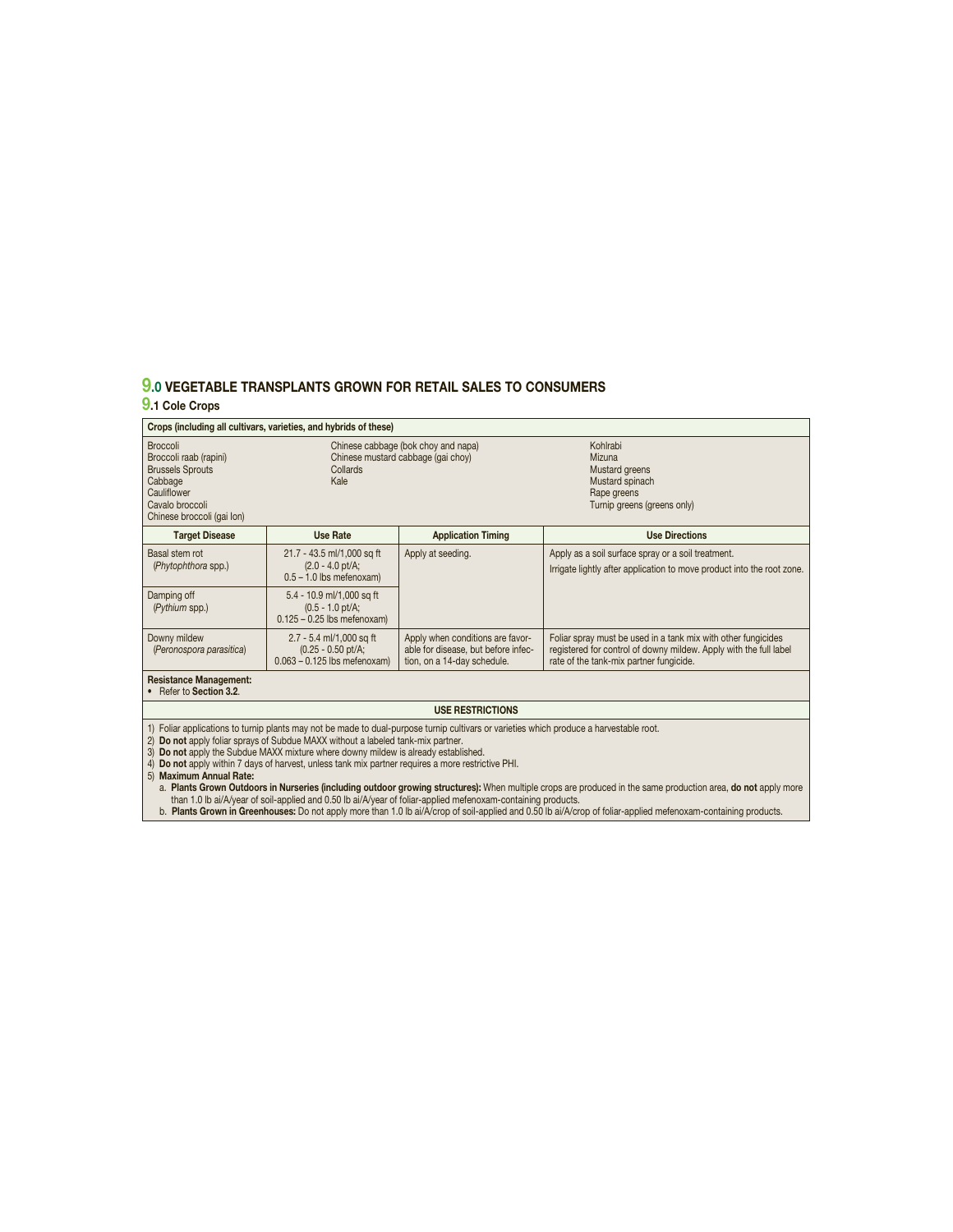## **9.0 VEGETABLE TRANSPLANTS GROWN FOR RETAIL SALES TO CONSUMERS**

## **9.1 Cole Crops**

| Crops (including all cultivars, varieties, and hybrids of these)                                                                                |                                                                                                                                                                                                                                                                           |                                                                                                                                         |                                                                                                                                                                               |  |
|-------------------------------------------------------------------------------------------------------------------------------------------------|---------------------------------------------------------------------------------------------------------------------------------------------------------------------------------------------------------------------------------------------------------------------------|-----------------------------------------------------------------------------------------------------------------------------------------|-------------------------------------------------------------------------------------------------------------------------------------------------------------------------------|--|
| <b>Broccoli</b><br>Broccoli raab (rapini)<br><b>Brussels Sprouts</b><br>Cabbage<br>Cauliflower<br>Cavalo broccoli<br>Chinese broccoli (gai Ion) | Chinese cabbage (bok choy and napa)<br>Chinese mustard cabbage (gai choy)<br>Collards<br>Kale                                                                                                                                                                             |                                                                                                                                         | Kohlrabi<br>Mizuna<br>Mustard greens<br>Mustard spinach<br>Rape greens<br>Turnip greens (greens only)                                                                         |  |
| <b>Target Disease</b>                                                                                                                           | Use Rate                                                                                                                                                                                                                                                                  | <b>Application Timing</b>                                                                                                               | <b>Use Directions</b>                                                                                                                                                         |  |
| Basal stem rot<br>(Phytophthora spp.)                                                                                                           | 21.7 - 43.5 ml/1,000 sq ft<br>$(2.0 - 4.0)$ pt/A;<br>$0.5 - 1.0$ lbs mefenoxam)                                                                                                                                                                                           | Apply at seeding.                                                                                                                       | Apply as a soil surface spray or a soil treatment.<br>Irrigate lightly after application to move product into the root zone.                                                  |  |
| Damping off<br>(Pythium spp.)                                                                                                                   | 5.4 - 10.9 ml/1,000 sq ft<br>$(0.5 - 1.0 \text{ pt/A})$<br>$0.125 - 0.25$ lbs mefenoxam)                                                                                                                                                                                  |                                                                                                                                         |                                                                                                                                                                               |  |
| Downy mildew<br>(Peronospora parasitica)                                                                                                        | 2.7 - 5.4 ml/1,000 sq ft<br>$(0.25 - 0.50)$ pt/A;<br>$0.063 - 0.125$ lbs mefenoxam)                                                                                                                                                                                       | Apply when conditions are favor-<br>able for disease, but before infec-<br>tion, on a 14-day schedule.                                  | Foliar spray must be used in a tank mix with other fungicides<br>registered for control of downy mildew. Apply with the full label<br>rate of the tank-mix partner fungicide. |  |
| <b>Resistance Management:</b><br>• Refer to Section 3.2.                                                                                        |                                                                                                                                                                                                                                                                           |                                                                                                                                         |                                                                                                                                                                               |  |
| <b>USE RESTRICTIONS</b>                                                                                                                         |                                                                                                                                                                                                                                                                           |                                                                                                                                         |                                                                                                                                                                               |  |
| 3)<br>5) Maximum Annual Rate:                                                                                                                   | 2) Do not apply foliar sprays of Subdue MAXX without a labeled tank-mix partner.<br>Do not apply the Subdue MAXX mixture where downy mildew is already established.<br>4) Do not apply within 7 days of harvest, unless tank mix partner requires a more restrictive PHI. | 1) Foliar applications to turnip plants may not be made to dual-purpose turnip cultivars or varieties which produce a harvestable root. | a. Plants Grown Outdoors in Nurseries (including outdoor growing structures): When multiple crops are produced in the same production area, do not apply more                 |  |

a. **Plants Grown Outdoors in Nurseries (including outdoor growing structures):** When multiple crops are produced in the same production area, **do not** apply more<br> than 1.0 Ib ai/A/year of soil-applied and 0.50 Ib ai/A/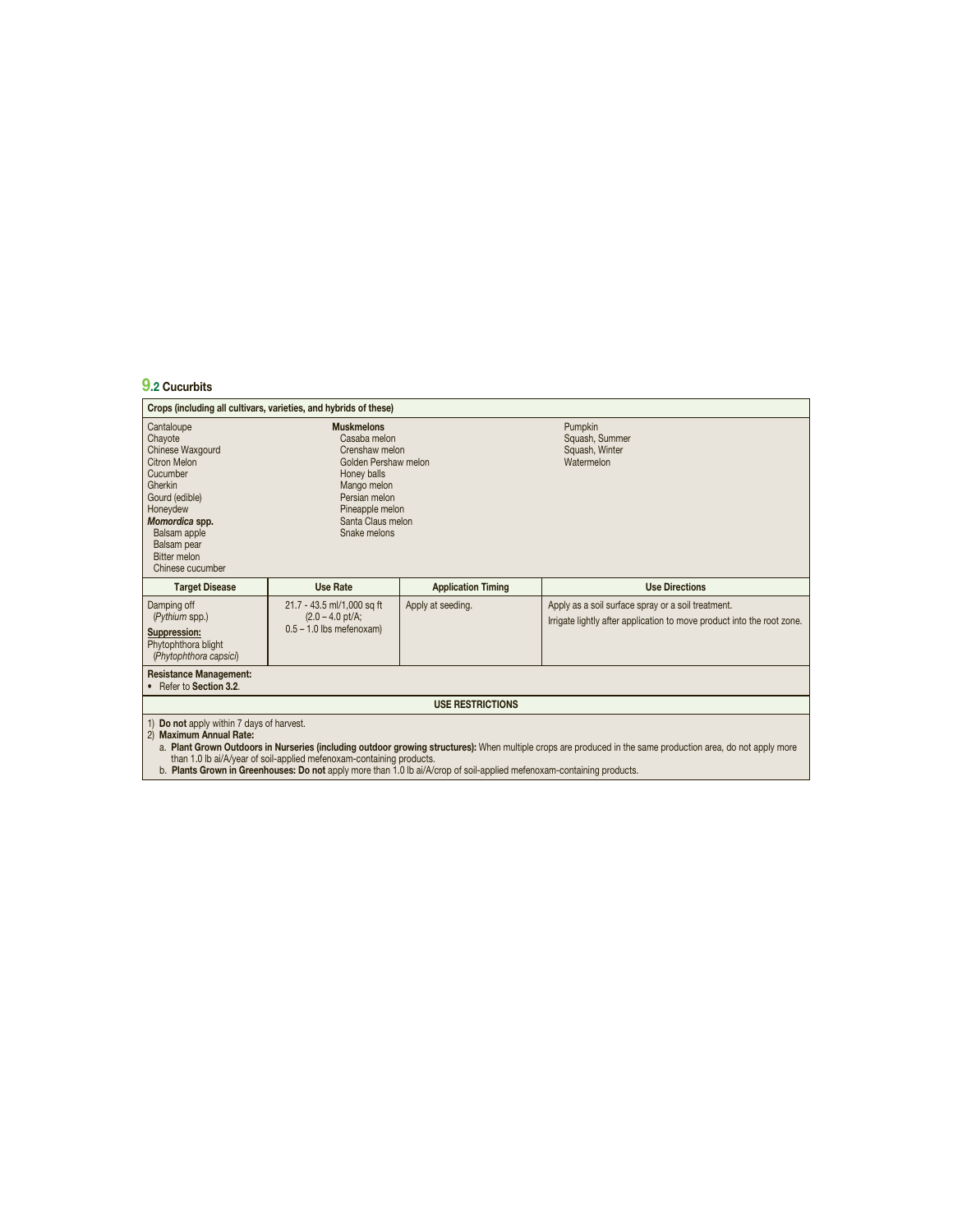# **9.2 Cucurbits**

|                                                                                                                                                                                                                   | Crops (including all cultivars, varieties, and hybrids of these)                                                                                                                   |                                                                                                                        |                                                                                                                                                              |  |
|-------------------------------------------------------------------------------------------------------------------------------------------------------------------------------------------------------------------|------------------------------------------------------------------------------------------------------------------------------------------------------------------------------------|------------------------------------------------------------------------------------------------------------------------|--------------------------------------------------------------------------------------------------------------------------------------------------------------|--|
| Cantaloupe<br>Chayote<br>Chinese Waxgourd<br><b>Citron Melon</b><br>Cucumber<br>Gherkin<br>Gourd (edible)<br>Honeydew<br>Momordica spp.<br>Balsam apple<br>Balsam pear<br><b>Bitter melon</b><br>Chinese cucumber | <b>Muskmelons</b><br>Casaba melon<br>Crenshaw melon<br>Golden Pershaw melon<br>Honey balls<br>Mango melon<br>Persian melon<br>Pineapple melon<br>Santa Claus melon<br>Snake melons |                                                                                                                        | Pumpkin<br>Squash, Summer<br>Squash, Winter<br>Watermelon                                                                                                    |  |
| <b>Target Disease</b>                                                                                                                                                                                             | <b>Use Rate</b>                                                                                                                                                                    | <b>Application Timing</b>                                                                                              | <b>Use Directions</b>                                                                                                                                        |  |
| Damping off<br>(Pythium spp.)<br><b>Suppression:</b><br>Phytophthora blight<br>(Phytophthora capsici)                                                                                                             | 21.7 - 43.5 ml/1,000 sq ft<br>$(2.0 - 4.0 \text{ pt/A})$<br>$0.5 - 1.0$ lbs mefenoxam)                                                                                             | Apply at seeding.                                                                                                      | Apply as a soil surface spray or a soil treatment.<br>Irrigate lightly after application to move product into the root zone.                                 |  |
| <b>Resistance Management:</b><br>• Refer to Section 3.2.                                                                                                                                                          |                                                                                                                                                                                    |                                                                                                                        |                                                                                                                                                              |  |
| <b>USE RESTRICTIONS</b>                                                                                                                                                                                           |                                                                                                                                                                                    |                                                                                                                        |                                                                                                                                                              |  |
| 1) Do not apply within 7 days of harvest.<br>2) Maximum Annual Rate:                                                                                                                                              | than 1.0 lb ai/A/year of soil-applied mefenoxam-containing products.                                                                                                               | b. Plants Grown in Greenhouses: Do not apply more than 1.0 lb ai/A/crop of soil-applied mefenoxam-containing products. | a. Plant Grown Outdoors in Nurseries (including outdoor growing structures): When multiple crops are produced in the same production area, do not apply more |  |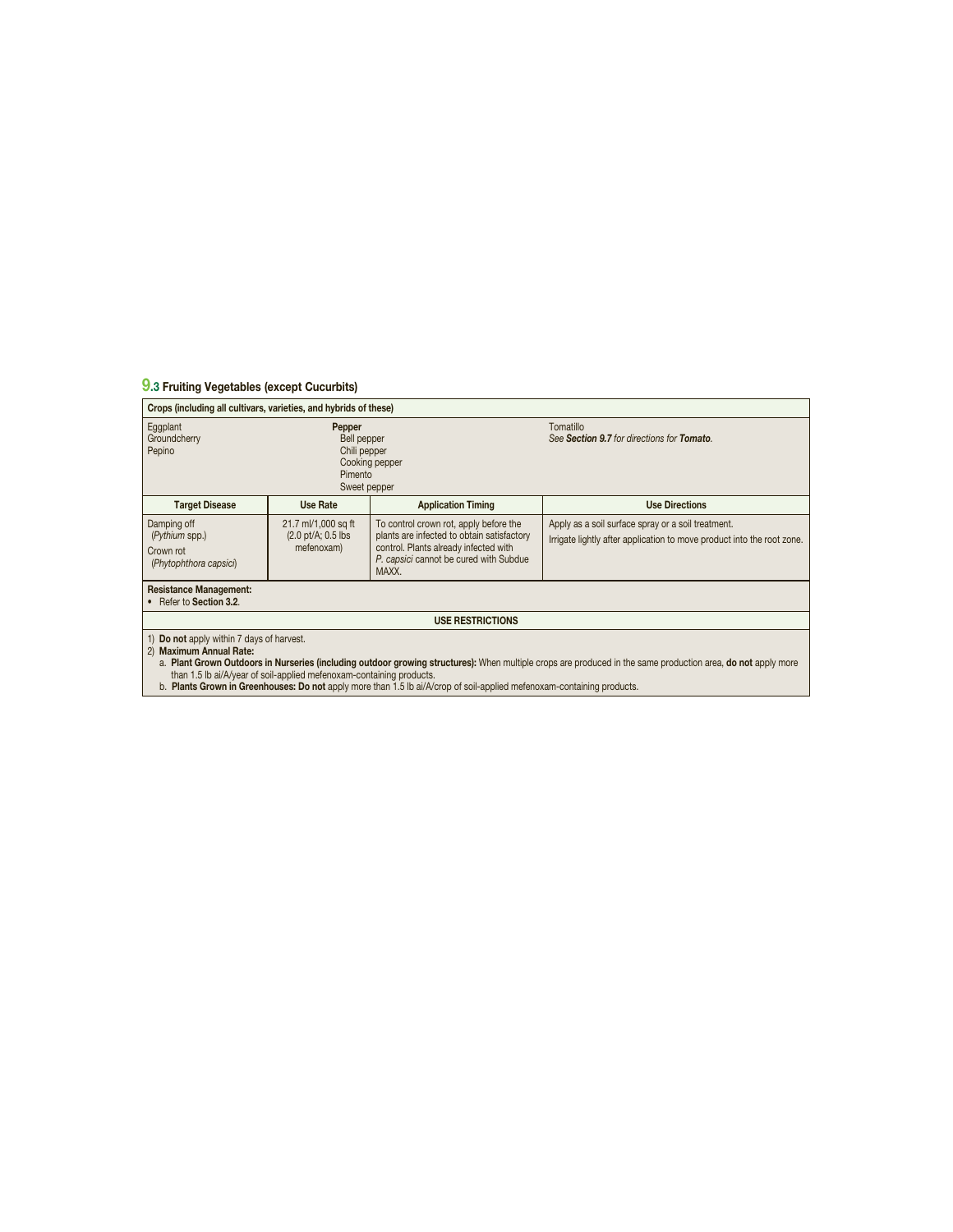## **9.3 Fruiting Vegetables (except Cucurbits)**

| Crops (including all cultivars, varieties, and hybrids of these)                                                                                                                                                                          |                                                                                    |                                                                                                                                                                                  |                                                                                                                              |  |
|-------------------------------------------------------------------------------------------------------------------------------------------------------------------------------------------------------------------------------------------|------------------------------------------------------------------------------------|----------------------------------------------------------------------------------------------------------------------------------------------------------------------------------|------------------------------------------------------------------------------------------------------------------------------|--|
| Eggplant<br>Groundcherry<br>Pepino                                                                                                                                                                                                        | Pepper<br>Bell pepper<br>Chili pepper<br>Cooking pepper<br>Pimento<br>Sweet pepper |                                                                                                                                                                                  | Tomatillo<br>See Section 9.7 for directions for Tomato.                                                                      |  |
| <b>Target Disease</b>                                                                                                                                                                                                                     | Use Rate                                                                           | <b>Application Timing</b>                                                                                                                                                        | <b>Use Directions</b>                                                                                                        |  |
| Damping off<br>(Pythium spp.)<br>Crown rot<br>(Phytophthora capsici)                                                                                                                                                                      | 21.7 ml/1,000 sq ft<br>$(2.0 \text{ pt/A}; 0.5 \text{ lbs})$<br>mefenoxam)         | To control crown rot, apply before the<br>plants are infected to obtain satisfactory<br>control. Plants already infected with<br>P. capsici cannot be cured with Subdue<br>MAXX. | Apply as a soil surface spray or a soil treatment.<br>Irrigate lightly after application to move product into the root zone. |  |
| <b>Resistance Management:</b><br>Refer to Section 3.2.                                                                                                                                                                                    |                                                                                    |                                                                                                                                                                                  |                                                                                                                              |  |
| <b>USE RESTRICTIONS</b>                                                                                                                                                                                                                   |                                                                                    |                                                                                                                                                                                  |                                                                                                                              |  |
| 1) Do not apply within 7 days of harvest.<br>2) Maximum Annual Rate:<br>Dlant Overrin Ordela and in Ninnamas finalization andela a mercina atmosferiously When musclip area are greated in the same medication and also not analyze means |                                                                                    |                                                                                                                                                                                  |                                                                                                                              |  |

a. Pl**ant Grown Outdoors in Nurseries (including outdoor growing structures):** When multiple crops are produced in the same production area, **do not** apply more<br> than 1.5 Ib ai/A/year of soil-applied mefenoxam-containi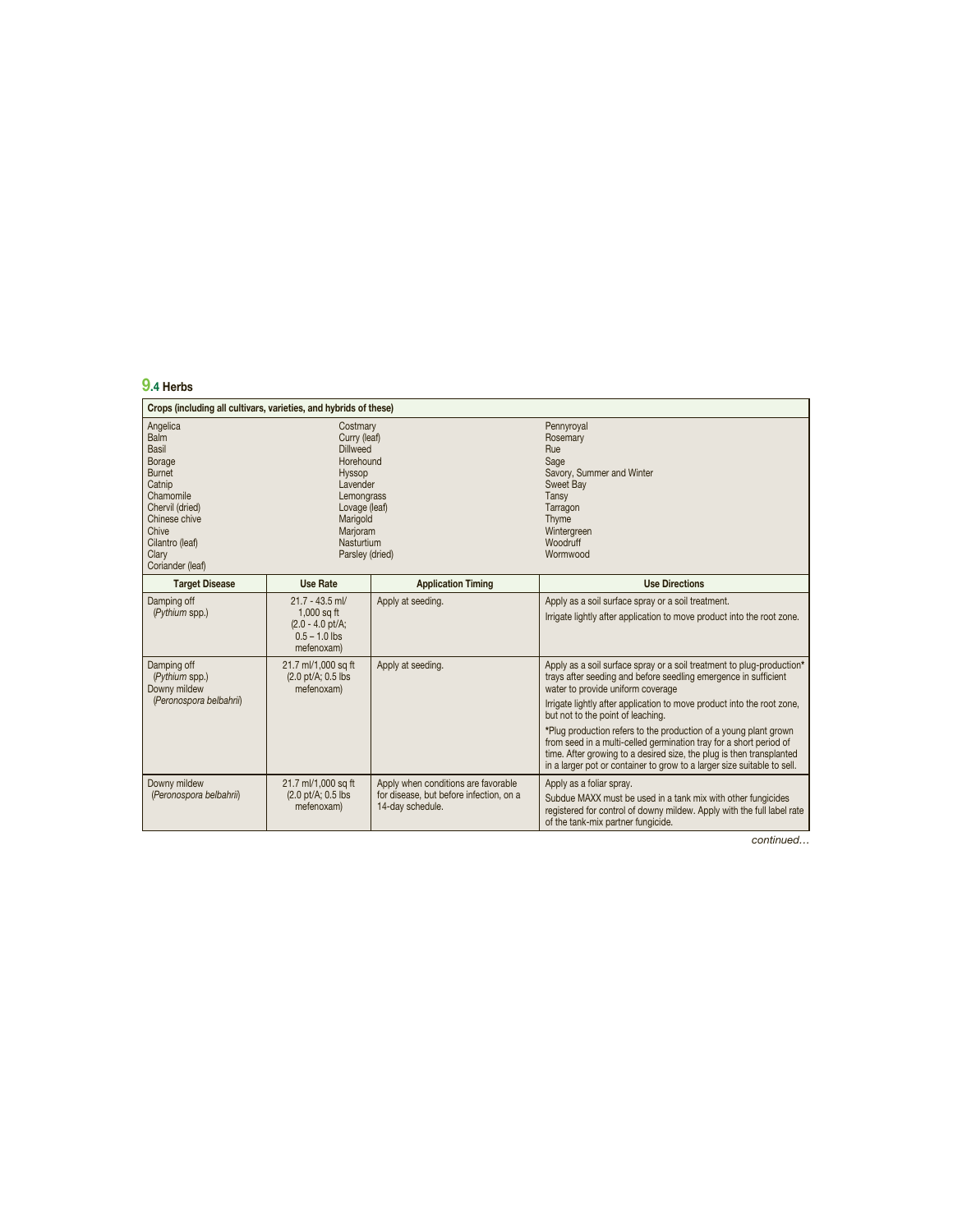## **9.4 Herbs**

| Crops (including all cultivars, varieties, and hybrids of these)                                                                                                                |                                                                                                                                                                        |                                                                                                    |                                                                                                                                                                                                                                                                                                                                                                                                                                                                                                                                                                                           |  |
|---------------------------------------------------------------------------------------------------------------------------------------------------------------------------------|------------------------------------------------------------------------------------------------------------------------------------------------------------------------|----------------------------------------------------------------------------------------------------|-------------------------------------------------------------------------------------------------------------------------------------------------------------------------------------------------------------------------------------------------------------------------------------------------------------------------------------------------------------------------------------------------------------------------------------------------------------------------------------------------------------------------------------------------------------------------------------------|--|
| Angelica<br>Balm<br>Basil<br><b>Borage</b><br><b>Burnet</b><br>Catnip<br>Chamomile<br>Chervil (dried)<br>Chinese chive<br>Chive<br>Cilantro (leaf)<br>Clarv<br>Coriander (leaf) | Costmary<br>Curry (leaf)<br><b>Dillweed</b><br>Horehound<br>Hyssop<br>Lavender<br>Lemongrass<br>Lovage (leaf)<br>Marigold<br>Marjoram<br>Nasturtium<br>Parsley (dried) |                                                                                                    | Pennyroyal<br>Rosemary<br>Rue<br>Sage<br>Savory, Summer and Winter<br>Sweet Bav<br>Tansy<br>Tarragon<br>Thyme<br>Wintergreen<br>Woodruff<br>Wormwood                                                                                                                                                                                                                                                                                                                                                                                                                                      |  |
| <b>Target Disease</b>                                                                                                                                                           | <b>Use Rate</b>                                                                                                                                                        | <b>Application Timing</b>                                                                          | <b>Use Directions</b>                                                                                                                                                                                                                                                                                                                                                                                                                                                                                                                                                                     |  |
| Damping off<br>(Pythium spp.)                                                                                                                                                   | $21.7 - 43.5$ ml/<br>$1,000$ sq ft<br>$(2.0 - 4.0)$ pt/A;<br>$0.5 - 1.0$ lbs<br>mefenoxam)                                                                             | Apply at seeding.                                                                                  | Apply as a soil surface spray or a soil treatment.<br>Irrigate lightly after application to move product into the root zone.                                                                                                                                                                                                                                                                                                                                                                                                                                                              |  |
| Damping off<br>(Pythium spp.)<br>Downy mildew<br>(Peronospora belbahrii)                                                                                                        | 21.7 ml/1,000 sq ft<br>(2.0 pt/A; 0.5 lbs<br>mefenoxam)                                                                                                                | Apply at seeding.                                                                                  | Apply as a soil surface spray or a soil treatment to plug-production*<br>trays after seeding and before seedling emergence in sufficient<br>water to provide uniform coverage<br>Irrigate lightly after application to move product into the root zone,<br>but not to the point of leaching.<br>*Plug production refers to the production of a young plant grown<br>from seed in a multi-celled germination tray for a short period of<br>time. After growing to a desired size, the plug is then transplanted<br>in a larger pot or container to grow to a larger size suitable to sell. |  |
| Downy mildew<br>(Peronospora belbahrii)                                                                                                                                         | 21.7 ml/1,000 sq ft<br>(2.0 pt/A; 0.5 lbs<br>mefenoxam)                                                                                                                | Apply when conditions are favorable<br>for disease, but before infection, on a<br>14-day schedule. | Apply as a foliar spray.<br>Subdue MAXX must be used in a tank mix with other fungicides<br>registered for control of downy mildew. Apply with the full label rate<br>of the tank-mix partner fungicide.                                                                                                                                                                                                                                                                                                                                                                                  |  |

continued...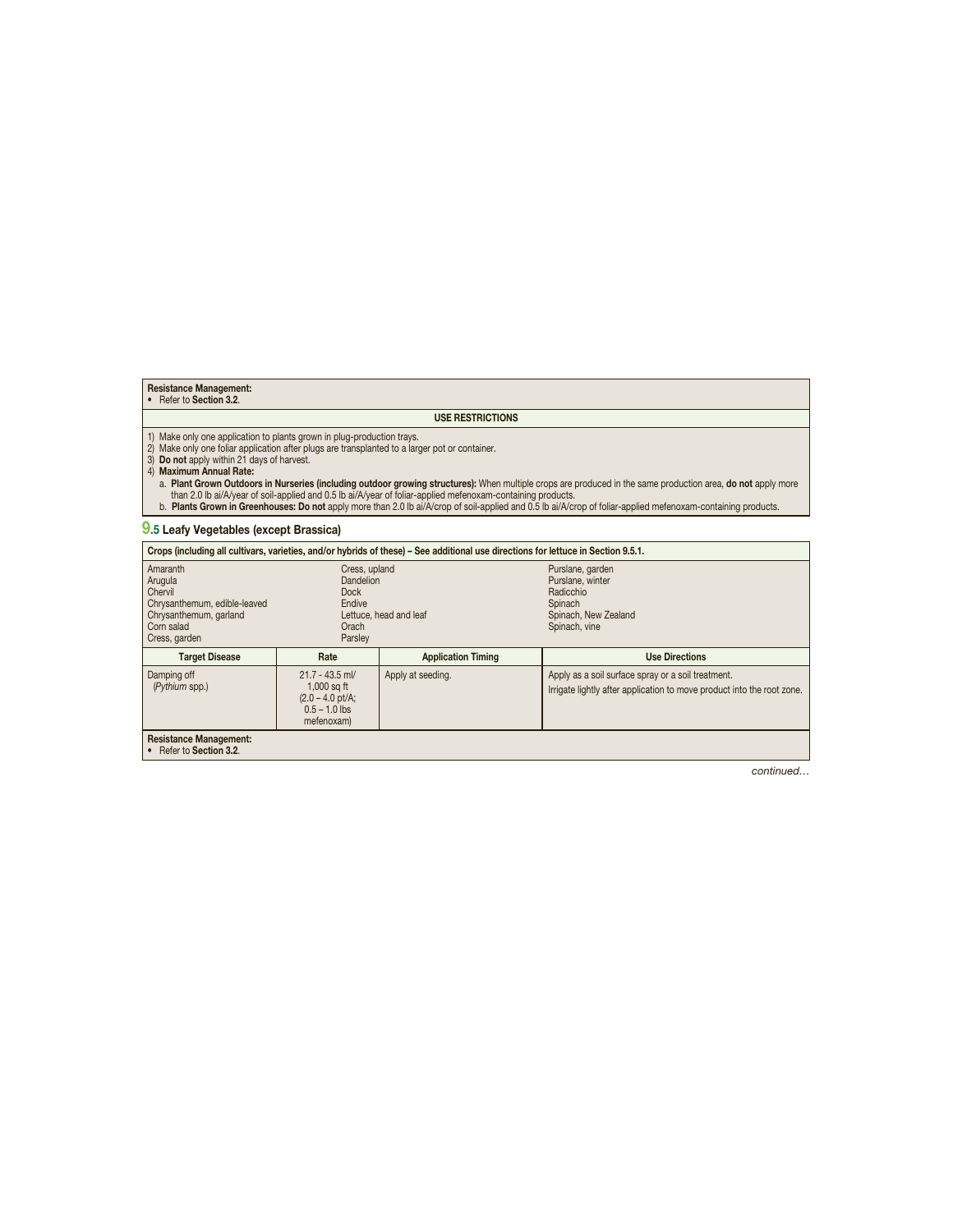## **Resistance Management:** • Refer to **Section 3.2**.

#### **USE RESTRICTIONS**

1) Make only one application to plants grown in plug-production trays.<br>2) Make only one foliar application after plugs are transplanted to a larger pot or container.<br>3) **Do not** apply within 21 days of harvest.<br>4) **Maximum** 

a. **Plant Grown Outdoors in Nurseries (including outdoor growing structures):** When multiple crops are produced in the same production area, **do not** apply more<br> than 2.0 Ib ai/A/year of soil-applied and 0.5 Ib ai/A/y

## **9.5 Leafy Vegetables (except Brassica)**

| Crops (including all cultivars, varieties, and/or hybrids of these) - See additional use directions for lettuce in Section 9.5.1. |                                                                                                   |                           |                                                                                                                              |  |
|-----------------------------------------------------------------------------------------------------------------------------------|---------------------------------------------------------------------------------------------------|---------------------------|------------------------------------------------------------------------------------------------------------------------------|--|
| Amaranth<br>Arugula<br>Chervil<br>Chrysanthemum, edible-leaved<br>Chrysanthemum, garland<br>Corn salad<br>Cress, garden           | Cress, upland<br>Dandelion<br><b>Dock</b><br>Endive<br>Lettuce, head and leaf<br>Orach<br>Parsley |                           | Purslane, garden<br>Purslane, winter<br>Radicchio<br>Spinach<br>Spinach, New Zealand<br>Spinach, vine                        |  |
| <b>Target Disease</b>                                                                                                             | Rate                                                                                              | <b>Application Timing</b> | <b>Use Directions</b>                                                                                                        |  |
| Damping off<br>(Pythium spp.)                                                                                                     | $21.7 - 43.5$ ml/<br>$1,000$ sq ft<br>$(2.0 - 4.0)$ pt/A;<br>$0.5 - 1.0$ lbs<br>mefenoxam)        | Apply at seeding.         | Apply as a soil surface spray or a soil treatment.<br>Irrigate lightly after application to move product into the root zone. |  |
| <b>Resistance Management:</b><br>• Refer to Section 3.2.                                                                          |                                                                                                   |                           |                                                                                                                              |  |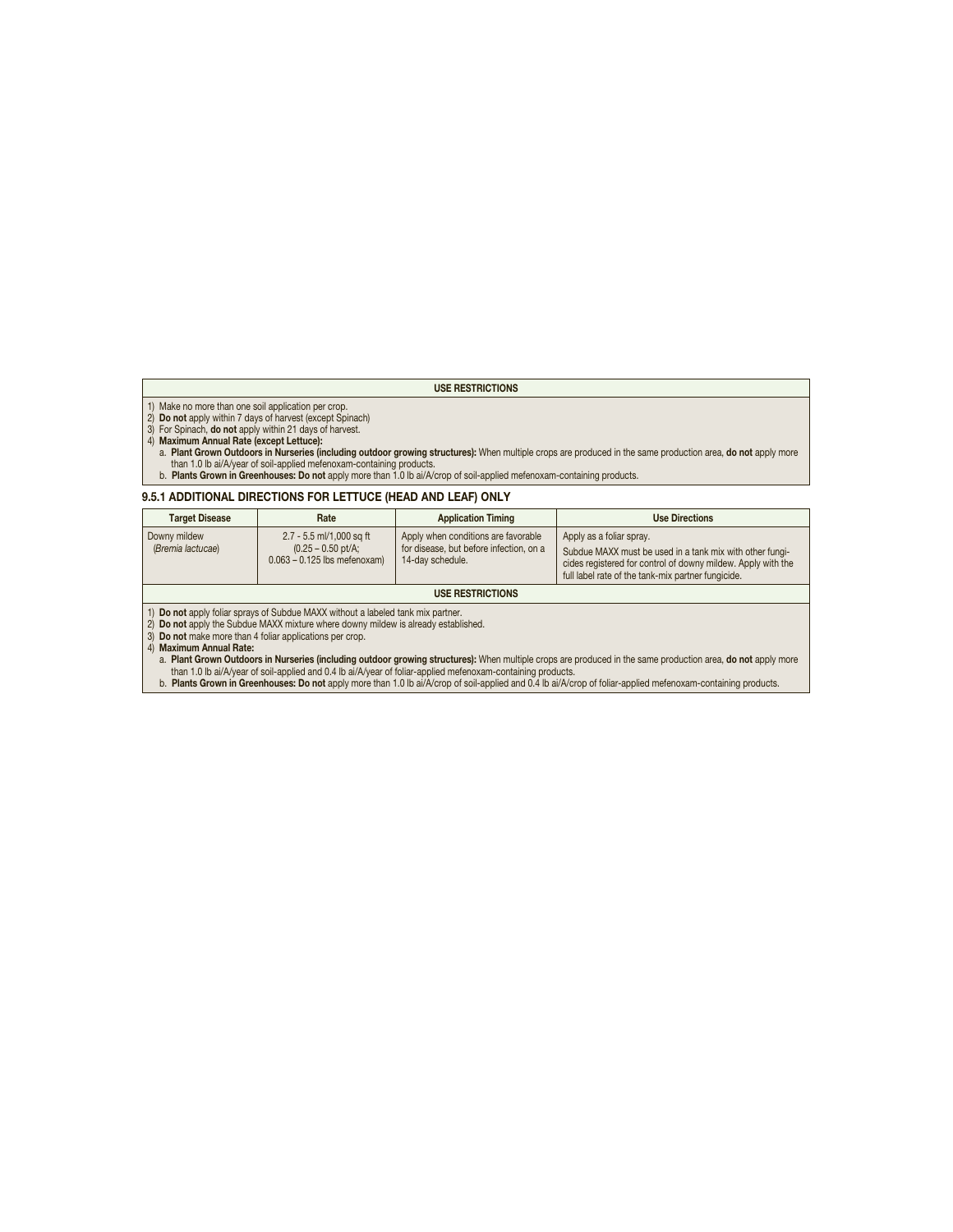#### **USE RESTRICTIONS**

- 
- 

- 1) Make no more than one soil application per crop.<br>2) **Do not** apply within 7 days of harvest (except Spinach)<br>3) For Spinach, **do not** apply within 21 days of harvest.<br>4) **Maximum Annual Rate (except Lettuce):**<br>a. **Plant** than 1.0 lb ai/A/year of soil-applied mefenoxam-containing products.
- b. **Plants Grown in Greenhouses: Do not** apply more than 1.0 lb ai/A/crop of soil-applied mefenoxam-containing products.

#### **9.5.1 ADDITIONAL DIRECTIONS FOR LETTUCE (HEAD AND LEAF) ONLY**

| <b>Target Disease</b>             | Rate                                                                                | <b>Application Timing</b>                                                                          | <b>Use Directions</b>                                                                                                                                                                                      |
|-----------------------------------|-------------------------------------------------------------------------------------|----------------------------------------------------------------------------------------------------|------------------------------------------------------------------------------------------------------------------------------------------------------------------------------------------------------------|
| Downy mildew<br>(Bremia lactucae) | 2.7 - 5.5 ml/1,000 sq ft<br>$(0.25 - 0.50)$ pt/A;<br>$0.063 - 0.125$ lbs mefenoxam) | Apply when conditions are favorable<br>for disease, but before infection, on a<br>14-day schedule. | Apply as a foliar spray.<br>Subdue MAXX must be used in a tank mix with other fungi-<br>cides registered for control of downy mildew. Apply with the<br>full label rate of the tank-mix partner fungicide. |
| <b>USE RESTRICTIONS</b>           |                                                                                     |                                                                                                    |                                                                                                                                                                                                            |

1) **Do not** apply foliar sprays of Subdue MAXX without a labeled tank mix partner.

2) **Do not** apply the Subdue MAXX mixture where downy mildew is already established. 3) **Do not** make more than 4 foliar applications per crop.

4) **Maximum Annual Rate:**

- a. Pl**ant Grown Outdoors in Nurseries (including outdoor growing structures):** When multiple crops are produced in the same production area, **do not** apply more<br> than 1.0 Ib ai/A/year of soil-applied and 0.4 Ib ai/A/y
-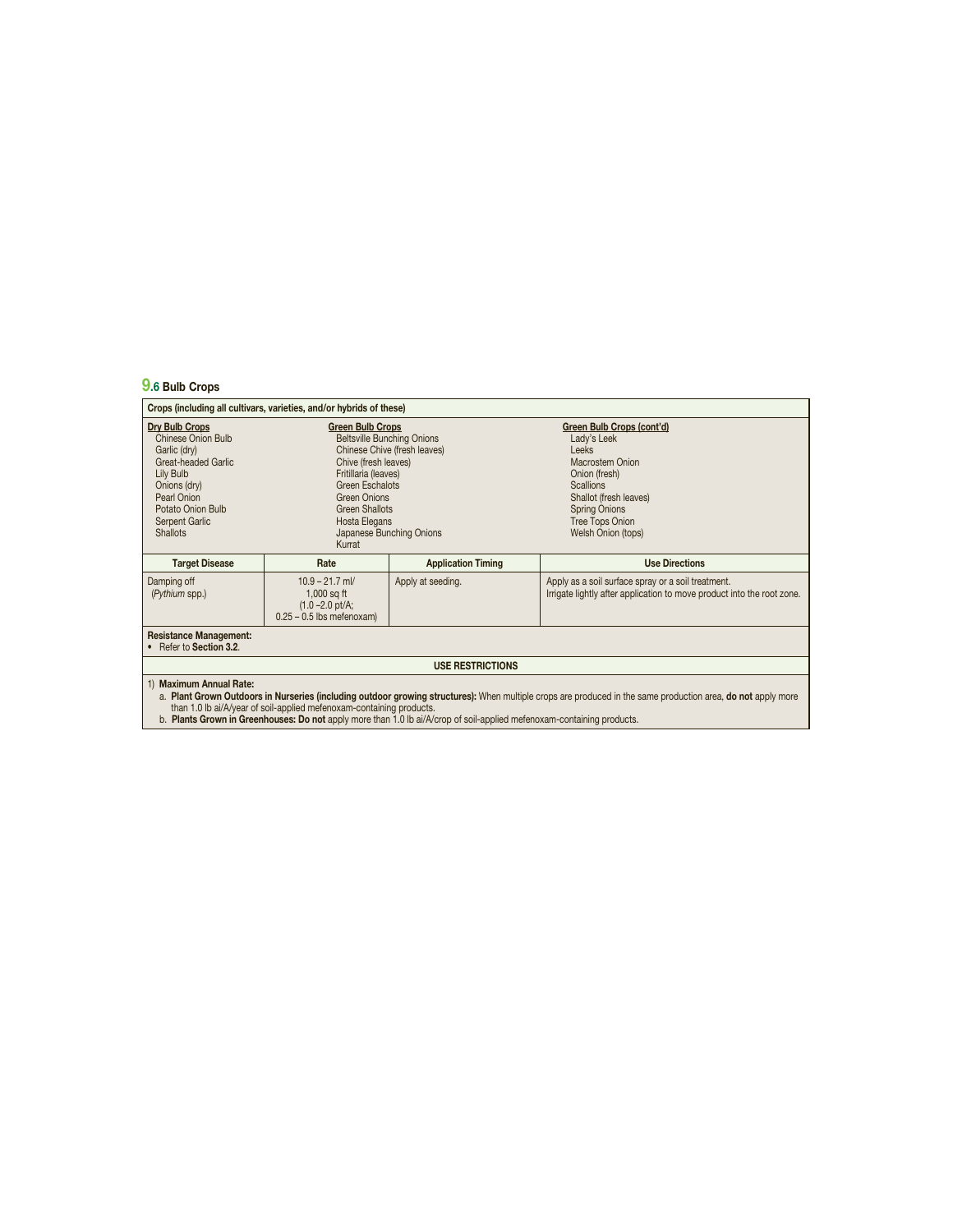## **9.6 Bulb Crops**

| Crops (including all cultivars, varieties, and/or hybrids of these)                                                                                                                      |                                                                                                                                                                                                                                                                 |                           |                                                                                                                                                                                                                    |  |  |
|------------------------------------------------------------------------------------------------------------------------------------------------------------------------------------------|-----------------------------------------------------------------------------------------------------------------------------------------------------------------------------------------------------------------------------------------------------------------|---------------------------|--------------------------------------------------------------------------------------------------------------------------------------------------------------------------------------------------------------------|--|--|
| Dry Bulb Crops<br><b>Chinese Onion Bulb</b><br>Garlic (dry)<br>Great-headed Garlic<br>Lily Bulb<br>Onions (dry)<br>Pearl Onion<br>Potato Onion Bulb<br>Serpent Garlic<br><b>Shallots</b> | <b>Green Bulb Crops</b><br><b>Beltsville Bunching Onions</b><br>Chinese Chive (fresh leaves)<br>Chive (fresh leaves)<br>Fritillaria (leaves)<br>Green Eschalots<br><b>Green Onions</b><br>Green Shallots<br>Hosta Elegans<br>Japanese Bunching Onions<br>Kurrat |                           | Green Bulb Crops (cont'd)<br>Lady's Leek<br><b>Leeks</b><br>Macrostem Onion<br>Onion (fresh)<br><b>Scallions</b><br>Shallot (fresh leaves)<br><b>Spring Onions</b><br><b>Tree Tops Onion</b><br>Welsh Onion (tops) |  |  |
| <b>Target Disease</b>                                                                                                                                                                    | Rate                                                                                                                                                                                                                                                            | <b>Application Timing</b> | <b>Use Directions</b>                                                                                                                                                                                              |  |  |
| Damping off<br>(Pythium spp.)                                                                                                                                                            | $10.9 - 21.7$ ml/<br>$1,000$ sq ft<br>$(1.0 - 2.0)$ pt/A;<br>$0.25 - 0.5$ lbs mefenoxam)                                                                                                                                                                        | Apply at seeding.         | Apply as a soil surface spray or a soil treatment.<br>Irrigate lightly after application to move product into the root zone.                                                                                       |  |  |
| <b>Resistance Management:</b><br>• Refer to Section 3.2.                                                                                                                                 |                                                                                                                                                                                                                                                                 |                           |                                                                                                                                                                                                                    |  |  |
| <b>USE RESTRICTIONS</b>                                                                                                                                                                  |                                                                                                                                                                                                                                                                 |                           |                                                                                                                                                                                                                    |  |  |
| 1) Maximum Annual Rate:<br>a. Plant Grown Outdoors in Nurseries (including outdoor growing structures): When multiple crops are produced in the same production area, do not apply more  |                                                                                                                                                                                                                                                                 |                           |                                                                                                                                                                                                                    |  |  |

a. **Plant Grown Outdoors in Nurseries (including outdoor growing structures):** When multiple crops are produced in the same production area, **do not** apply more<br> than 1.0 Ib ai/A/year of soil-applied mefenoxam-containi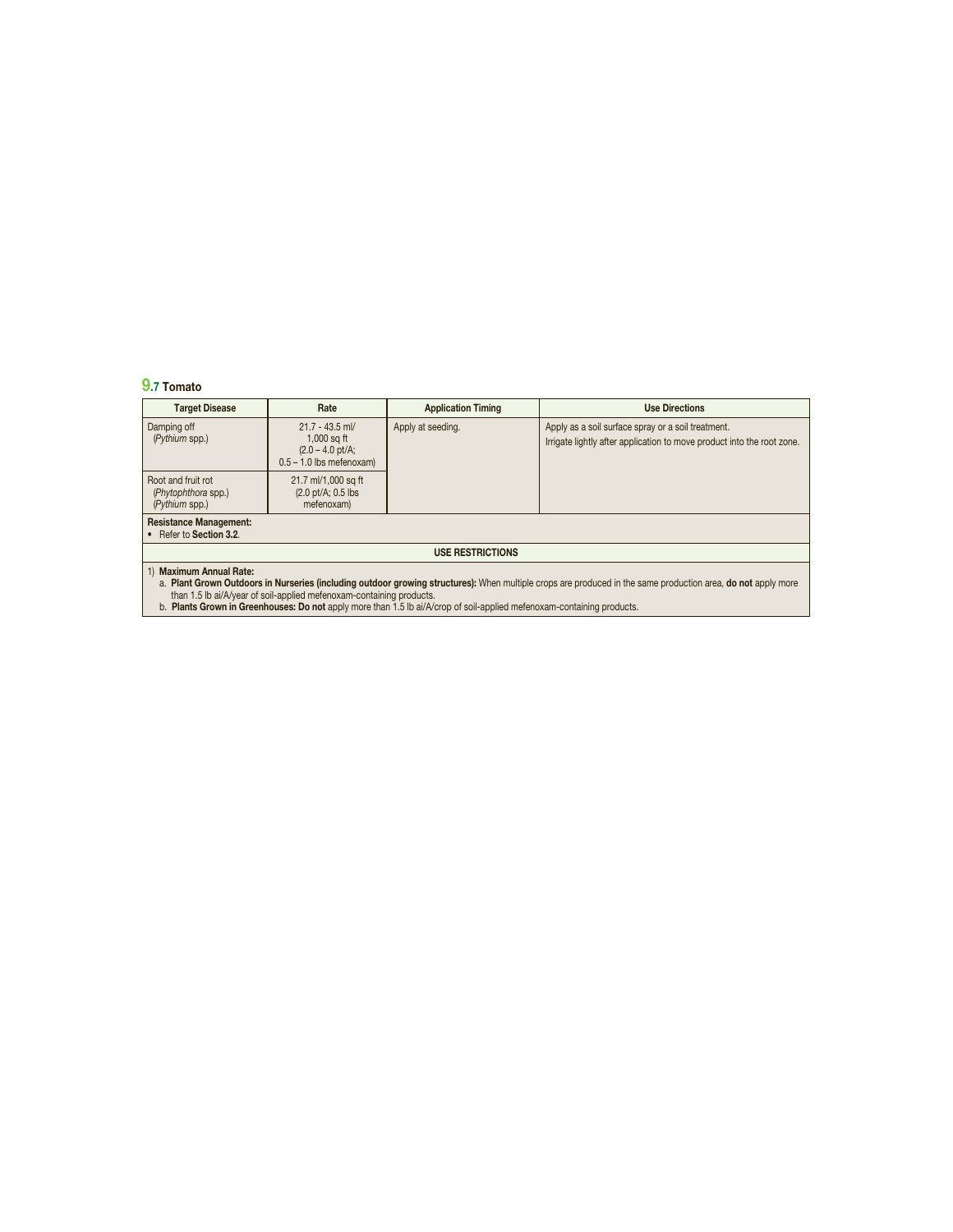## **9.7 Tomato**

| <b>Target Disease</b>                                                                                                                                                                                                                                                                                                                                                                     | Rate                                                                                    | <b>Application Timing</b> | <b>Use Directions</b>                                                                                                        |  |  |  |  |
|-------------------------------------------------------------------------------------------------------------------------------------------------------------------------------------------------------------------------------------------------------------------------------------------------------------------------------------------------------------------------------------------|-----------------------------------------------------------------------------------------|---------------------------|------------------------------------------------------------------------------------------------------------------------------|--|--|--|--|
| Damping off<br>(Pythium spp.)                                                                                                                                                                                                                                                                                                                                                             | $21.7 - 43.5$ ml/<br>$1,000$ sq ft<br>$(2.0 - 4.0)$ pt/A;<br>$0.5 - 1.0$ lbs mefenoxam) | Apply at seeding.         | Apply as a soil surface spray or a soil treatment.<br>Irrigate lightly after application to move product into the root zone. |  |  |  |  |
| Root and fruit rot<br>(Phytophthora spp.)<br>(Pythium spp.)                                                                                                                                                                                                                                                                                                                               | 21.7 ml/1,000 sq ft<br>$(2.0 \text{ pt/A}; 0.5 \text{ lbs})$<br>mefenoxam)              |                           |                                                                                                                              |  |  |  |  |
| <b>Resistance Management:</b><br>• Refer to Section 3.2.                                                                                                                                                                                                                                                                                                                                  |                                                                                         |                           |                                                                                                                              |  |  |  |  |
| <b>USE RESTRICTIONS</b>                                                                                                                                                                                                                                                                                                                                                                   |                                                                                         |                           |                                                                                                                              |  |  |  |  |
| 1) Maximum Annual Rate:<br>a. Plant Grown Outdoors in Nurseries (including outdoor growing structures): When multiple crops are produced in the same production area, do not apply more<br>than 1.5 lb ai/A/year of soil-applied mefenoxam-containing products.<br>b. Plants Grown in Greenhouses: Do not apply more than 1.5 lb ai/A/crop of soil-applied mefenoxam-containing products. |                                                                                         |                           |                                                                                                                              |  |  |  |  |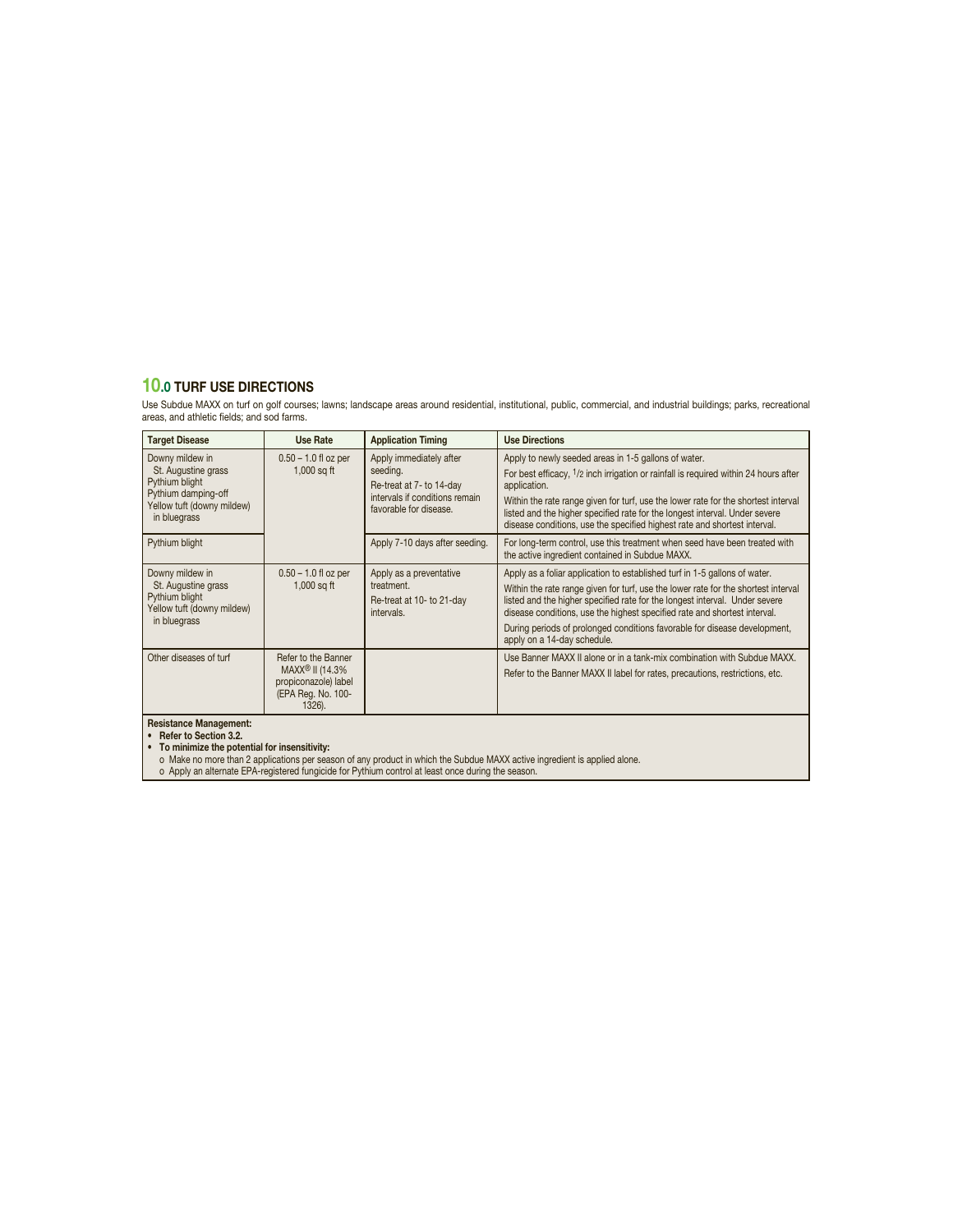## **10.0 TURF USE DIRECTIONS**

Use Subdue MAXX on turf on golf courses; lawns; landscape areas around residential, institutional, public, commercial, and industrial buildings; parks, recreational areas, and athletic fields; and sod farms.

| <b>Target Disease</b>                                                                                                         | Use Rate                                                                                                   | <b>Application Timing</b>                                                                                                   | <b>Use Directions</b>                                                                                                                                                                                                                                                                                                                                                                                                                    |
|-------------------------------------------------------------------------------------------------------------------------------|------------------------------------------------------------------------------------------------------------|-----------------------------------------------------------------------------------------------------------------------------|------------------------------------------------------------------------------------------------------------------------------------------------------------------------------------------------------------------------------------------------------------------------------------------------------------------------------------------------------------------------------------------------------------------------------------------|
| Downy mildew in<br>St. Augustine grass<br>Pythium blight<br>Pythium damping-off<br>Yellow tuft (downy mildew)<br>in bluegrass | $0.50 - 1.0$ fl oz per<br>$1,000$ sq ft                                                                    | Apply immediately after<br>seeding.<br>Re-treat at 7- to 14-day<br>intervals if conditions remain<br>favorable for disease. | Apply to newly seeded areas in 1-5 gallons of water.<br>For best efficacy, <sup>1</sup> /2 inch irrigation or rainfall is required within 24 hours after<br>application.<br>Within the rate range given for turf, use the lower rate for the shortest interval<br>listed and the higher specified rate for the longest interval. Under severe<br>disease conditions, use the specified highest rate and shortest interval.               |
| Pythium blight                                                                                                                |                                                                                                            | Apply 7-10 days after seeding.                                                                                              | For long-term control, use this treatment when seed have been treated with<br>the active ingredient contained in Subdue MAXX.                                                                                                                                                                                                                                                                                                            |
| Downy mildew in<br>St. Augustine grass<br>Pythium blight<br>Yellow tuft (downy mildew)<br>in bluegrass                        | $0.50 - 1.0$ fl oz per<br>$1,000$ sq ft                                                                    | Apply as a preventative<br>treatment.<br>Re-treat at 10- to 21-day<br>intervals.                                            | Apply as a foliar application to established turf in 1-5 gallons of water.<br>Within the rate range given for turf, use the lower rate for the shortest interval<br>listed and the higher specified rate for the longest interval. Under severe<br>disease conditions, use the highest specified rate and shortest interval.<br>During periods of prolonged conditions favorable for disease development,<br>apply on a 14-day schedule. |
| Other diseases of turf                                                                                                        | Refer to the Banner<br>MAXX <sup>®</sup> II (14.3%<br>propiconazole) label<br>(EPA Reg. No. 100-<br>1326). |                                                                                                                             | Use Banner MAXX II alone or in a tank-mix combination with Subdue MAXX.<br>Refer to the Banner MAXX II label for rates, precautions, restrictions, etc.                                                                                                                                                                                                                                                                                  |
| <b>Resistance Management:</b>                                                                                                 |                                                                                                            |                                                                                                                             |                                                                                                                                                                                                                                                                                                                                                                                                                                          |

**Resistance Management:**<br>• **Refer to Section 3.2.**<br>• **To minimize the potential for insensitivity:**<br>• To minimize the potential for insensitivity:<br>• Make no more than 2 applications per season of any product in which the S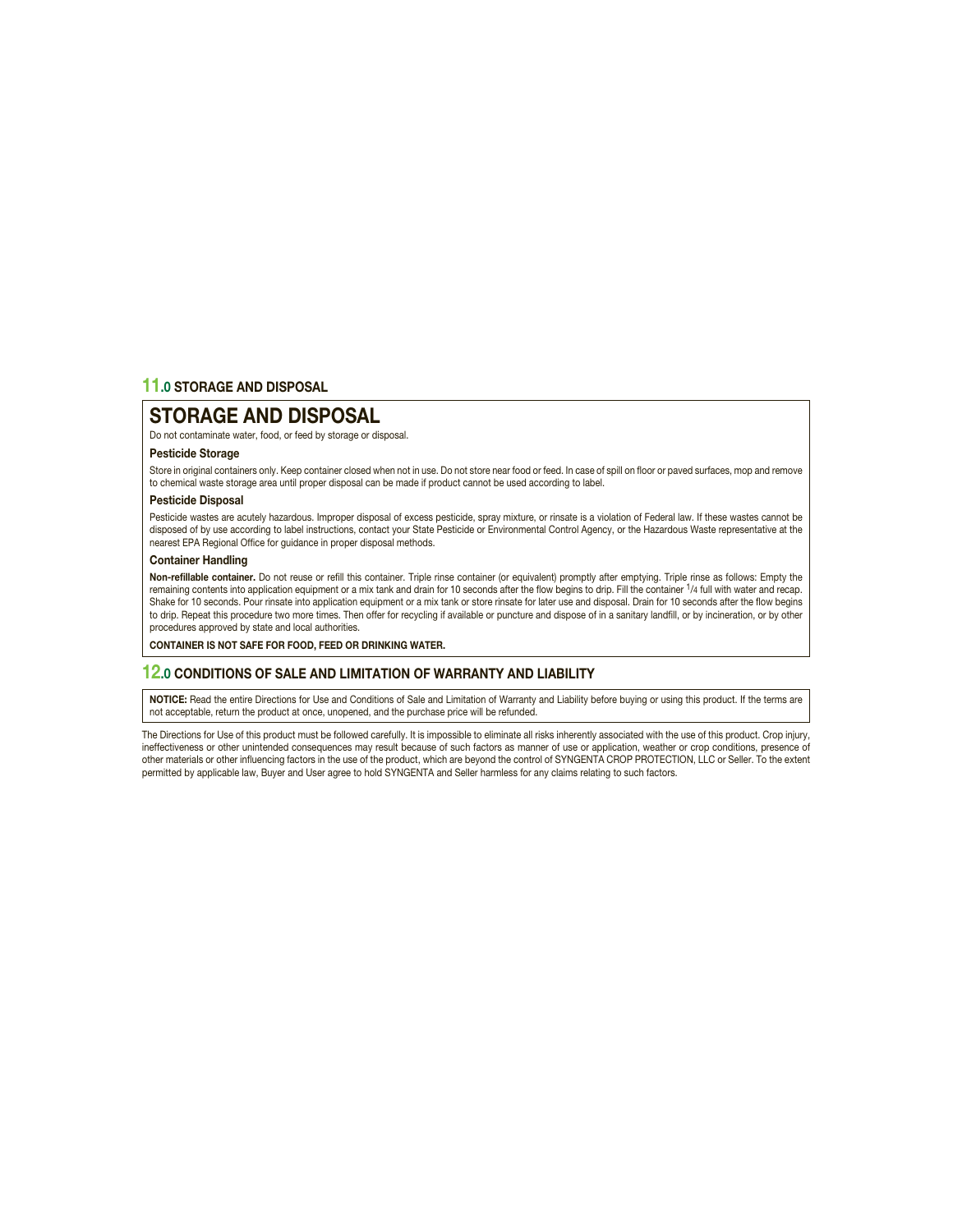## **11.0 STORAGE AND DISPOSAL**

## **STORAGE AND DISPOSAL**

Do not contaminate water, food, or feed by storage or disposal.

#### **Pesticide Storage**

Store in original containers only. Keep container closed when not in use. Do not store near food or feed. In case of spill on floor or paved surfaces, mop and remove to chemical waste storage area until proper disposal can be made if product cannot be used according to label.

#### **Pesticide Disposal**

Pesticide wastes are acutely hazardous. Improper disposal of excess pesticide, spray mixture, or rinsate is a violation of Federal law. If these wastes cannot be disposed of by use according to label instructions, contact your State Pesticide or Environmental Control Agency, or the Hazardous Waste representative at the nearest EPA Regional Office for guidance in proper disposal methods.

#### **Container Handling**

Non-refillable container. Do not reuse or refill this container. Triple rinse container (or equivalent) promptly after emptying. Triple rinse as follows: Empty the remaining contents into application equipment or a mix tank and drain for 10 seconds after the flow begins to drip. Fill the container 1/4 full with water and recap. Shake for 10 seconds. Pour rinsate into application equipment or a mix tank or store rinsate for later use and disposal. Drain for 10 seconds after the flow begins to drip. Repeat this procedure two more times. Then offer for recycling if available or puncture and dispose of in a sanitary landfill, or by incineration, or by other procedures approved by state and local authorities.

**CONTAINER IS NOT SAFE FOR FOOD, FEED OR DRINKING WATER.**

#### **12.0 CONDITIONS OF SALE AND LIMITATION OF WARRANTY AND LIABILITY**

**NOTICE:** Read the entire Directions for Use and Conditions of Sale and Limitation of Warranty and Liability before buying or using this product. If the terms are not acceptable, return the product at once, unopened, and the purchase price will be refunded.

The Directions for Use of this product must be followed carefully. It is impossible to eliminate all risks inherently associated with the use of this product. Crop injury, ineffectiveness or other unintended consequences may result because of such factors as manner of use or application, weather or crop conditions, presence of other materials or other influencing factors in the use of the product, which are beyond the control of SYNGENTA CROP PROTECTION, LLC or Seller. To the extent permitted by applicable law, Buyer and User agree to hold SYNGENTA and Seller harmless for any claims relating to such factors.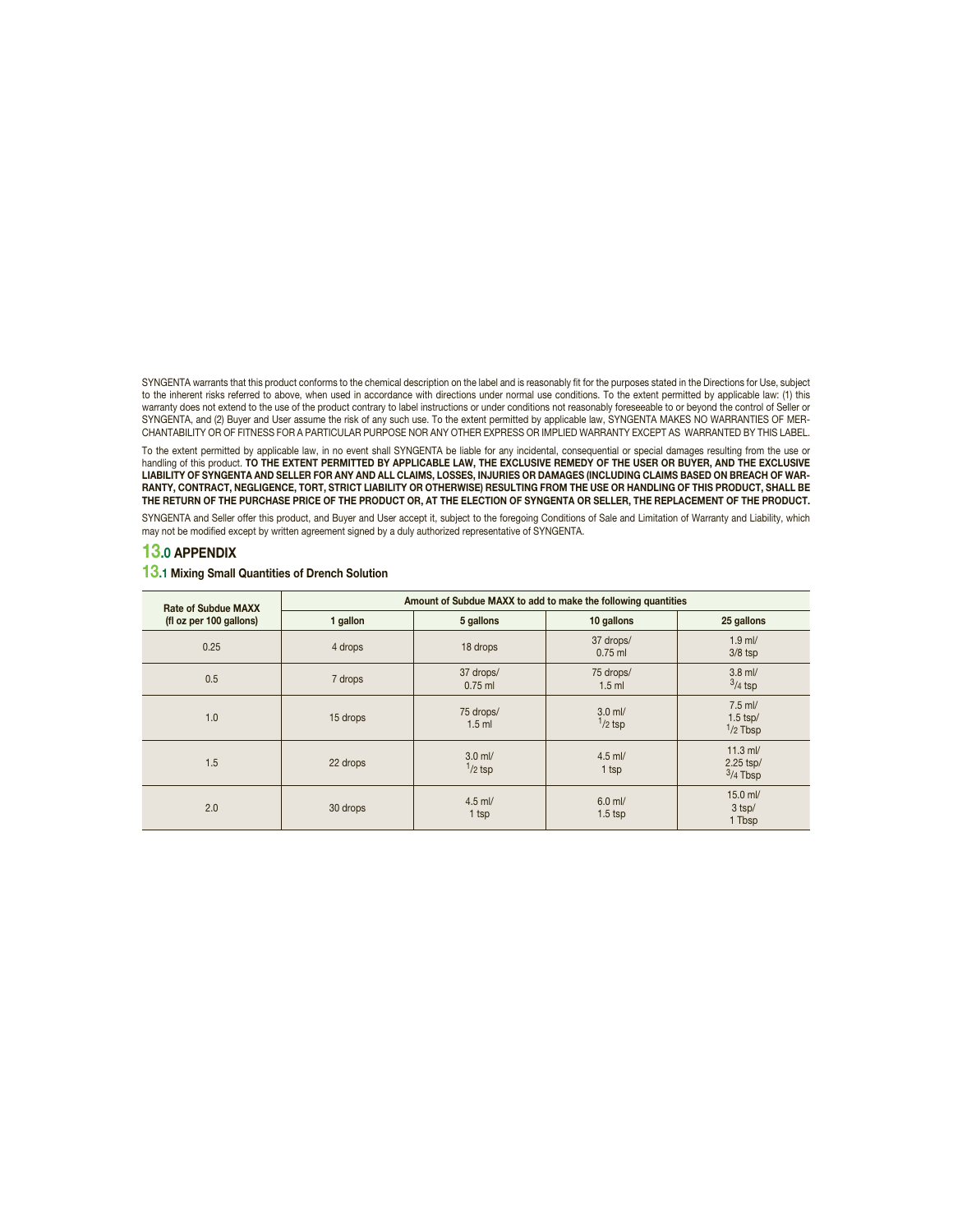SYNGENTA warrants that this product conforms to the chemical description on the label and is reasonably fit for the purposes stated in the Directions for Use, subject to the inherent risks referred to above, when used in accordance with directions under normal use conditions. To the extent permitted by applicable law: (1) this warranty does not extend to the use of the product contrary to label instructions or under conditions not reasonably foreseeable to or beyond the control of Seller or SYNGENTA, and (2) Buyer and User assume the risk of any such use. To the extent permitted by applicable law, SYNGENTA MAKES NO WARRANTIES OF MER-CHANTABILITY OR OF FITNESS FOR A PARTICULAR PURPOSE NOR ANY OTHER EXPRESS OR IMPLIED WARRANTY EXCEPT AS WARRANTED BY THIS LABEL.

To the extent permitted by applicable law, in no event shall SYNGENTA be liable for any incidental, consequential or special damages resulting from the use or<br>handling of this product. **TO THE EXTENT PERMITTED BY APPLICABL LIABILITY OF SYNGENTA AND SELLER FOR ANY AND ALL CLAIMS, LOSSES, INJURIES OR DAMAGES (INCLUDING CLAIMS BASED ON BREACH OF WAR-RANTY, CONTRACT, NEGLIGENCE, TORT, STRICT LIABILITY OR OTHERWISE) RESULTING FROM THE USE OR HANDLING OF THIS PRODUCT, SHALL BE THE RETURN OF THE PURCHASE PRICE OF THE PRODUCT OR, AT THE ELECTION OF SYNGENTA OR SELLER, THE REPLACEMENT OF THE PRODUCT.**

SYNGENTA and Seller offer this product, and Buyer and User accept it, subject to the foregoing Conditions of Sale and Limitation of Warranty and Liability, which may not be modified except by written agreement signed by a duly authorized representative of SYNGENTA.

### **13.0 APPENDIX**

#### **13.1 Mixing Small Quantities of Drench Solution**

| <b>Rate of Subdue MAXX</b><br>(fl oz per 100 gallons) | Amount of Subdue MAXX to add to make the following quantities |                        |                        |                                       |  |  |
|-------------------------------------------------------|---------------------------------------------------------------|------------------------|------------------------|---------------------------------------|--|--|
|                                                       | 1 gallon                                                      | 5 gallons              | 10 gallons             | 25 gallons                            |  |  |
| 0.25                                                  | 4 drops                                                       | 18 drops               | 37 drops/<br>$0.75$ ml | $1.9$ ml/<br>$3/8$ tsp                |  |  |
| 0.5                                                   | 7 drops                                                       | 37 drops/<br>$0.75$ ml | 75 drops/<br>$1.5$ ml  | $3.8$ ml/<br>$3/4$ tsp                |  |  |
| 1.0                                                   | 15 drops                                                      | 75 drops/<br>$1.5$ ml  | $3.0$ ml/<br>$1/2$ tsp | $7.5$ ml/<br>$1.5$ tsp/<br>$1/2$ Tbsp |  |  |
| 1.5                                                   | 22 drops                                                      | $3.0$ ml/<br>$1/2$ tsp | $4.5$ ml/<br>$1$ tsp   | $11.3$ ml/<br>2.25 tsp/<br>$3/4$ Tbsp |  |  |
| 2.0                                                   | 30 drops                                                      | $4.5$ ml/<br>1 tsp     | $6.0$ ml/<br>$1.5$ tsp | 15.0 ml/<br>$3$ tsp/<br>1 Tbsp        |  |  |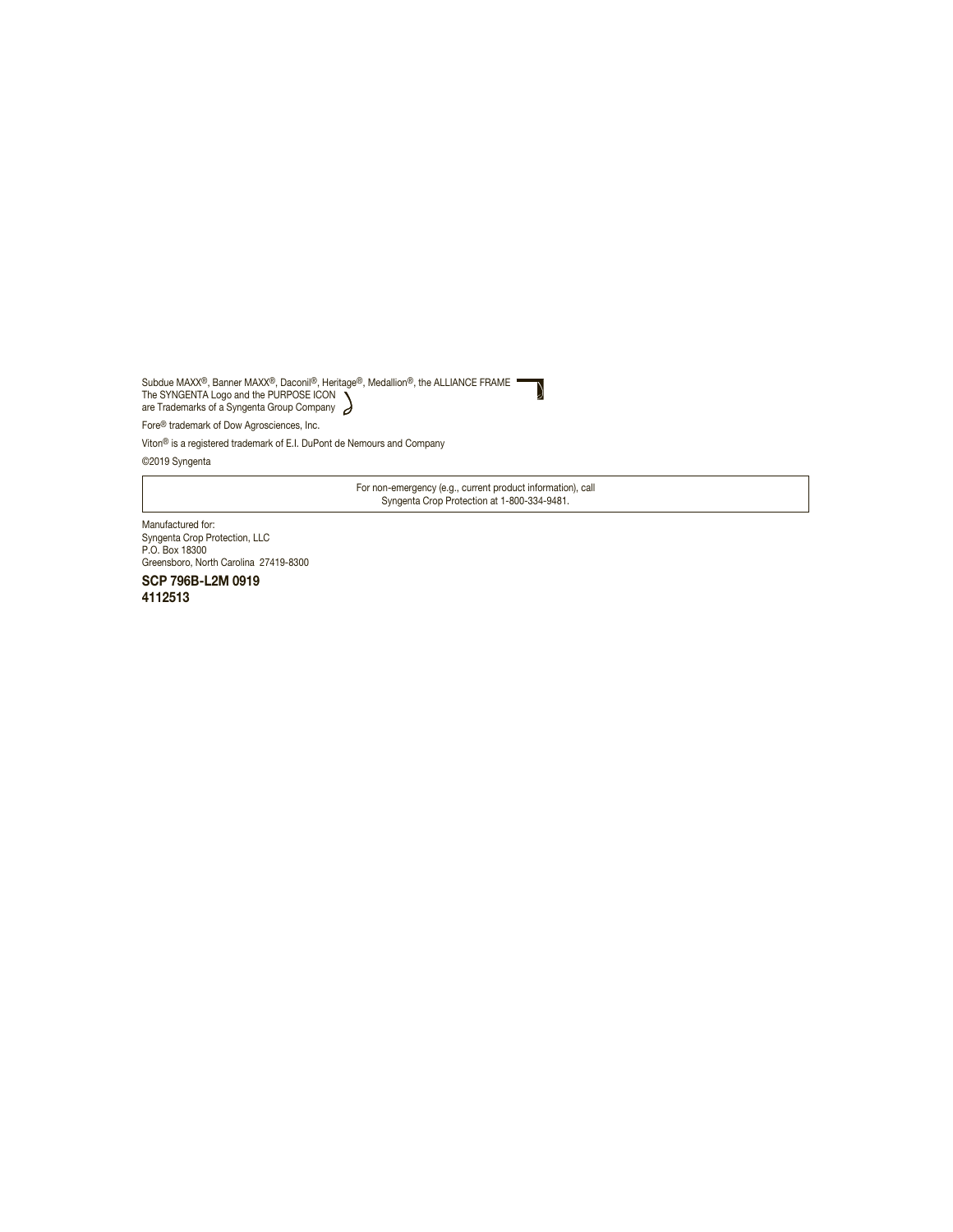Subdue MAXX®, Banner MAXX®, Daconil®, Heritage®, Medallion®, the ALLIANCE FRAME The SYNGENTA Logo and the PURPOSE ICON are Trademarks of a Syngenta Group Company

Fore® trademark of Dow Agrosciences, Inc.

Viton® is a registered trademark of E.I. DuPont de Nemours and Company

©2019 Syngenta

For non-emergency (e.g., current product information), call Syngenta Crop Protection at 1-800-334-9481.

N

Manufactured for: Syngenta Crop Protection, LLC P.O. Box 18300 Greensboro, North Carolina 27419-8300

**SCP 796B-L2M 0919 4112513**